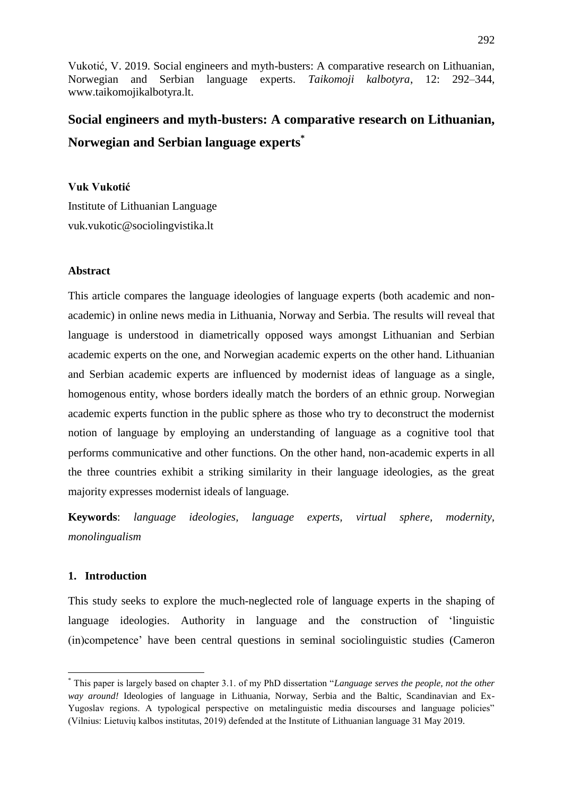# **Social engineers and myth-busters: A comparative research on Lithuanian, Norwegian and Serbian language experts\***

# **Vuk Vukotić**

Institute of Lithuanian Language vuk.vukotic@sociolingvistika.lt

#### **Abstract**

This article compares the language ideologies of language experts (both academic and nonacademic) in online news media in Lithuania, Norway and Serbia. The results will reveal that language is understood in diametrically opposed ways amongst Lithuanian and Serbian academic experts on the one, and Norwegian academic experts on the other hand. Lithuanian and Serbian academic experts are influenced by modernist ideas of language as a single, homogenous entity, whose borders ideally match the borders of an ethnic group. Norwegian academic experts function in the public sphere as those who try to deconstruct the modernist notion of language by employing an understanding of language as a cognitive tool that performs communicative and other functions. On the other hand, non-academic experts in all the three countries exhibit a striking similarity in their language ideologies, as the great majority expresses modernist ideals of language.

**Keywords**: *language ideologies, language experts, virtual sphere, modernity, monolingualism*

# **1. Introduction**

1

This study seeks to explore the much-neglected role of language experts in the shaping of language ideologies. Authority in language and the construction of "linguistic (in)competence" have been central questions in seminal sociolinguistic studies (Cameron

<sup>\*</sup> This paper is largely based on chapter 3.1. of my PhD dissertation "*Language serves the people, not the other way around!* Ideologies of language in Lithuania, Norway, Serbia and the Baltic, Scandinavian and Ex-Yugoslav regions. A typological perspective on metalinguistic media discourses and language policies" (Vilnius: Lietuvių kalbos institutas, 2019) defended at the Institute of Lithuanian language 31 May 2019.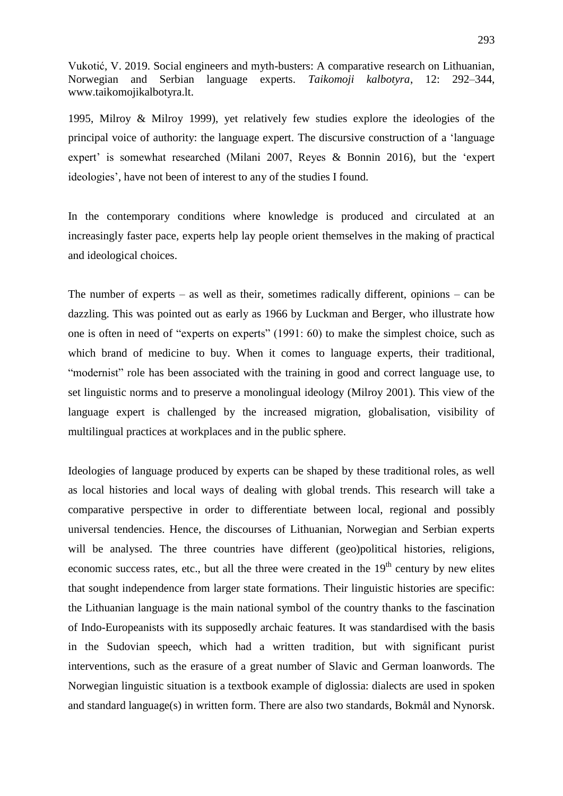1995, Milroy & Milroy 1999), yet relatively few studies explore the ideologies of the principal voice of authority: the language expert. The discursive construction of a "language expert' is somewhat researched (Milani 2007, Reyes & Bonnin 2016), but the 'expert ideologies', have not been of interest to any of the studies I found.

In the contemporary conditions where knowledge is produced and circulated at an increasingly faster pace, experts help lay people orient themselves in the making of practical and ideological choices.

The number of experts – as well as their, sometimes radically different, opinions – can be dazzling. This was pointed out as early as 1966 by Luckman and Berger, who illustrate how one is often in need of "experts on experts" (1991: 60) to make the simplest choice, such as which brand of medicine to buy. When it comes to language experts, their traditional, "modernist" role has been associated with the training in good and correct language use, to set linguistic norms and to preserve a monolingual ideology (Milroy 2001). This view of the language expert is challenged by the increased migration, globalisation, visibility of multilingual practices at workplaces and in the public sphere.

Ideologies of language produced by experts can be shaped by these traditional roles, as well as local histories and local ways of dealing with global trends. This research will take a comparative perspective in order to differentiate between local, regional and possibly universal tendencies. Hence, the discourses of Lithuanian, Norwegian and Serbian experts will be analysed. The three countries have different (geo)political histories, religions, economic success rates, etc., but all the three were created in the  $19<sup>th</sup>$  century by new elites that sought independence from larger state formations. Their linguistic histories are specific: the Lithuanian language is the main national symbol of the country thanks to the fascination of Indo-Europeanists with its supposedly archaic features. It was standardised with the basis in the Sudovian speech, which had a written tradition, but with significant purist interventions, such as the erasure of a great number of Slavic and German loanwords. The Norwegian linguistic situation is a textbook example of diglossia: dialects are used in spoken and standard language(s) in written form. There are also two standards, Bokmål and Nynorsk.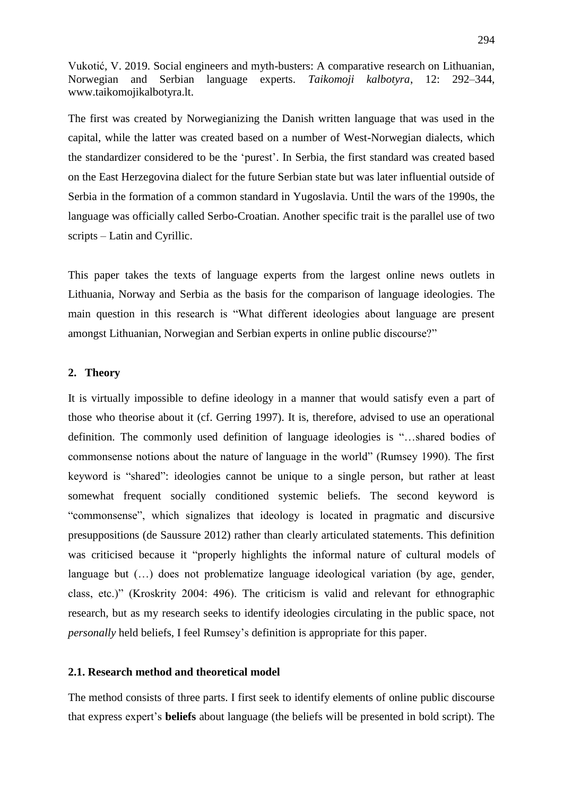The first was created by Norwegianizing the Danish written language that was used in the capital, while the latter was created based on a number of West-Norwegian dialects, which the standardizer considered to be the "purest". In Serbia, the first standard was created based on the East Herzegovina dialect for the future Serbian state but was later influential outside of Serbia in the formation of a common standard in Yugoslavia. Until the wars of the 1990s, the language was officially called Serbo-Croatian. Another specific trait is the parallel use of two scripts – Latin and Cyrillic.

This paper takes the texts of language experts from the largest online news outlets in Lithuania, Norway and Serbia as the basis for the comparison of language ideologies. The main question in this research is "What different ideologies about language are present amongst Lithuanian, Norwegian and Serbian experts in online public discourse?"

### **2. Theory**

It is virtually impossible to define ideology in a manner that would satisfy even a part of those who theorise about it (cf. Gerring 1997). It is, therefore, advised to use an operational definition. The commonly used definition of language ideologies is "…shared bodies of commonsense notions about the nature of language in the world" (Rumsey 1990). The first keyword is "shared": ideologies cannot be unique to a single person, but rather at least somewhat frequent socially conditioned systemic beliefs. The second keyword is "commonsense", which signalizes that ideology is located in pragmatic and discursive presuppositions (de Saussure 2012) rather than clearly articulated statements. This definition was criticised because it "properly highlights the informal nature of cultural models of language but  $(...)$  does not problematize language ideological variation (by age, gender, class, etc.)" (Kroskrity 2004: 496). The criticism is valid and relevant for ethnographic research, but as my research seeks to identify ideologies circulating in the public space, not *personally* held beliefs, I feel Rumsey's definition is appropriate for this paper.

#### **2.1. Research method and theoretical model**

The method consists of three parts. I first seek to identify elements of online public discourse that express expert"s **beliefs** about language (the beliefs will be presented in bold script). The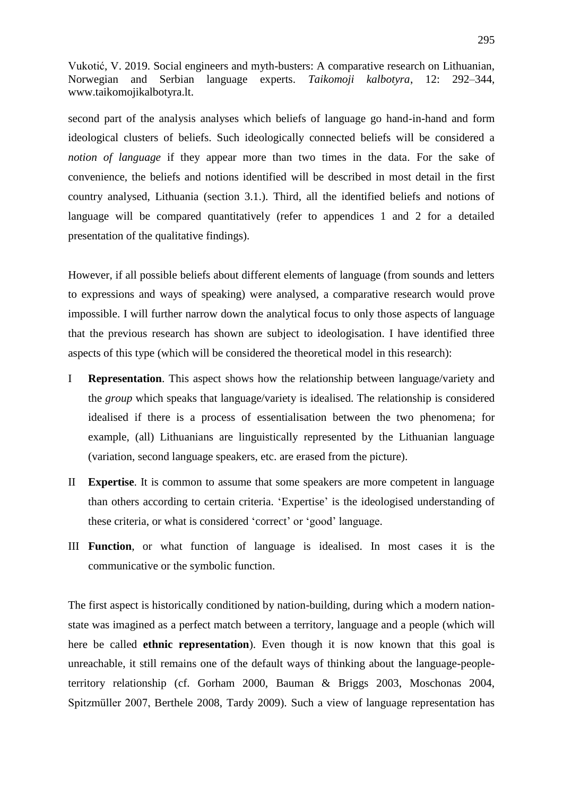second part of the analysis analyses which beliefs of language go hand-in-hand and form ideological clusters of beliefs. Such ideologically connected beliefs will be considered a *notion of language* if they appear more than two times in the data. For the sake of convenience, the beliefs and notions identified will be described in most detail in the first country analysed, Lithuania (section 3.1.). Third, all the identified beliefs and notions of language will be compared quantitatively (refer to appendices 1 and 2 for a detailed presentation of the qualitative findings).

However, if all possible beliefs about different elements of language (from sounds and letters to expressions and ways of speaking) were analysed, a comparative research would prove impossible. I will further narrow down the analytical focus to only those aspects of language that the previous research has shown are subject to ideologisation. I have identified three aspects of this type (which will be considered the theoretical model in this research):

- I **Representation**. This aspect shows how the relationship between language/variety and the *group* which speaks that language/variety is idealised. The relationship is considered idealised if there is a process of essentialisation between the two phenomena; for example, (all) Lithuanians are linguistically represented by the Lithuanian language (variation, second language speakers, etc. are erased from the picture).
- II **Expertise**. It is common to assume that some speakers are more competent in language than others according to certain criteria. "Expertise" is the ideologised understanding of these criteria, or what is considered "correct" or "good" language.
- III **Function**, or what function of language is idealised. In most cases it is the communicative or the symbolic function.

The first aspect is historically conditioned by nation-building, during which a modern nationstate was imagined as a perfect match between a territory, language and a people (which will here be called **ethnic representation**). Even though it is now known that this goal is unreachable, it still remains one of the default ways of thinking about the language-peopleterritory relationship (cf. Gorham 2000, Bauman & Briggs 2003, Moschonas 2004, Spitzmüller 2007, Berthele 2008, Tardy 2009). Such a view of language representation has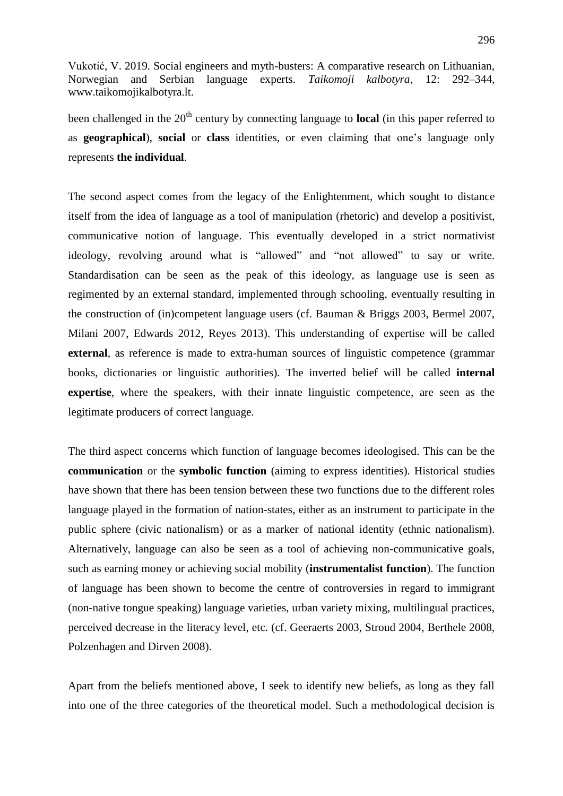been challenged in the 20<sup>th</sup> century by connecting language to **local** (in this paper referred to as **geographical**), **social** or **class** identities, or even claiming that one"s language only represents **the individual**.

The second aspect comes from the legacy of the Enlightenment, which sought to distance itself from the idea of language as a tool of manipulation (rhetoric) and develop a positivist, communicative notion of language. This eventually developed in a strict normativist ideology, revolving around what is "allowed" and "not allowed" to say or write. Standardisation can be seen as the peak of this ideology, as language use is seen as regimented by an external standard, implemented through schooling, eventually resulting in the construction of (in)competent language users (cf. Bauman & Briggs 2003, Bermel 2007, Milani 2007, Edwards 2012, Reyes 2013). This understanding of expertise will be called **external**, as reference is made to extra-human sources of linguistic competence (grammar books, dictionaries or linguistic authorities). The inverted belief will be called **internal expertise**, where the speakers, with their innate linguistic competence, are seen as the legitimate producers of correct language.

The third aspect concerns which function of language becomes ideologised. This can be the **communication** or the **symbolic function** (aiming to express identities). Historical studies have shown that there has been tension between these two functions due to the different roles language played in the formation of nation-states, either as an instrument to participate in the public sphere (civic nationalism) or as a marker of national identity (ethnic nationalism). Alternatively, language can also be seen as a tool of achieving non-communicative goals, such as earning money or achieving social mobility (**instrumentalist function**). The function of language has been shown to become the centre of controversies in regard to immigrant (non-native tongue speaking) language varieties, urban variety mixing, multilingual practices, perceived decrease in the literacy level, etc. (cf. Geeraerts 2003, Stroud 2004, Berthele 2008, Polzenhagen and Dirven 2008).

Apart from the beliefs mentioned above, I seek to identify new beliefs, as long as they fall into one of the three categories of the theoretical model. Such a methodological decision is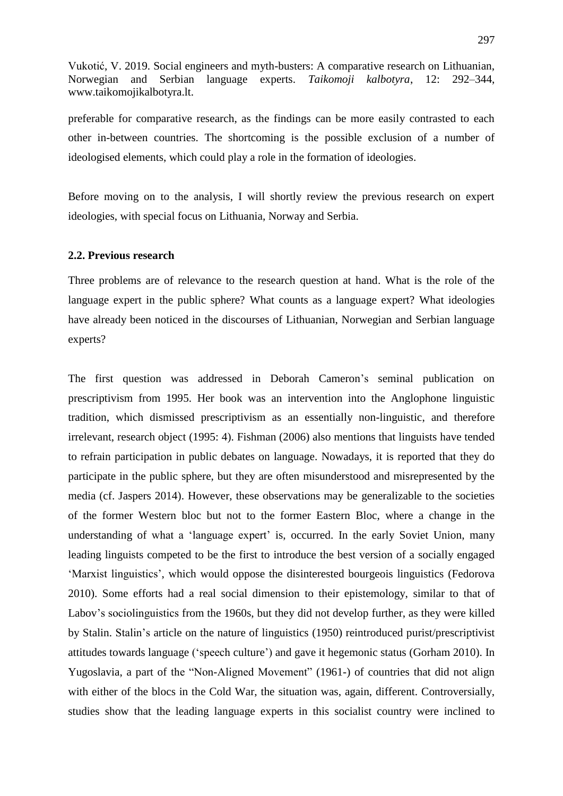preferable for comparative research, as the findings can be more easily contrasted to each other in-between countries. The shortcoming is the possible exclusion of a number of ideologised elements, which could play a role in the formation of ideologies.

Before moving on to the analysis, I will shortly review the previous research on expert ideologies, with special focus on Lithuania, Norway and Serbia.

## **2.2. Previous research**

Three problems are of relevance to the research question at hand. What is the role of the language expert in the public sphere? What counts as a language expert? What ideologies have already been noticed in the discourses of Lithuanian, Norwegian and Serbian language experts?

The first question was addressed in Deborah Cameron"s seminal publication on prescriptivism from 1995. Her book was an intervention into the Anglophone linguistic tradition, which dismissed prescriptivism as an essentially non-linguistic, and therefore irrelevant, research object (1995: 4). Fishman (2006) also mentions that linguists have tended to refrain participation in public debates on language. Nowadays, it is reported that they do participate in the public sphere, but they are often misunderstood and misrepresented by the media (cf. Jaspers 2014). However, these observations may be generalizable to the societies of the former Western bloc but not to the former Eastern Bloc, where a change in the understanding of what a 'language expert' is, occurred. In the early Soviet Union, many leading linguists competed to be the first to introduce the best version of a socially engaged "Marxist linguistics", which would oppose the disinterested bourgeois linguistics (Fedorova 2010). Some efforts had a real social dimension to their epistemology, similar to that of Labov"s sociolinguistics from the 1960s, but they did not develop further, as they were killed by Stalin. Stalin"s article on the nature of linguistics (1950) reintroduced purist/prescriptivist attitudes towards language ("speech culture") and gave it hegemonic status (Gorham 2010). In Yugoslavia, a part of the "Non-Aligned Movement" (1961-) of countries that did not align with either of the blocs in the Cold War, the situation was, again, different. Controversially, studies show that the leading language experts in this socialist country were inclined to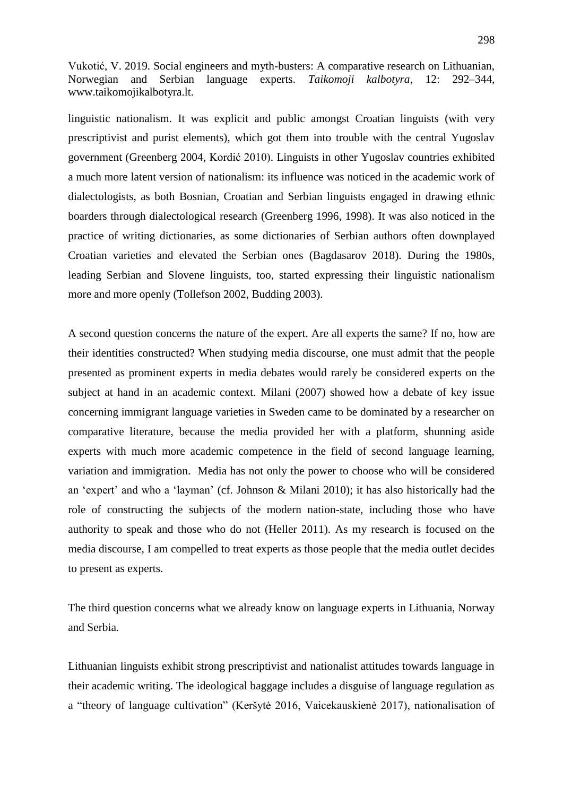linguistic nationalism. It was explicit and public amongst Croatian linguists (with very prescriptivist and purist elements), which got them into trouble with the central Yugoslav government (Greenberg 2004, Kordić 2010). Linguists in other Yugoslav countries exhibited a much more latent version of nationalism: its influence was noticed in the academic work of dialectologists, as both Bosnian, Croatian and Serbian linguists engaged in drawing ethnic boarders through dialectological research (Greenberg 1996, 1998). It was also noticed in the practice of writing dictionaries, as some dictionaries of Serbian authors often downplayed Croatian varieties and elevated the Serbian ones (Bagdasarov 2018). During the 1980s, leading Serbian and Slovene linguists, too, started expressing their linguistic nationalism more and more openly (Tollefson 2002, Budding 2003).

A second question concerns the nature of the expert. Are all experts the same? If no, how are their identities constructed? When studying media discourse, one must admit that the people presented as prominent experts in media debates would rarely be considered experts on the subject at hand in an academic context. Milani (2007) showed how a debate of key issue concerning immigrant language varieties in Sweden came to be dominated by a researcher on comparative literature, because the media provided her with a platform, shunning aside experts with much more academic competence in the field of second language learning, variation and immigration. Media has not only the power to choose who will be considered an 'expert' and who a 'layman' (cf. Johnson & Milani 2010); it has also historically had the role of constructing the subjects of the modern nation-state, including those who have authority to speak and those who do not (Heller 2011). As my research is focused on the media discourse, I am compelled to treat experts as those people that the media outlet decides to present as experts.

The third question concerns what we already know on language experts in Lithuania, Norway and Serbia.

Lithuanian linguists exhibit strong prescriptivist and nationalist attitudes towards language in their academic writing. The ideological baggage includes a disguise of language regulation as a "theory of language cultivation" (Keršytė 2016, Vaicekauskienė 2017), nationalisation of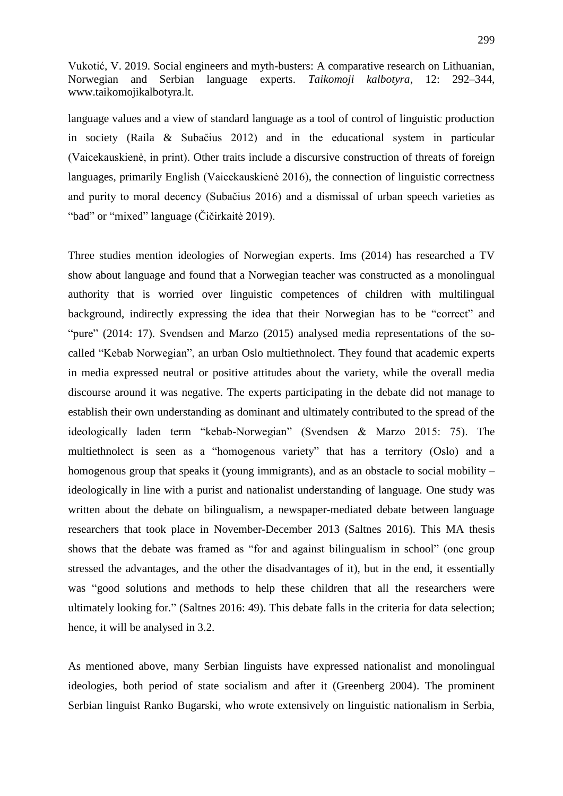language values and a view of standard language as a tool of control of linguistic production in society (Raila & Subačius 2012) and in the educational system in particular (Vaicekauskienė, in print). Other traits include a discursive construction of threats of foreign languages, primarily English (Vaicekauskienė 2016), the connection of linguistic correctness and purity to moral decency (Subačius 2016) and a dismissal of urban speech varieties as "bad" or "mixed" language (Čičirkaitė 2019).

Three studies mention ideologies of Norwegian experts. Ims (2014) has researched a TV show about language and found that a Norwegian teacher was constructed as a monolingual authority that is worried over linguistic competences of children with multilingual background, indirectly expressing the idea that their Norwegian has to be "correct" and "pure" (2014: 17). Svendsen and Marzo (2015) analysed media representations of the socalled "Kebab Norwegian", an urban Oslo multiethnolect. They found that academic experts in media expressed neutral or positive attitudes about the variety, while the overall media discourse around it was negative. The experts participating in the debate did not manage to establish their own understanding as dominant and ultimately contributed to the spread of the ideologically laden term "kebab-Norwegian" (Svendsen & Marzo 2015: 75). The multiethnolect is seen as a "homogenous variety" that has a territory (Oslo) and a homogenous group that speaks it (young immigrants), and as an obstacle to social mobility – ideologically in line with a purist and nationalist understanding of language. One study was written about the debate on bilingualism, a newspaper-mediated debate between language researchers that took place in November-December 2013 (Saltnes 2016). This MA thesis shows that the debate was framed as "for and against bilingualism in school" (one group stressed the advantages, and the other the disadvantages of it), but in the end, it essentially was "good solutions and methods to help these children that all the researchers were ultimately looking for." (Saltnes 2016: 49). This debate falls in the criteria for data selection; hence, it will be analysed in 3.2.

As mentioned above, many Serbian linguists have expressed nationalist and monolingual ideologies, both period of state socialism and after it (Greenberg 2004). The prominent Serbian linguist Ranko Bugarski, who wrote extensively on linguistic nationalism in Serbia,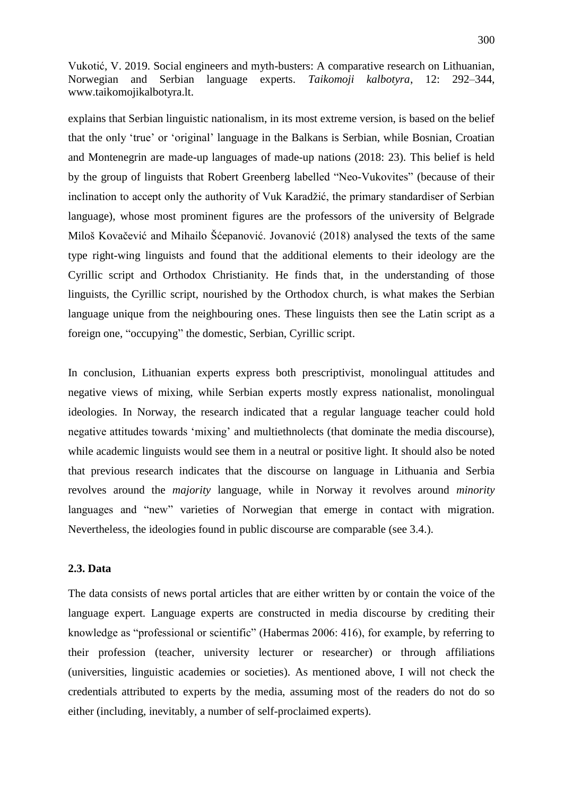explains that Serbian linguistic nationalism, in its most extreme version, is based on the belief that the only "true" or "original" language in the Balkans is Serbian, while Bosnian, Croatian and Montenegrin are made-up languages of made-up nations (2018: 23). This belief is held by the group of linguists that Robert Greenberg labelled "Neo-Vukovites" (because of their inclination to accept only the authority of Vuk Karadžić, the primary standardiser of Serbian language), whose most prominent figures are the professors of the university of Belgrade Miloš Kovačević and Mihailo Šćepanović. Jovanović (2018) analysed the texts of the same type right-wing linguists and found that the additional elements to their ideology are the Cyrillic script and Orthodox Christianity. He finds that, in the understanding of those linguists, the Cyrillic script, nourished by the Orthodox church, is what makes the Serbian language unique from the neighbouring ones. These linguists then see the Latin script as a foreign one, "occupying" the domestic, Serbian, Cyrillic script.

In conclusion, Lithuanian experts express both prescriptivist, monolingual attitudes and negative views of mixing, while Serbian experts mostly express nationalist, monolingual ideologies. In Norway, the research indicated that a regular language teacher could hold negative attitudes towards 'mixing' and multiethnolects (that dominate the media discourse), while academic linguists would see them in a neutral or positive light. It should also be noted that previous research indicates that the discourse on language in Lithuania and Serbia revolves around the *majority* language, while in Norway it revolves around *minority* languages and "new" varieties of Norwegian that emerge in contact with migration. Nevertheless, the ideologies found in public discourse are comparable (see 3.4.).

#### **2.3. Data**

The data consists of news portal articles that are either written by or contain the voice of the language expert. Language experts are constructed in media discourse by crediting their knowledge as "professional or scientific" (Habermas 2006: 416), for example, by referring to their profession (teacher, university lecturer or researcher) or through affiliations (universities, linguistic academies or societies). As mentioned above, I will not check the credentials attributed to experts by the media, assuming most of the readers do not do so either (including, inevitably, a number of self-proclaimed experts).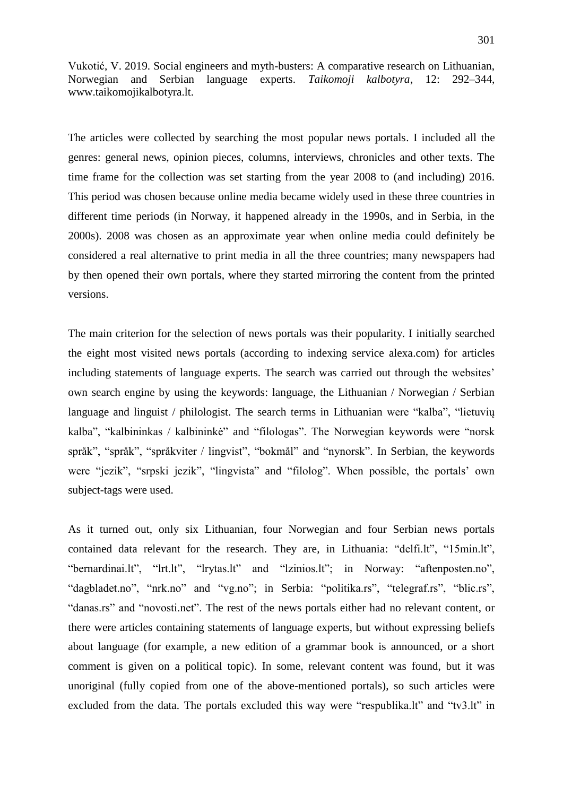The articles were collected by searching the most popular news portals. I included all the genres: general news, opinion pieces, columns, interviews, chronicles and other texts. The time frame for the collection was set starting from the year 2008 to (and including) 2016. This period was chosen because online media became widely used in these three countries in different time periods (in Norway, it happened already in the 1990s, and in Serbia, in the 2000s). 2008 was chosen as an approximate year when online media could definitely be considered a real alternative to print media in all the three countries; many newspapers had by then opened their own portals, where they started mirroring the content from the printed versions.

The main criterion for the selection of news portals was their popularity. I initially searched the eight most visited news portals (according to indexing service alexa.com) for articles including statements of language experts. The search was carried out through the websites' own search engine by using the keywords: language, the Lithuanian / Norwegian / Serbian language and linguist / philologist. The search terms in Lithuanian were "kalba", "lietuvių kalba", "kalbininkas / kalbininkė" and "filologas". The Norwegian keywords were "norsk språk", "språk", "språkviter / lingvist", "bokmål" and "nynorsk". In Serbian, the keywords were "jezik", "srpski jezik", "lingvista" and "filolog". When possible, the portals" own subject-tags were used.

As it turned out, only six Lithuanian, four Norwegian and four Serbian news portals contained data relevant for the research. They are, in Lithuania: "delfi.lt", "15min.lt", "bernardinai.lt", "lrt.lt", "lrytas.lt" and "lzinios.lt"; in Norway: "aftenposten.no", "dagbladet.no", "nrk.no" and "vg.no"; in Serbia: "politika.rs", "telegraf.rs", "blic.rs", "danas.rs" and "novosti.net". The rest of the news portals either had no relevant content, or there were articles containing statements of language experts, but without expressing beliefs about language (for example, a new edition of a grammar book is announced, or a short comment is given on a political topic). In some, relevant content was found, but it was unoriginal (fully copied from one of the above-mentioned portals), so such articles were excluded from the data. The portals excluded this way were "respublika.lt" and "tv3.lt" in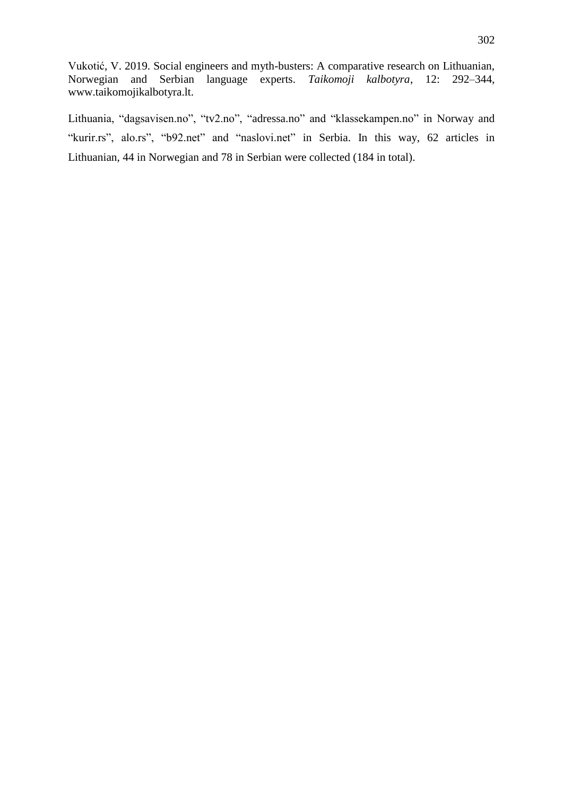Lithuania, "dagsavisen.no", "tv2.no", "adressa.no" and "klassekampen.no" in Norway and "kurir.rs", alo.rs", "b92.net" and "naslovi.net" in Serbia. In this way, 62 articles in Lithuanian, 44 in Norwegian and 78 in Serbian were collected (184 in total).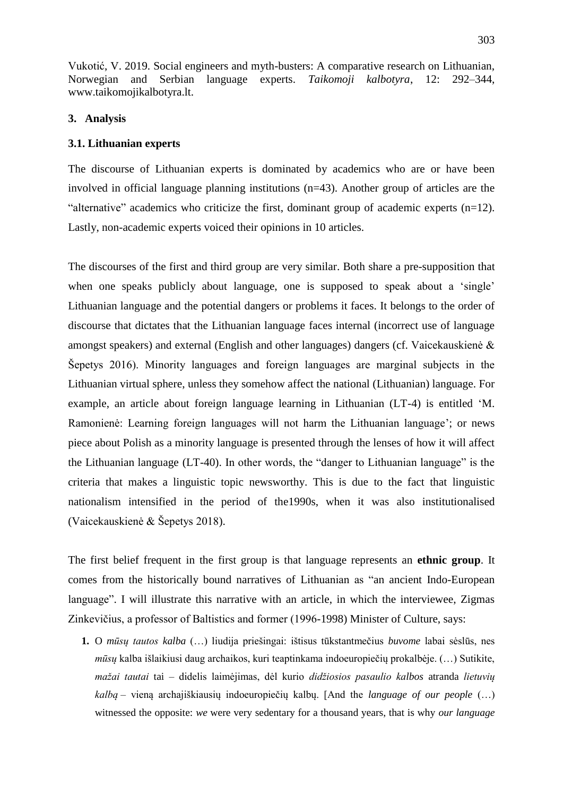# **3. Analysis**

## **3.1. Lithuanian experts**

The discourse of Lithuanian experts is dominated by academics who are or have been involved in official language planning institutions (n=43). Another group of articles are the "alternative" academics who criticize the first, dominant group of academic experts (n=12). Lastly, non-academic experts voiced their opinions in 10 articles.

The discourses of the first and third group are very similar. Both share a pre-supposition that when one speaks publicly about language, one is supposed to speak about a 'single' Lithuanian language and the potential dangers or problems it faces. It belongs to the order of discourse that dictates that the Lithuanian language faces internal (incorrect use of language amongst speakers) and external (English and other languages) dangers (cf. Vaicekauskienė & Šepetys 2016). Minority languages and foreign languages are marginal subjects in the Lithuanian virtual sphere, unless they somehow affect the national (Lithuanian) language. For example, an article about foreign language learning in Lithuanian (LT-4) is entitled "M. Ramonienė: Learning foreign languages will not harm the Lithuanian language"; or news piece about Polish as a minority language is presented through the lenses of how it will affect the Lithuanian language (LT-40). In other words, the "danger to Lithuanian language" is the criteria that makes a linguistic topic newsworthy. This is due to the fact that linguistic nationalism intensified in the period of the1990s, when it was also institutionalised (Vaicekauskienė & Šepetys 2018).

The first belief frequent in the first group is that language represents an **ethnic group**. It comes from the historically bound narratives of Lithuanian as "an ancient Indo-European language". I will illustrate this narrative with an article, in which the interviewee, Zigmas Zinkevičius, a professor of Baltistics and former (1996-1998) Minister of Culture, says:

**1.** O *mūsų tautos kalba* (…) liudija priešingai: ištisus tūkstantmečius *buvome* labai sėslūs, nes *mūsų* kalba išlaikiusi daug archaikos, kuri teaptinkama indoeuropiečių prokalbėje. (…) Sutikite, *mažai tautai* tai – didelis laimėjimas, dėl kurio *didžiosios pasaulio kalbos* atranda *lietuvių kalbą* – vieną archajiškiausių indoeuropiečių kalbų. [And the *language of our people* (…) witnessed the opposite: *we* were very sedentary for a thousand years, that is why *our language*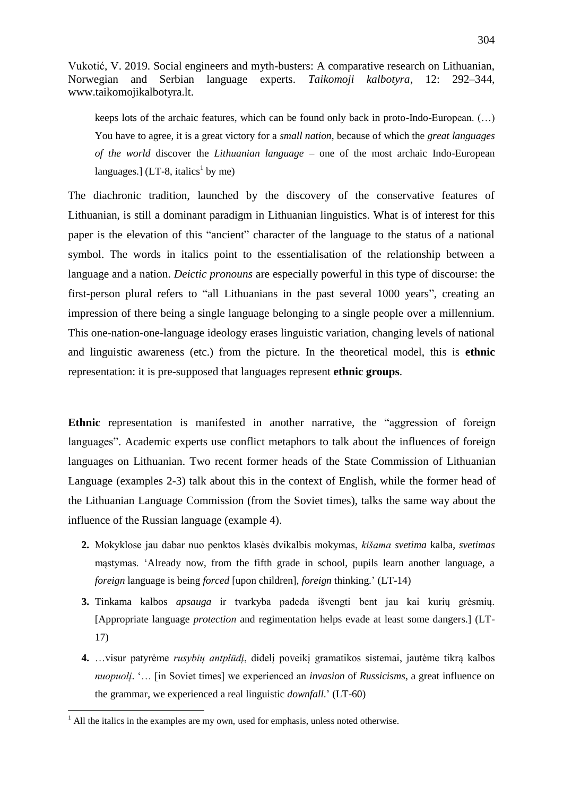keeps lots of the archaic features, which can be found only back in proto-Indo-European. (…) You have to agree, it is a great victory for a *small nation*, because of which the *great languages of the world* discover the *Lithuanian language* – one of the most archaic Indo-European languages.] (LT-8, italics<sup>1</sup> by me)

The diachronic tradition, launched by the discovery of the conservative features of Lithuanian, is still a dominant paradigm in Lithuanian linguistics. What is of interest for this paper is the elevation of this "ancient" character of the language to the status of a national symbol. The words in italics point to the essentialisation of the relationship between a language and a nation. *Deictic pronouns* are especially powerful in this type of discourse: the first-person plural refers to "all Lithuanians in the past several 1000 years", creating an impression of there being a single language belonging to a single people over a millennium. This one-nation-one-language ideology erases linguistic variation, changing levels of national and linguistic awareness (etc.) from the picture. In the theoretical model, this is **ethnic**  representation: it is pre-supposed that languages represent **ethnic groups**.

**Ethnic** representation is manifested in another narrative, the "aggression of foreign languages". Academic experts use conflict metaphors to talk about the influences of foreign languages on Lithuanian. Two recent former heads of the State Commission of Lithuanian Language (examples 2-3) talk about this in the context of English, while the former head of the Lithuanian Language Commission (from the Soviet times), talks the same way about the influence of the Russian language (example 4).

- **2.** Mokyklose jau dabar nuo penktos klasės dvikalbis mokymas, *kišama svetima* kalba, *svetimas* mąstymas. "Already now, from the fifth grade in school, pupils learn another language, a *foreign* language is being *forced* [upon children], *foreign* thinking." (LT-14)
- **3.** Tinkama kalbos *apsauga* ir tvarkyba padeda išvengti bent jau kai kurių grėsmių. [Appropriate language *protection* and regimentation helps evade at least some dangers.] (LT-17)
- **4.** …visur patyrėme *rusybių antplūdį*, didelį poveikį gramatikos sistemai, jautėme tikrą kalbos *nuopuolį*. "… [in Soviet times] we experienced an *invasion* of *Russicisms*, a great influence on the grammar, we experienced a real linguistic *downfall*." (LT-60)

1

 $<sup>1</sup>$  All the italics in the examples are my own, used for emphasis, unless noted otherwise.</sup>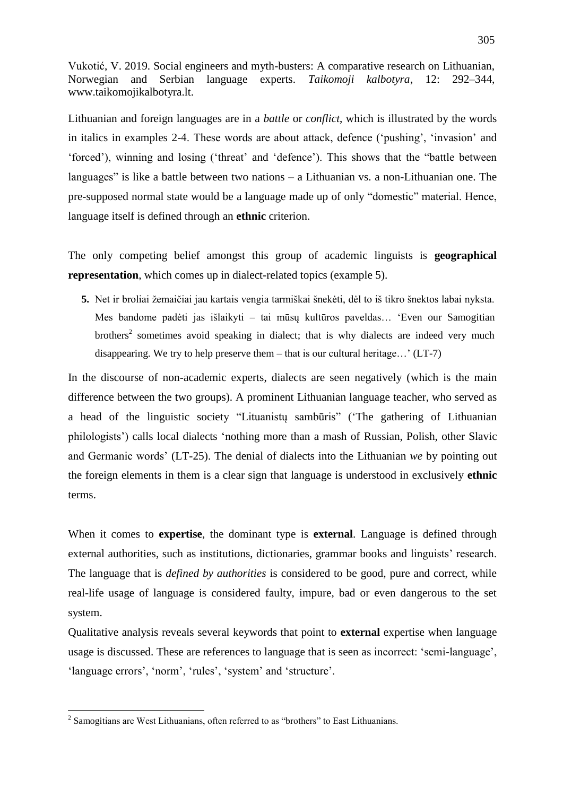Lithuanian and foreign languages are in a *battle* or *conflict*, which is illustrated by the words in italics in examples 2-4. These words are about attack, defence ("pushing", "invasion" and "forced"), winning and losing ("threat" and "defence"). This shows that the "battle between languages" is like a battle between two nations – a Lithuanian vs. a non-Lithuanian one. The pre-supposed normal state would be a language made up of only "domestic" material. Hence, language itself is defined through an **ethnic** criterion.

The only competing belief amongst this group of academic linguists is **geographical representation**, which comes up in dialect-related topics (example 5).

**5.** Net ir broliai žemaičiai jau kartais vengia tarmiškai šnekėti, dėl to iš tikro šnektos labai nyksta. Mes bandome padėti jas išlaikyti – tai mūsų kultūros paveldas… "Even our Samogitian brothers<sup>2</sup> sometimes avoid speaking in dialect; that is why dialects are indeed very much disappearing. We try to help preserve them – that is our cultural heritage...'  $(LT-7)$ 

In the discourse of non-academic experts, dialects are seen negatively (which is the main difference between the two groups). A prominent Lithuanian language teacher, who served as a head of the linguistic society "Lituanistų sambūris" ("The gathering of Lithuanian philologists") calls local dialects "nothing more than a mash of Russian, Polish, other Slavic and Germanic words" (LT-25). The denial of dialects into the Lithuanian *we* by pointing out the foreign elements in them is a clear sign that language is understood in exclusively **ethnic** terms.

When it comes to **expertise**, the dominant type is **external**. Language is defined through external authorities, such as institutions, dictionaries, grammar books and linguists' research. The language that is *defined by authorities* is considered to be good, pure and correct, while real-life usage of language is considered faulty, impure, bad or even dangerous to the set system.

Qualitative analysis reveals several keywords that point to **external** expertise when language usage is discussed. These are references to language that is seen as incorrect: "semi-language", 'language errors', 'norm', 'rules', 'system' and 'structure'.

1

 $2$  Samogitians are West Lithuanians, often referred to as "brothers" to East Lithuanians.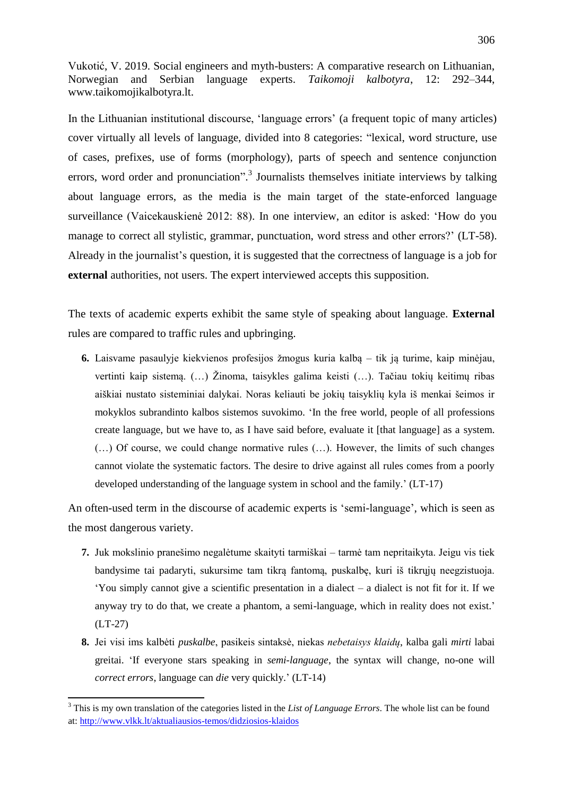In the Lithuanian institutional discourse, "language errors" (a frequent topic of many articles) cover virtually all levels of language, divided into 8 categories: "lexical, word structure, use of cases, prefixes, use of forms (morphology), parts of speech and sentence conjunction errors, word order and pronunciation".<sup>3</sup> Journalists themselves initiate interviews by talking about language errors, as the media is the main target of the state-enforced language surveillance (Vaicekauskienė 2012: 88). In one interview, an editor is asked: "How do you manage to correct all stylistic, grammar, punctuation, word stress and other errors?" (LT-58). Already in the journalist's question, it is suggested that the correctness of language is a job for **external** authorities, not users. The expert interviewed accepts this supposition.

The texts of academic experts exhibit the same style of speaking about language. **External**  rules are compared to traffic rules and upbringing.

**6.** Laisvame pasaulyje kiekvienos profesijos žmogus kuria kalbą – tik ją turime, kaip minėjau, vertinti kaip sistemą.  $(...)$  Žinoma, taisykles galima keisti  $(...)$ . Tačiau tokių keitimų ribas aiškiai nustato sisteminiai dalykai. Noras keliauti be jokių taisyklių kyla iš menkai šeimos ir mokyklos subrandinto kalbos sistemos suvokimo. "In the free world, people of all professions create language, but we have to, as I have said before, evaluate it [that language] as a system. (…) Of course, we could change normative rules (…). However, the limits of such changes cannot violate the systematic factors. The desire to drive against all rules comes from a poorly developed understanding of the language system in school and the family." (LT-17)

An often-used term in the discourse of academic experts is 'semi-language', which is seen as the most dangerous variety.

- **7.** Juk mokslinio pranešimo negalėtume skaityti tarmiškai tarmė tam nepritaikyta. Jeigu vis tiek bandysime tai padaryti, sukursime tam tikrą fantomą, puskalbę, kuri iš tikrųjų neegzistuoja. "You simply cannot give a scientific presentation in a dialect – a dialect is not fit for it. If we anyway try to do that, we create a phantom, a semi-language, which in reality does not exist.' (LT-27)
- **8.** Jei visi ims kalbėti *puskalbe*, pasikeis sintaksė, niekas *nebetaisys klaidų*, kalba gali *mirti* labai greitai. "If everyone stars speaking in *semi-language*, the syntax will change, no-one will *correct errors*, language can *die* very quickly." (LT-14)

**.** 

<sup>3</sup> This is my own translation of the categories listed in the *List of Language Errors*. The whole list can be found at:<http://www.vlkk.lt/aktualiausios-temos/didziosios-klaidos>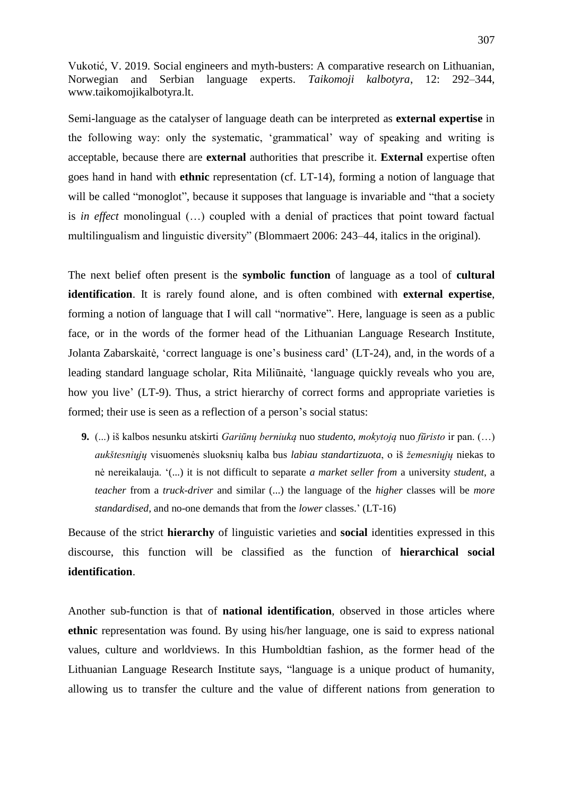Semi-language as the catalyser of language death can be interpreted as **external expertise** in the following way: only the systematic, "grammatical" way of speaking and writing is acceptable, because there are **external** authorities that prescribe it. **External** expertise often goes hand in hand with **ethnic** representation (cf. LT-14), forming a notion of language that will be called "monoglot", because it supposes that language is invariable and "that a society is *in effect* monolingual (…) coupled with a denial of practices that point toward factual multilingualism and linguistic diversity" (Blommaert 2006: 243–44, italics in the original).

The next belief often present is the **symbolic function** of language as a tool of **cultural identification**. It is rarely found alone, and is often combined with **external expertise**, forming a notion of language that I will call "normative". Here, language is seen as a public face, or in the words of the former head of the Lithuanian Language Research Institute, Jolanta Zabarskaitė, "correct language is one"s business card" (LT-24), and, in the words of a leading standard language scholar, Rita Miliūnaitė, "language quickly reveals who you are, how you live' (LT-9). Thus, a strict hierarchy of correct forms and appropriate varieties is formed; their use is seen as a reflection of a person's social status:

**9.** (...) iš kalbos nesunku atskirti *Gariūnų berniuką* nuo *studento*, *mokytoją* nuo *fūristo* ir pan. (…) *aukštesniųjų* visuomenės sluoksnių kalba bus *labiau standartizuota*, o iš *žemesniųjų* niekas to nė nereikalauja. "(...) it is not difficult to separate *a market seller from* a university *student*, a *teacher* from a *truck-driver* and similar (...) the language of the *higher* classes will be *more standardised*, and no-one demands that from the *lower* classes." (LT-16)

Because of the strict **hierarchy** of linguistic varieties and **social** identities expressed in this discourse, this function will be classified as the function of **hierarchical social identification**.

Another sub-function is that of **national identification**, observed in those articles where **ethnic** representation was found. By using his/her language, one is said to express national values, culture and worldviews. In this Humboldtian fashion, as the former head of the Lithuanian Language Research Institute says, "language is a unique product of humanity, allowing us to transfer the culture and the value of different nations from generation to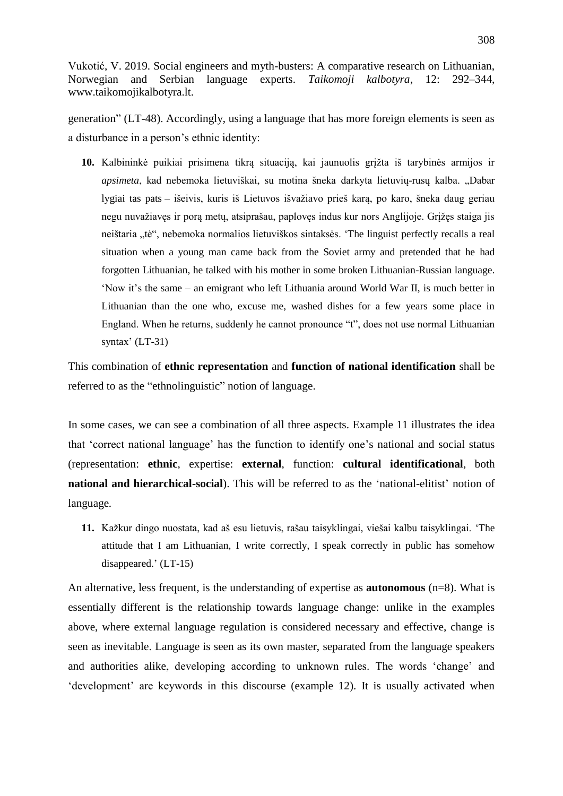generation" (LT-48). Accordingly, using a language that has more foreign elements is seen as a disturbance in a person"s ethnic identity:

10. Kalbininkė puikiai prisimena tikra situacija, kai jaunuolis grižta iš tarybinės armijos ir *apsimeta*, kad nebemoka lietuviškai, su motina šneka darkyta lietuvių-rusų kalba. "Dabar lygiai tas pats – išeivis, kuris iš Lietuvos išvažiavo prieš karą, po karo, šneka daug geriau negu nuvažiavęs ir porą metų, atsiprašau, paplovęs indus kur nors Anglijoje. Grižęs staiga jis neištaria "tė", nebemoka normalios lietuviškos sintaksės. 'The linguist perfectly recalls a real situation when a young man came back from the Soviet army and pretended that he had forgotten Lithuanian, he talked with his mother in some broken Lithuanian-Russian language. "Now it"s the same – an emigrant who left Lithuania around World War II, is much better in Lithuanian than the one who, excuse me, washed dishes for a few years some place in England. When he returns, suddenly he cannot pronounce "t", does not use normal Lithuanian syntax'  $(LT-31)$ 

This combination of **ethnic representation** and **function of national identification** shall be referred to as the "ethnolinguistic" notion of language.

In some cases, we can see a combination of all three aspects. Example 11 illustrates the idea that "correct national language" has the function to identify one"s national and social status (representation: **ethnic**, expertise: **external**, function: **cultural identificational**, both **national and hierarchical-social**). This will be referred to as the 'national-elitist' notion of language*.*

**11.** Kažkur dingo nuostata, kad aš esu lietuvis, rašau taisyklingai, viešai kalbu taisyklingai. 'The attitude that I am Lithuanian, I write correctly, I speak correctly in public has somehow disappeared.' (LT-15)

An alternative, less frequent, is the understanding of expertise as **autonomous** (n=8). What is essentially different is the relationship towards language change: unlike in the examples above, where external language regulation is considered necessary and effective, change is seen as inevitable. Language is seen as its own master, separated from the language speakers and authorities alike, developing according to unknown rules. The words "change" and 'development' are keywords in this discourse (example 12). It is usually activated when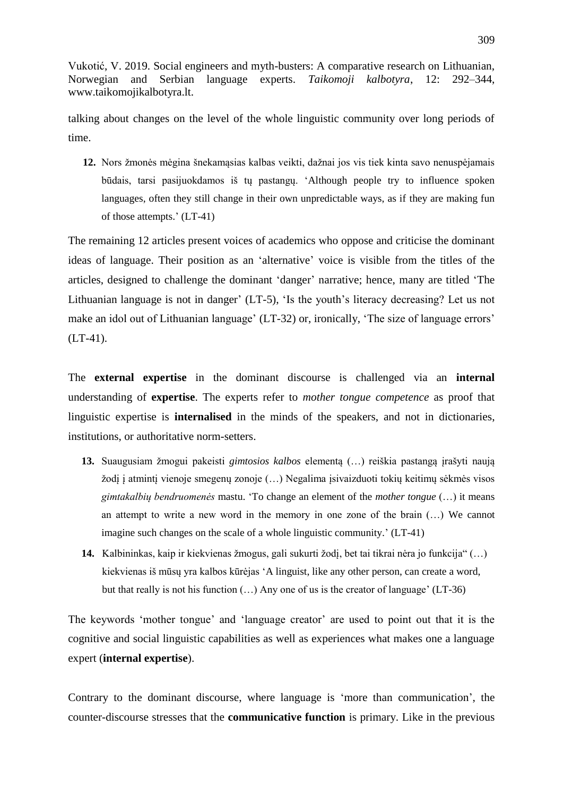talking about changes on the level of the whole linguistic community over long periods of time.

12. Nors žmonės mėgina šnekamasias kalbas veikti, dažnai jos vis tiek kinta savo nenuspėjamais būdais, tarsi pasijuokdamos iš tų pastangų. "Although people try to influence spoken languages, often they still change in their own unpredictable ways, as if they are making fun of those attempts." (LT-41)

The remaining 12 articles present voices of academics who oppose and criticise the dominant ideas of language. Their position as an "alternative" voice is visible from the titles of the articles, designed to challenge the dominant "danger" narrative; hence, many are titled "The Lithuanian language is not in danger'  $(LT-5)$ , 'Is the youth's literacy decreasing? Let us not make an idol out of Lithuanian language' (LT-32) or, ironically, 'The size of language errors'  $(LT-41)$ .

The **external expertise** in the dominant discourse is challenged via an **internal** understanding of **expertise**. The experts refer to *mother tongue competence* as proof that linguistic expertise is **internalised** in the minds of the speakers, and not in dictionaries, institutions, or authoritative norm-setters.

- 13. Suaugusiam žmogui pakeisti *gimtosios kalbos* elementa (...) reiškia pastangą irašyti naują ţodį į atmintį vienoje smegenų zonoje (…) Negalima įsivaizduoti tokių keitimų sėkmės visos *gimtakalbių bendruomenės* mastu. "To change an element of the *mother tongue* (…) it means an attempt to write a new word in the memory in one zone of the brain (…) We cannot imagine such changes on the scale of a whole linguistic community." (LT-41)
- **14.** Kalbininkas, kaip ir kiekvienas žmogus, gali sukurti žodį, bet tai tikrai nėra jo funkcija" (…) kiekvienas iš mūsų yra kalbos kūrėjas "A linguist, like any other person, can create a word, but that really is not his function  $(...)$  Any one of us is the creator of language' (LT-36)

The keywords 'mother tongue' and 'language creator' are used to point out that it is the cognitive and social linguistic capabilities as well as experiences what makes one a language expert (**internal expertise**).

Contrary to the dominant discourse, where language is "more than communication", the counter-discourse stresses that the **communicative function** is primary. Like in the previous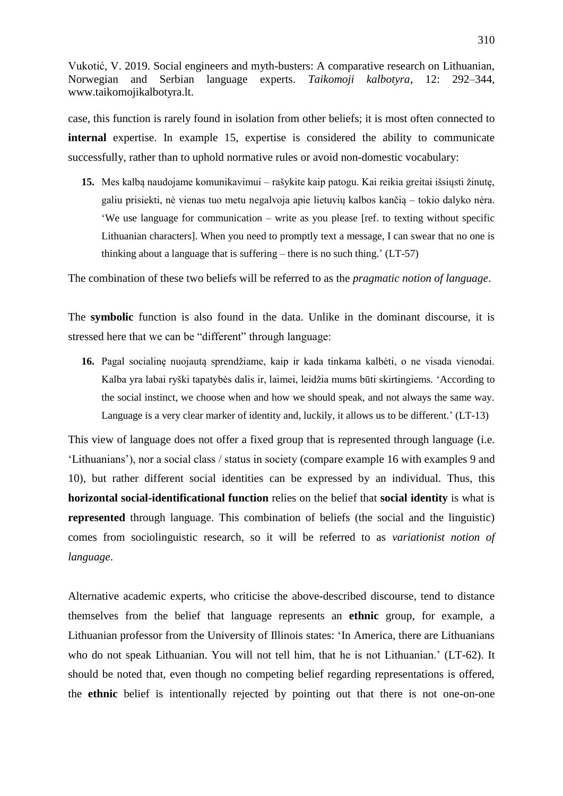case, this function is rarely found in isolation from other beliefs; it is most often connected to **internal** expertise. In example 15, expertise is considered the ability to communicate successfully, rather than to uphold normative rules or avoid non-domestic vocabulary:

15. Mes kalbą naudojame komunikavimui – rašykite kaip patogu. Kai reikia greitai išsiųsti žinutę, galiu prisiekti, nė vienas tuo metu negalvoja apie lietuvių kalbos kančią – tokio dalyko nėra. "We use language for communication – write as you please [ref. to texting without specific Lithuanian characters]. When you need to promptly text a message, I can swear that no one is thinking about a language that is suffering – there is no such thing.'  $(LT-57)$ 

The combination of these two beliefs will be referred to as the *pragmatic notion of language*.

The **symbolic** function is also found in the data. Unlike in the dominant discourse, it is stressed here that we can be "different" through language:

**16.** Pagal socialine nuojauta sprendžiame, kaip ir kada tinkama kalbėti, o ne visada vienodai. Kalba yra labai ryški tapatybės dalis ir, laimei, leidžia mums būti skirtingiems. 'According to the social instinct, we choose when and how we should speak, and not always the same way. Language is a very clear marker of identity and, luckily, it allows us to be different.' (LT-13)

This view of language does not offer a fixed group that is represented through language (i.e. "Lithuanians"), nor a social class / status in society (compare example 16 with examples 9 and 10), but rather different social identities can be expressed by an individual. Thus, this **horizontal social-identificational function** relies on the belief that **social identity** is what is **represented** through language. This combination of beliefs (the social and the linguistic) comes from sociolinguistic research, so it will be referred to as *variationist notion of language*.

Alternative academic experts, who criticise the above-described discourse, tend to distance themselves from the belief that language represents an **ethnic** group, for example, a Lithuanian professor from the University of Illinois states: "In America, there are Lithuanians who do not speak Lithuanian. You will not tell him, that he is not Lithuanian.' (LT-62). It should be noted that, even though no competing belief regarding representations is offered, the **ethnic** belief is intentionally rejected by pointing out that there is not one-on-one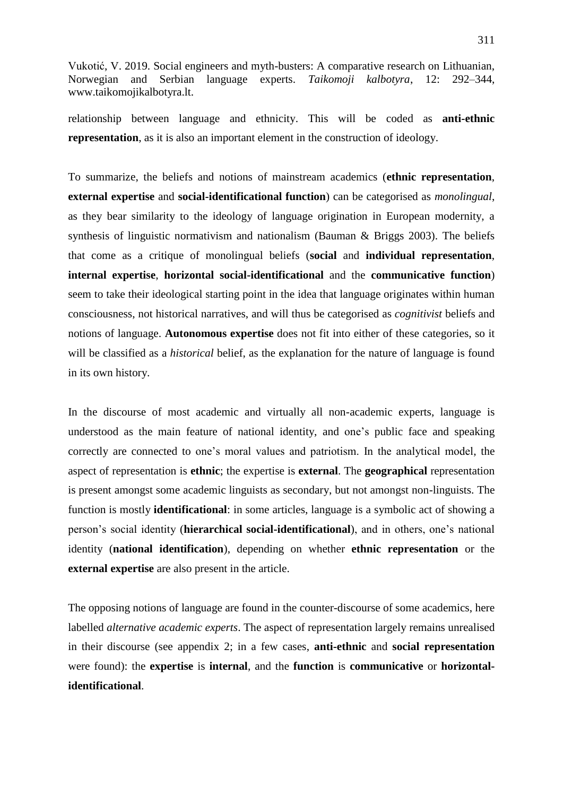relationship between language and ethnicity. This will be coded as **anti-ethnic representation**, as it is also an important element in the construction of ideology.

To summarize, the beliefs and notions of mainstream academics (**ethnic representation**, **external expertise** and **social-identificational function**) can be categorised as *monolingual*, as they bear similarity to the ideology of language origination in European modernity, a synthesis of linguistic normativism and nationalism (Bauman & Briggs 2003). The beliefs that come as a critique of monolingual beliefs (**social** and **individual representation**, **internal expertise**, **horizontal social-identificational** and the **communicative function**) seem to take their ideological starting point in the idea that language originates within human consciousness, not historical narratives, and will thus be categorised as *cognitivist* beliefs and notions of language. **Autonomous expertise** does not fit into either of these categories, so it will be classified as a *historical* belief, as the explanation for the nature of language is found in its own history.

In the discourse of most academic and virtually all non-academic experts, language is understood as the main feature of national identity, and one"s public face and speaking correctly are connected to one"s moral values and patriotism. In the analytical model, the aspect of representation is **ethnic**; the expertise is **external**. The **geographical** representation is present amongst some academic linguists as secondary, but not amongst non-linguists. The function is mostly **identificational**: in some articles, language is a symbolic act of showing a person"s social identity (**hierarchical social-identificational**), and in others, one"s national identity (**national identification**), depending on whether **ethnic representation** or the **external expertise** are also present in the article.

The opposing notions of language are found in the counter-discourse of some academics, here labelled *alternative academic experts*. The aspect of representation largely remains unrealised in their discourse (see appendix 2; in a few cases, **anti-ethnic** and **social representation** were found): the **expertise** is **internal**, and the **function** is **communicative** or **horizontalidentificational**.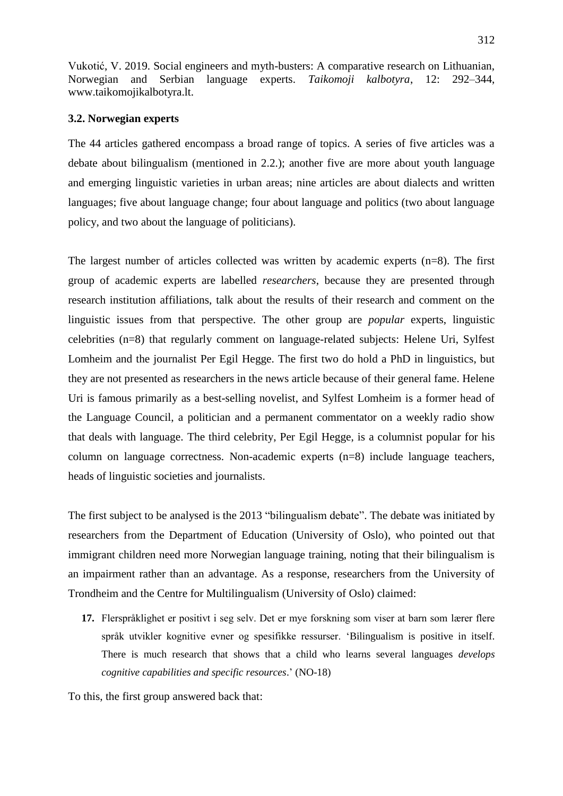# **3.2. Norwegian experts**

The 44 articles gathered encompass a broad range of topics. A series of five articles was a debate about bilingualism (mentioned in 2.2.); another five are more about youth language and emerging linguistic varieties in urban areas; nine articles are about dialects and written languages; five about language change; four about language and politics (two about language policy, and two about the language of politicians).

The largest number of articles collected was written by academic experts (n=8). The first group of academic experts are labelled *researchers*, because they are presented through research institution affiliations, talk about the results of their research and comment on the linguistic issues from that perspective. The other group are *popular* experts, linguistic celebrities (n=8) that regularly comment on language-related subjects: Helene Uri, Sylfest Lomheim and the journalist Per Egil Hegge. The first two do hold a PhD in linguistics, but they are not presented as researchers in the news article because of their general fame. Helene Uri is famous primarily as a best-selling novelist, and Sylfest Lomheim is a former head of the Language Council, a politician and a permanent commentator on a weekly radio show that deals with language. The third celebrity, Per Egil Hegge, is a columnist popular for his column on language correctness. Non-academic experts (n=8) include language teachers, heads of linguistic societies and journalists.

The first subject to be analysed is the 2013 "bilingualism debate". The debate was initiated by researchers from the Department of Education (University of Oslo), who pointed out that immigrant children need more Norwegian language training, noting that their bilingualism is an impairment rather than an advantage. As a response, researchers from the University of Trondheim and the Centre for Multilingualism (University of Oslo) claimed:

**17.** Flerspråklighet er positivt i seg selv. Det er mye forskning som viser at barn som lærer flere språk utvikler kognitive evner og spesifikke ressurser. "Bilingualism is positive in itself. There is much research that shows that a child who learns several languages *develops cognitive capabilities and specific resources*." (NO-18)

To this, the first group answered back that: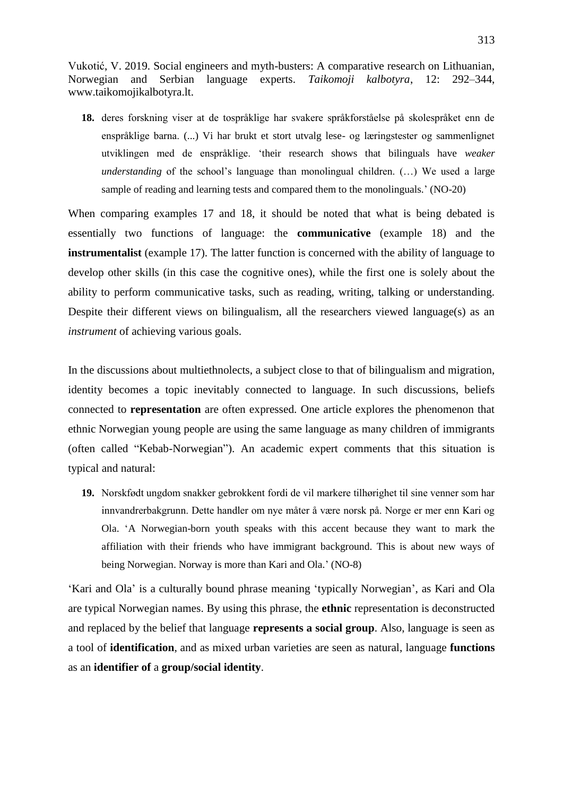**18.** deres forskning viser at de tospråklige har svakere språkforståelse på skolespråket enn de enspråklige barna. (...) Vi har brukt et stort utvalg lese- og læringstester og sammenlignet utviklingen med de enspråklige. "their research shows that bilinguals have *weaker understanding* of the school's language than monolingual children. (...) We used a large sample of reading and learning tests and compared them to the monolinguals.' (NO-20)

When comparing examples 17 and 18, it should be noted that what is being debated is essentially two functions of language: the **communicative** (example 18) and the **instrumentalist** (example 17). The latter function is concerned with the ability of language to develop other skills (in this case the cognitive ones), while the first one is solely about the ability to perform communicative tasks, such as reading, writing, talking or understanding. Despite their different views on bilingualism, all the researchers viewed language(s) as an *instrument* of achieving various goals.

In the discussions about multiethnolects, a subject close to that of bilingualism and migration, identity becomes a topic inevitably connected to language. In such discussions, beliefs connected to **representation** are often expressed. One article explores the phenomenon that ethnic Norwegian young people are using the same language as many children of immigrants (often called "Kebab-Norwegian"). An academic expert comments that this situation is typical and natural:

**19.** Norskfødt ungdom snakker gebrokkent fordi de vil markere tilhørighet til sine venner som har innvandrerbakgrunn. Dette handler om nye måter å være norsk på. Norge er mer enn Kari og Ola. "A Norwegian-born youth speaks with this accent because they want to mark the affiliation with their friends who have immigrant background. This is about new ways of being Norwegian. Norway is more than Kari and Ola.' (NO-8)

"Kari and Ola" is a culturally bound phrase meaning "typically Norwegian", as Kari and Ola are typical Norwegian names. By using this phrase, the **ethnic** representation is deconstructed and replaced by the belief that language **represents a social group**. Also, language is seen as a tool of **identification**, and as mixed urban varieties are seen as natural, language **functions**  as an **identifier of** a **group/social identity**.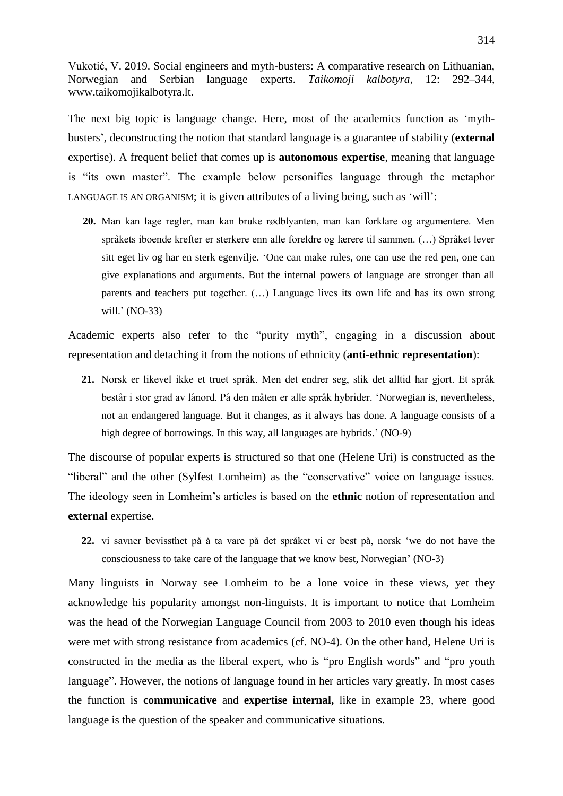The next big topic is language change. Here, most of the academics function as "mythbusters", deconstructing the notion that standard language is a guarantee of stability (**external** expertise). A frequent belief that comes up is **autonomous expertise**, meaning that language is "its own master". The example below personifies language through the metaphor LANGUAGE IS AN ORGANISM; it is given attributes of a living being, such as "will":

**20.** Man kan lage regler, man kan bruke rødblyanten, man kan forklare og argumentere. Men språkets iboende krefter er sterkere enn alle foreldre og lærere til sammen. (…) Språket lever sitt eget liv og har en sterk egenvilje. "One can make rules, one can use the red pen, one can give explanations and arguments. But the internal powers of language are stronger than all parents and teachers put together. (…) Language lives its own life and has its own strong will.' (NO-33)

Academic experts also refer to the "purity myth", engaging in a discussion about representation and detaching it from the notions of ethnicity (**anti-ethnic representation**):

**21.** Norsk er likevel ikke et truet språk. Men det endrer seg, slik det alltid har gjort. Et språk består i stor grad av lånord. På den måten er alle språk hybrider. "Norwegian is, nevertheless, not an endangered language. But it changes, as it always has done. A language consists of a high degree of borrowings. In this way, all languages are hybrids.' (NO-9)

The discourse of popular experts is structured so that one (Helene Uri) is constructed as the "liberal" and the other (Sylfest Lomheim) as the "conservative" voice on language issues. The ideology seen in Lomheim"s articles is based on the **ethnic** notion of representation and **external** expertise.

**22.** vi savner bevissthet på å ta vare på det språket vi er best på, norsk "we do not have the consciousness to take care of the language that we know best, Norwegian" (NO-3)

Many linguists in Norway see Lomheim to be a lone voice in these views, yet they acknowledge his popularity amongst non-linguists. It is important to notice that Lomheim was the head of the Norwegian Language Council from 2003 to 2010 even though his ideas were met with strong resistance from academics (cf. NO-4). On the other hand, Helene Uri is constructed in the media as the liberal expert, who is "pro English words" and "pro youth language". However, the notions of language found in her articles vary greatly. In most cases the function is **communicative** and **expertise internal,** like in example 23, where good language is the question of the speaker and communicative situations.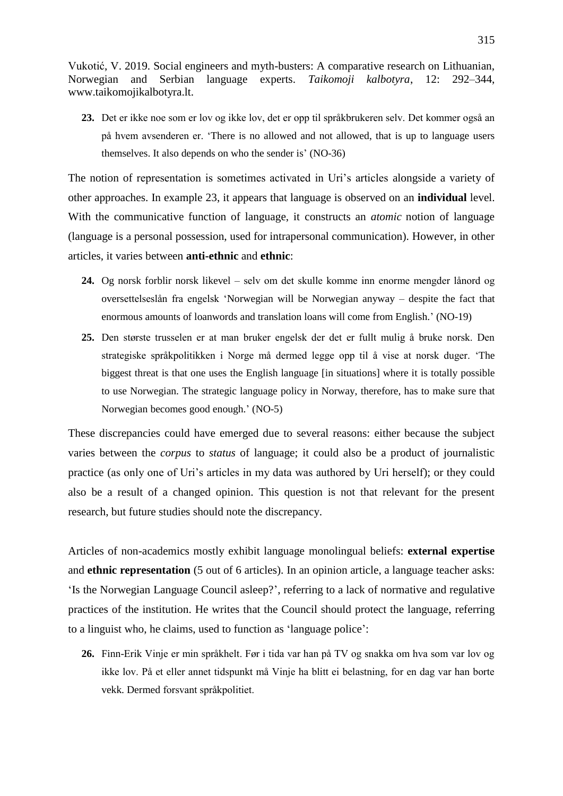**23.** Det er ikke noe som er lov og ikke lov, det er opp til språkbrukeren selv. Det kommer også an på hvem avsenderen er. "There is no allowed and not allowed, that is up to language users themselves. It also depends on who the sender is' (NO-36)

The notion of representation is sometimes activated in Uri's articles alongside a variety of other approaches. In example 23, it appears that language is observed on an **individual** level. With the communicative function of language, it constructs an *atomic* notion of language (language is a personal possession, used for intrapersonal communication). However, in other articles, it varies between **anti-ethnic** and **ethnic**:

- **24.** Og norsk forblir norsk likevel selv om det skulle komme inn enorme mengder lånord og oversettelseslån fra engelsk "Norwegian will be Norwegian anyway – despite the fact that enormous amounts of loanwords and translation loans will come from English." (NO-19)
- **25.** Den største trusselen er at man bruker engelsk der det er fullt mulig å bruke norsk. Den strategiske språkpolitikken i Norge må dermed legge opp til å vise at norsk duger. "The biggest threat is that one uses the English language [in situations] where it is totally possible to use Norwegian. The strategic language policy in Norway, therefore, has to make sure that Norwegian becomes good enough." (NO-5)

These discrepancies could have emerged due to several reasons: either because the subject varies between the *corpus* to *status* of language; it could also be a product of journalistic practice (as only one of Uri"s articles in my data was authored by Uri herself); or they could also be a result of a changed opinion. This question is not that relevant for the present research, but future studies should note the discrepancy.

Articles of non-academics mostly exhibit language monolingual beliefs: **external expertise** and **ethnic representation** (5 out of 6 articles). In an opinion article, a language teacher asks: "Is the Norwegian Language Council asleep?", referring to a lack of normative and regulative practices of the institution. He writes that the Council should protect the language, referring to a linguist who, he claims, used to function as "language police":

**26.** Finn-Erik Vinje er min språkhelt. Før i tida var han på TV og snakka om hva som var lov og ikke lov. På et eller annet tidspunkt må Vinje ha blitt ei belastning, for en dag var han borte vekk. Dermed forsvant språkpolitiet.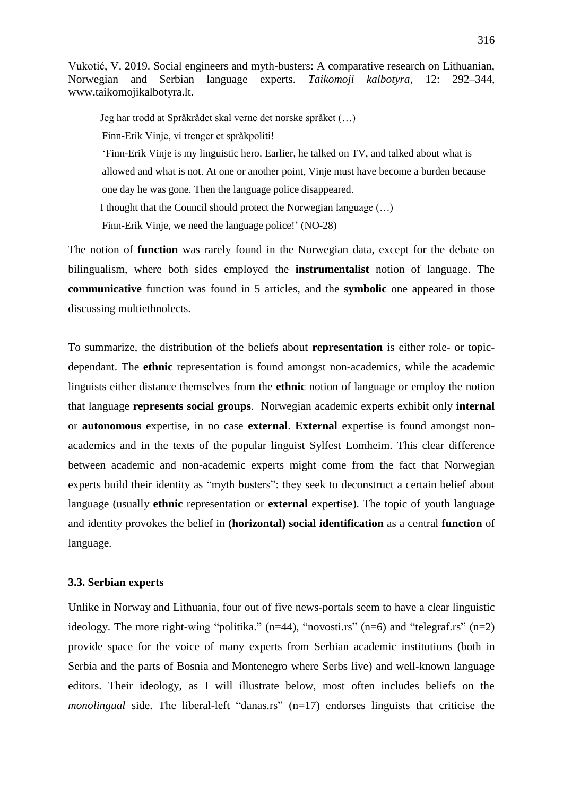Jeg har trodd at Språkrådet skal verne det norske språket (…) Finn-Erik Vinje, vi trenger et språkpoliti! "Finn-Erik Vinje is my linguistic hero. Earlier, he talked on TV, and talked about what is allowed and what is not. At one or another point, Vinje must have become a burden because one day he was gone. Then the language police disappeared. I thought that the Council should protect the Norwegian language (…) Finn-Erik Vinje, we need the language police!' (NO-28)

The notion of **function** was rarely found in the Norwegian data, except for the debate on bilingualism, where both sides employed the **instrumentalist** notion of language. The **communicative** function was found in 5 articles, and the **symbolic** one appeared in those discussing multiethnolects.

To summarize, the distribution of the beliefs about **representation** is either role- or topicdependant. The **ethnic** representation is found amongst non-academics, while the academic linguists either distance themselves from the **ethnic** notion of language or employ the notion that language **represents social groups**. Norwegian academic experts exhibit only **internal** or **autonomous** expertise, in no case **external**. **External** expertise is found amongst nonacademics and in the texts of the popular linguist Sylfest Lomheim. This clear difference between academic and non-academic experts might come from the fact that Norwegian experts build their identity as "myth busters": they seek to deconstruct a certain belief about language (usually **ethnic** representation or **external** expertise). The topic of youth language and identity provokes the belief in **(horizontal) social identification** as a central **function** of language.

# **3.3. Serbian experts**

Unlike in Norway and Lithuania, four out of five news-portals seem to have a clear linguistic ideology. The more right-wing "politika."  $(n=44)$ , "novosti.rs"  $(n=6)$  and "telegraf.rs"  $(n=2)$ provide space for the voice of many experts from Serbian academic institutions (both in Serbia and the parts of Bosnia and Montenegro where Serbs live) and well-known language editors. Their ideology, as I will illustrate below, most often includes beliefs on the *monolingual* side. The liberal-left "danas.rs" (n=17) endorses linguists that criticise the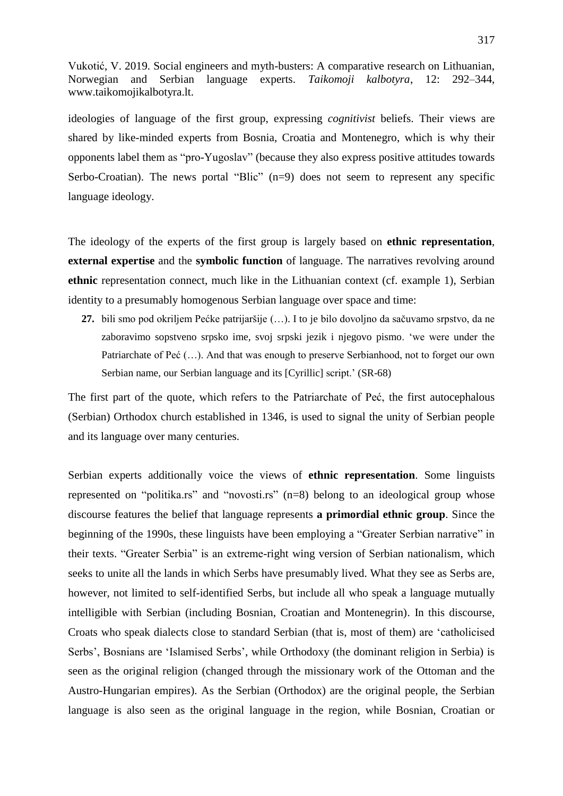ideologies of language of the first group, expressing *cognitivist* beliefs. Their views are shared by like-minded experts from Bosnia, Croatia and Montenegro, which is why their opponents label them as "pro-Yugoslav" (because they also express positive attitudes towards Serbo-Croatian). The news portal "Blic"  $(n=9)$  does not seem to represent any specific language ideology.

The ideology of the experts of the first group is largely based on **ethnic representation**, **external expertise** and the **symbolic function** of language. The narratives revolving around **ethnic** representation connect, much like in the Lithuanian context (cf. example 1), Serbian identity to a presumably homogenous Serbian language over space and time:

**27.** bili smo pod okriljem Pećke patrijaršije (…). I to je bilo dovoljno da sačuvamo srpstvo, da ne zaboravimo sopstveno srpsko ime, svoj srpski jezik i njegovo pismo. "we were under the Patriarchate of Peć (…). And that was enough to preserve Serbianhood, not to forget our own Serbian name, our Serbian language and its [Cyrillic] script.' (SR-68)

The first part of the quote, which refers to the Patriarchate of Peć, the first autocephalous (Serbian) Orthodox church established in 1346, is used to signal the unity of Serbian people and its language over many centuries.

Serbian experts additionally voice the views of **ethnic representation**. Some linguists represented on "politika.rs" and "novosti.rs" (n=8) belong to an ideological group whose discourse features the belief that language represents **a primordial ethnic group**. Since the beginning of the 1990s, these linguists have been employing a "Greater Serbian narrative" in their texts. "Greater Serbia" is an extreme-right wing version of Serbian nationalism, which seeks to unite all the lands in which Serbs have presumably lived. What they see as Serbs are, however, not limited to self-identified Serbs, but include all who speak a language mutually intelligible with Serbian (including Bosnian, Croatian and Montenegrin). In this discourse, Croats who speak dialects close to standard Serbian (that is, most of them) are "catholicised Serbs', Bosnians are 'Islamised Serbs', while Orthodoxy (the dominant religion in Serbia) is seen as the original religion (changed through the missionary work of the Ottoman and the Austro-Hungarian empires). As the Serbian (Orthodox) are the original people, the Serbian language is also seen as the original language in the region, while Bosnian, Croatian or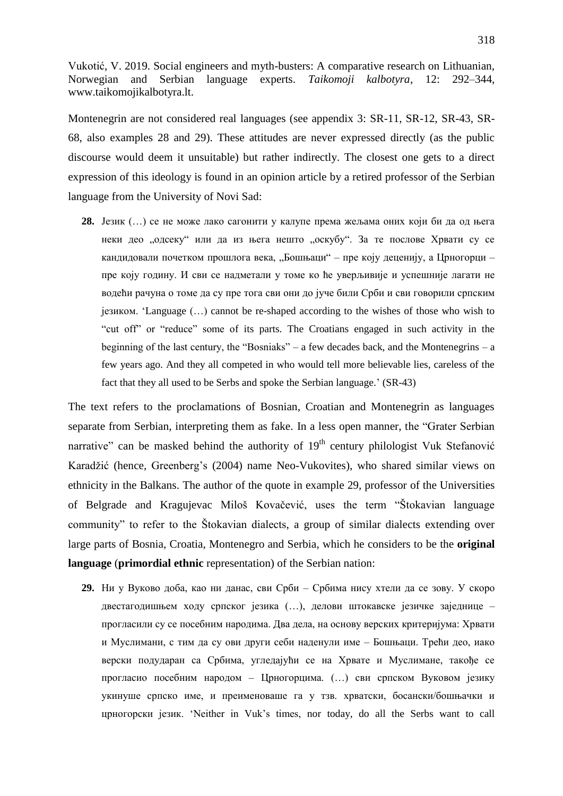Montenegrin are not considered real languages (see appendix 3: SR-11, SR-12, SR-43, SR-68, also examples 28 and 29). These attitudes are never expressed directly (as the public discourse would deem it unsuitable) but rather indirectly. The closest one gets to a direct expression of this ideology is found in an opinion article by a retired professor of the Serbian language from the University of Novi Sad:

**28.** Језик (…) се не може лако сагонити у калупе према жељама оних који би да од њега неки део "одсеку" или да из њега нешто "оскубу". За те послове Хрвати су се кандидовали почетком прошлога века, "Бошњаци" – пре коју деценију, а Црногорци – пре коју годину. И сви се надметали у томе ко ће уверљивије и успешније лагати не водећи рачуна о томе да су пре тога сви они до јуче били Срби и сви говорили српским језиком. "Language (…) cannot be re-shaped according to the wishes of those who wish to "cut off" or "reduce" some of its parts. The Croatians engaged in such activity in the beginning of the last century, the "Bosniaks" – a few decades back, and the Montenegrins – a few years ago. And they all competed in who would tell more believable lies, careless of the fact that they all used to be Serbs and spoke the Serbian language.' (SR-43)

The text refers to the proclamations of Bosnian, Croatian and Montenegrin as languages separate from Serbian, interpreting them as fake. In a less open manner, the "Grater Serbian narrative" can be masked behind the authority of  $19<sup>th</sup>$  century philologist Vuk Stefanović Karadžić (hence, Greenberg's (2004) name Neo-Vukovites), who shared similar views on ethnicity in the Balkans. The author of the quote in example 29, professor of the Universities of Belgrade and Kragujevac Miloš Kovačević, uses the term "Štokavian language community" to refer to the Štokavian dialects, a group of similar dialects extending over large parts of Bosnia, Croatia, Montenegro and Serbia, which he considers to be the **original language** (**primordial ethnic** representation) of the Serbian nation:

**29.** Ни у Вуково доба, као ни данас, сви Срби – Србима нису хтели да се зову. У скоро двестагодишњем ходу српског језика (…), делови штокавске језичке заједнице – прогласили су се посебним народима. Два дела, на основу верских критеријума: Хрвати и Муслимани, с тим да су ови други себи наденули име – Бошњаци. Трећи део, иако верски подударан са Србима, угледајући се на Хрвате и Муслимане, такође се прогласио посебним народом – Црногорцима. (…) сви српском Вуковом језику укинуше српско име, и преименоваше га у тзв. хрватски, босански/бошњачки и црногорски језик. "Neither in Vuk"s times, nor today, do all the Serbs want to call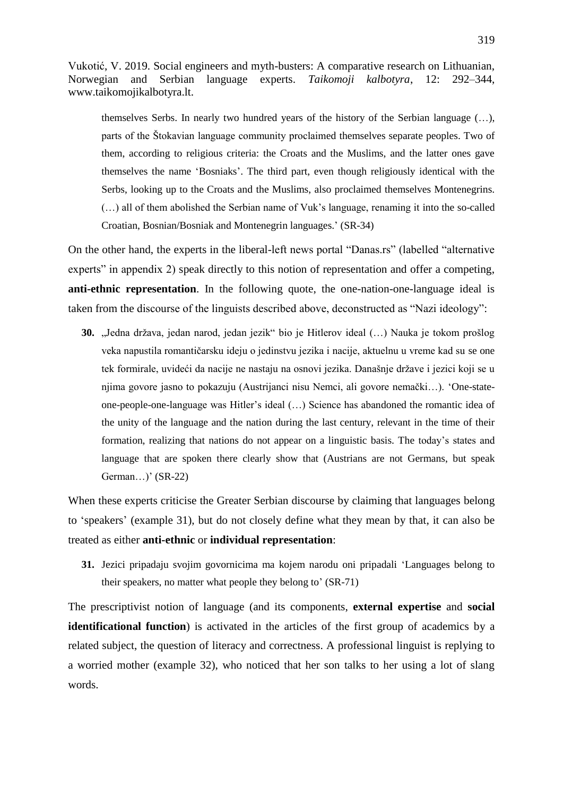themselves Serbs. In nearly two hundred years of the history of the Serbian language (…), parts of the Štokavian language community proclaimed themselves separate peoples. Two of them, according to religious criteria: the Croats and the Muslims, and the latter ones gave themselves the name "Bosniaks". The third part, even though religiously identical with the Serbs, looking up to the Croats and the Muslims, also proclaimed themselves Montenegrins. (…) all of them abolished the Serbian name of Vuk"s language, renaming it into the so-called Croatian, Bosnian/Bosniak and Montenegrin languages." (SR-34)

On the other hand, the experts in the liberal-left news portal "Danas.rs" (labelled "alternative experts" in appendix 2) speak directly to this notion of representation and offer a competing, **anti-ethnic representation**. In the following quote, the one-nation-one-language ideal is taken from the discourse of the linguists described above, deconstructed as "Nazi ideology":

**30.** "Jedna država, jedan narod, jedan jezik" bio je Hitlerov ideal (...) Nauka je tokom prošlog veka napustila romantičarsku ideju o jedinstvu jezika i nacije, aktuelnu u vreme kad su se one tek formirale, uvideći da nacije ne nastaju na osnovi jezika. Današnje države i jezici koji se u njima govore jasno to pokazuju (Austrijanci nisu Nemci, ali govore nemački…). "One-stateone-people-one-language was Hitler"s ideal (…) Science has abandoned the romantic idea of the unity of the language and the nation during the last century, relevant in the time of their formation, realizing that nations do not appear on a linguistic basis. The today"s states and language that are spoken there clearly show that (Austrians are not Germans, but speak German... $)'$  (SR-22)

When these experts criticise the Greater Serbian discourse by claiming that languages belong to "speakers" (example 31), but do not closely define what they mean by that, it can also be treated as either **anti-ethnic** or **individual representation**:

**31.** Jezici pripadaju svojim govornicima ma kojem narodu oni pripadali "Languages belong to their speakers, no matter what people they belong to' (SR-71)

The prescriptivist notion of language (and its components, **external expertise** and **social identificational function**) is activated in the articles of the first group of academics by a related subject, the question of literacy and correctness. A professional linguist is replying to a worried mother (example 32), who noticed that her son talks to her using a lot of slang words.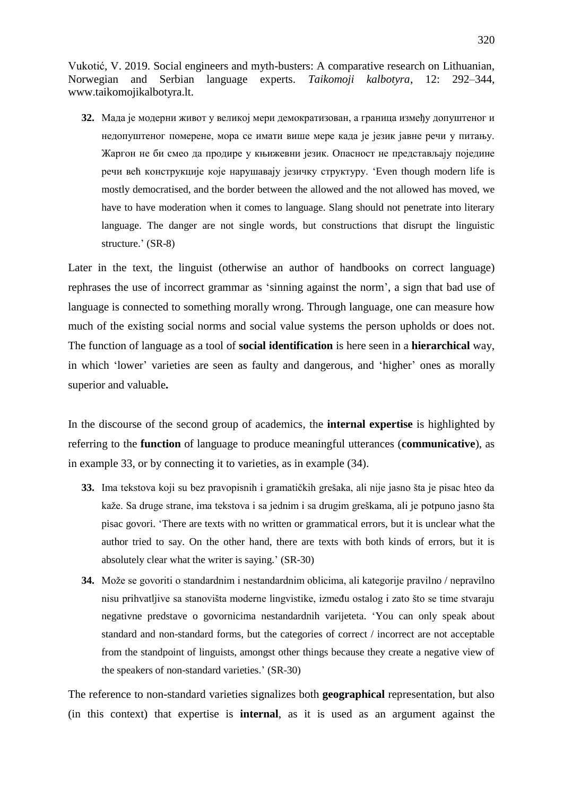**32.** Мада је модерни живот у великој мери демократизован, а граница између допуштеног и недопуштеног померене, мора се имати више мере када је језик јавне речи у питању. Жаргон не би смео да продире у књижевни језик. Опасност не представљају поједине речи већ конструкције које нарушавају језичку структуру. "Even though modern life is mostly democratised, and the border between the allowed and the not allowed has moved, we have to have moderation when it comes to language. Slang should not penetrate into literary language. The danger are not single words, but constructions that disrupt the linguistic structure.' (SR-8)

Later in the text, the linguist (otherwise an author of handbooks on correct language) rephrases the use of incorrect grammar as "sinning against the norm", a sign that bad use of language is connected to something morally wrong. Through language, one can measure how much of the existing social norms and social value systems the person upholds or does not. The function of language as a tool of **social identification** is here seen in a **hierarchical** way, in which 'lower' varieties are seen as faulty and dangerous, and 'higher' ones as morally superior and valuable**.**

In the discourse of the second group of academics, the **internal expertise** is highlighted by referring to the **function** of language to produce meaningful utterances (**communicative**), as in example 33, or by connecting it to varieties, as in example (34).

- **33.** Ima tekstova koji su bez pravopisnih i gramatičkih grešaka, ali nije jasno šta je pisac hteo da kaže. Sa druge strane, ima tekstova i sa jednim i sa drugim greškama, ali je potpuno jasno šta pisac govori. "There are texts with no written or grammatical errors, but it is unclear what the author tried to say. On the other hand, there are texts with both kinds of errors, but it is absolutely clear what the writer is saying." (SR-30)
- **34.** Može se govoriti o standardnim i nestandardnim oblicima, ali kategorije pravilno / nepravilno nisu prihvatljive sa stanovišta moderne lingvistike, između ostalog i zato što se time stvaraju negativne predstave o govornicima nestandardnih varijeteta. "You can only speak about standard and non-standard forms, but the categories of correct / incorrect are not acceptable from the standpoint of linguists, amongst other things because they create a negative view of the speakers of non-standard varieties." (SR-30)

The reference to non-standard varieties signalizes both **geographical** representation, but also (in this context) that expertise is **internal**, as it is used as an argument against the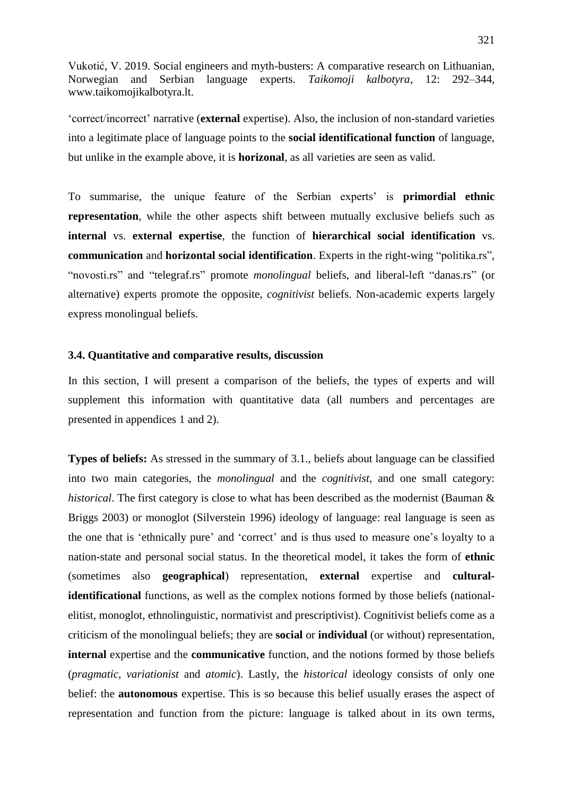"correct/incorrect" narrative (**external** expertise). Also, the inclusion of non-standard varieties into a legitimate place of language points to the **social identificational function** of language, but unlike in the example above, it is **horizonal**, as all varieties are seen as valid.

To summarise, the unique feature of the Serbian experts' is **primordial ethnic representation**, while the other aspects shift between mutually exclusive beliefs such as **internal** vs. **external expertise**, the function of **hierarchical social identification** vs. **communication** and **horizontal social identification**. Experts in the right-wing "politika.rs", "novosti.rs" and "telegraf.rs" promote *monolingual* beliefs, and liberal-left "danas.rs" (or alternative) experts promote the opposite, *cognitivist* beliefs. Non-academic experts largely express monolingual beliefs.

## **3.4. Quantitative and comparative results, discussion**

In this section, I will present a comparison of the beliefs, the types of experts and will supplement this information with quantitative data (all numbers and percentages are presented in appendices 1 and 2).

**Types of beliefs:** As stressed in the summary of 3.1., beliefs about language can be classified into two main categories, the *monolingual* and the *cognitivist*, and one small category: *historical*. The first category is close to what has been described as the modernist (Bauman & Briggs 2003) or monoglot (Silverstein 1996) ideology of language: real language is seen as the one that is "ethnically pure" and "correct" and is thus used to measure one"s loyalty to a nation-state and personal social status. In the theoretical model, it takes the form of **ethnic** (sometimes also **geographical**) representation, **external** expertise and **culturalidentificational** functions, as well as the complex notions formed by those beliefs (nationalelitist, monoglot, ethnolinguistic, normativist and prescriptivist). Cognitivist beliefs come as a criticism of the monolingual beliefs; they are **social** or **individual** (or without) representation, **internal** expertise and the **communicative** function, and the notions formed by those beliefs (*pragmatic, variationist* and *atomic*). Lastly, the *historical* ideology consists of only one belief: the **autonomous** expertise. This is so because this belief usually erases the aspect of representation and function from the picture: language is talked about in its own terms,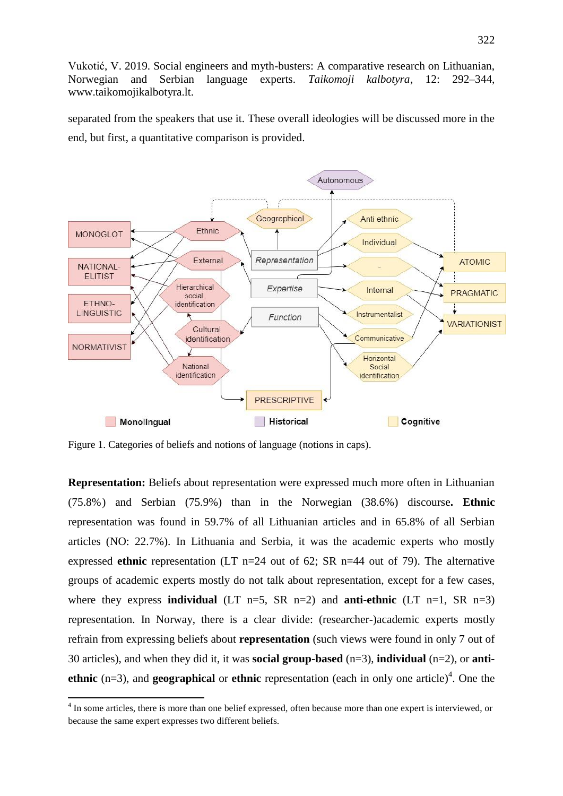separated from the speakers that use it. These overall ideologies will be discussed more in the end, but first, a quantitative comparison is provided.



Figure 1. Categories of beliefs and notions of language (notions in caps).

**.** 

**Representation:** Beliefs about representation were expressed much more often in Lithuanian (75.8%) and Serbian (75.9%) than in the Norwegian (38.6%) discourse**. Ethnic**  representation was found in 59.7% of all Lithuanian articles and in 65.8% of all Serbian articles (NO: 22.7%). In Lithuania and Serbia, it was the academic experts who mostly expressed **ethnic** representation (LT n=24 out of 62; SR n=44 out of 79). The alternative groups of academic experts mostly do not talk about representation, except for a few cases, where they express **individual**  $(LT n=5, SR n=2)$  and **anti-ethnic**  $(LT n=1, SR n=3)$ representation. In Norway, there is a clear divide: (researcher-)academic experts mostly refrain from expressing beliefs about **representation** (such views were found in only 7 out of 30 articles), and when they did it, it was **social group-based** (n=3), **individual** (n=2), or **antiethnic** (n=3), and **geographical** or **ethnic** representation (each in only one article)<sup>4</sup>. One the

<sup>&</sup>lt;sup>4</sup> In some articles, there is more than one belief expressed, often because more than one expert is interviewed, or because the same expert expresses two different beliefs.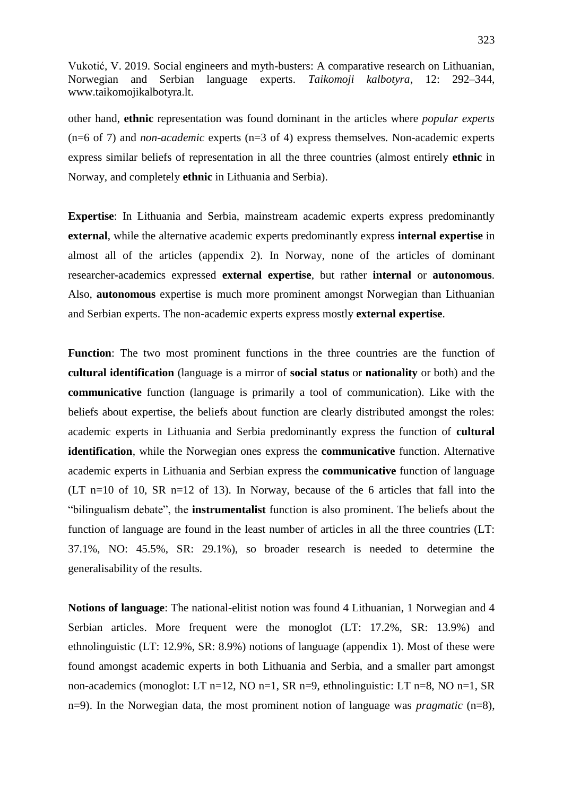other hand, **ethnic** representation was found dominant in the articles where *popular experts* (n=6 of 7) and *non-academic* experts (n=3 of 4) express themselves. Non-academic experts express similar beliefs of representation in all the three countries (almost entirely **ethnic** in Norway, and completely **ethnic** in Lithuania and Serbia).

**Expertise**: In Lithuania and Serbia, mainstream academic experts express predominantly **external**, while the alternative academic experts predominantly express **internal expertise** in almost all of the articles (appendix 2). In Norway, none of the articles of dominant researcher-academics expressed **external expertise**, but rather **internal** or **autonomous**. Also, **autonomous** expertise is much more prominent amongst Norwegian than Lithuanian and Serbian experts. The non-academic experts express mostly **external expertise**.

**Function**: The two most prominent functions in the three countries are the function of **cultural identification** (language is a mirror of **social status** or **nationality** or both) and the **communicative** function (language is primarily a tool of communication). Like with the beliefs about expertise, the beliefs about function are clearly distributed amongst the roles: academic experts in Lithuania and Serbia predominantly express the function of **cultural identification**, while the Norwegian ones express the **communicative** function. Alternative academic experts in Lithuania and Serbian express the **communicative** function of language (LT n=10 of 10, SR n=12 of 13). In Norway, because of the 6 articles that fall into the "bilingualism debate", the **instrumentalist** function is also prominent. The beliefs about the function of language are found in the least number of articles in all the three countries (LT: 37.1%, NO: 45.5%, SR: 29.1%), so broader research is needed to determine the generalisability of the results.

**Notions of language**: The national-elitist notion was found 4 Lithuanian, 1 Norwegian and 4 Serbian articles. More frequent were the monoglot (LT: 17.2%, SR: 13.9%) and ethnolinguistic (LT: 12.9%, SR: 8.9%) notions of language (appendix 1). Most of these were found amongst academic experts in both Lithuania and Serbia, and a smaller part amongst non-academics (monoglot: LT n=12, NO n=1, SR n=9, ethnolinguistic: LT n=8, NO n=1, SR n=9). In the Norwegian data, the most prominent notion of language was *pragmatic* (n=8),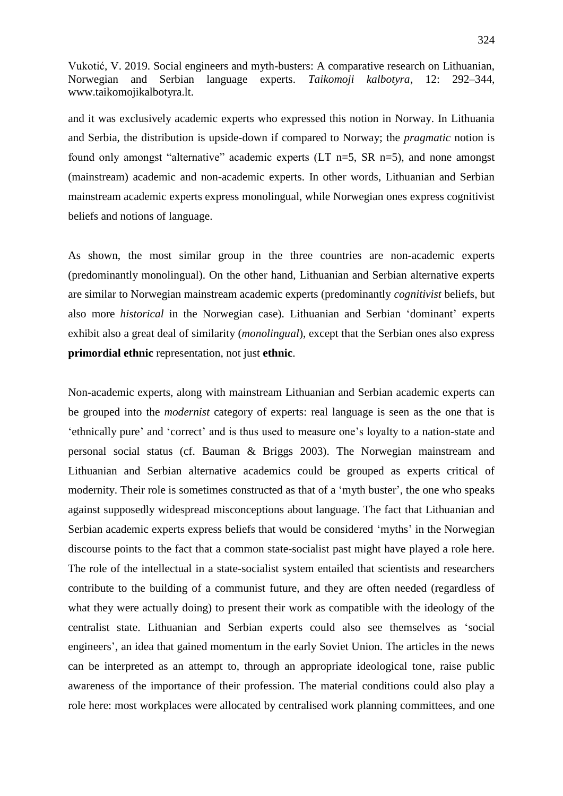and it was exclusively academic experts who expressed this notion in Norway. In Lithuania and Serbia, the distribution is upside-down if compared to Norway; the *pragmatic* notion is found only amongst "alternative" academic experts (LT n=5, SR n=5), and none amongst (mainstream) academic and non-academic experts. In other words, Lithuanian and Serbian mainstream academic experts express monolingual, while Norwegian ones express cognitivist beliefs and notions of language.

As shown, the most similar group in the three countries are non-academic experts (predominantly monolingual). On the other hand, Lithuanian and Serbian alternative experts are similar to Norwegian mainstream academic experts (predominantly *cognitivist* beliefs, but also more *historical* in the Norwegian case). Lithuanian and Serbian "dominant" experts exhibit also a great deal of similarity (*monolingual*), except that the Serbian ones also express **primordial ethnic** representation, not just **ethnic**.

Non-academic experts, along with mainstream Lithuanian and Serbian academic experts can be grouped into the *modernist* category of experts: real language is seen as the one that is "ethnically pure" and "correct" and is thus used to measure one"s loyalty to a nation-state and personal social status (cf. Bauman & Briggs 2003). The Norwegian mainstream and Lithuanian and Serbian alternative academics could be grouped as experts critical of modernity. Their role is sometimes constructed as that of a 'myth buster', the one who speaks against supposedly widespread misconceptions about language. The fact that Lithuanian and Serbian academic experts express beliefs that would be considered 'myths' in the Norwegian discourse points to the fact that a common state-socialist past might have played a role here. The role of the intellectual in a state-socialist system entailed that scientists and researchers contribute to the building of a communist future, and they are often needed (regardless of what they were actually doing) to present their work as compatible with the ideology of the centralist state. Lithuanian and Serbian experts could also see themselves as "social engineers", an idea that gained momentum in the early Soviet Union. The articles in the news can be interpreted as an attempt to, through an appropriate ideological tone, raise public awareness of the importance of their profession. The material conditions could also play a role here: most workplaces were allocated by centralised work planning committees, and one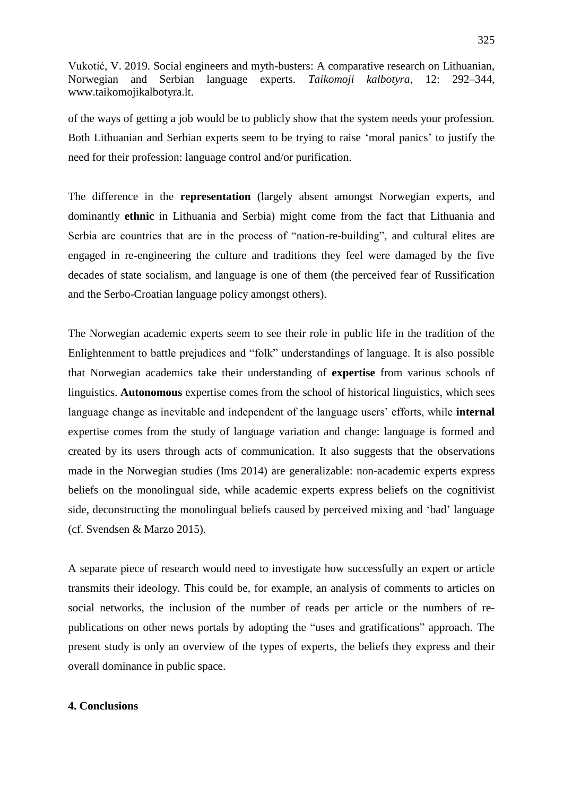of the ways of getting a job would be to publicly show that the system needs your profession. Both Lithuanian and Serbian experts seem to be trying to raise "moral panics" to justify the need for their profession: language control and/or purification.

The difference in the **representation** (largely absent amongst Norwegian experts, and dominantly **ethnic** in Lithuania and Serbia) might come from the fact that Lithuania and Serbia are countries that are in the process of "nation-re-building", and cultural elites are engaged in re-engineering the culture and traditions they feel were damaged by the five decades of state socialism, and language is one of them (the perceived fear of Russification and the Serbo-Croatian language policy amongst others).

The Norwegian academic experts seem to see their role in public life in the tradition of the Enlightenment to battle prejudices and "folk" understandings of language. It is also possible that Norwegian academics take their understanding of **expertise** from various schools of linguistics. **Autonomous** expertise comes from the school of historical linguistics, which sees language change as inevitable and independent of the language users' efforts, while **internal** expertise comes from the study of language variation and change: language is formed and created by its users through acts of communication. It also suggests that the observations made in the Norwegian studies (Ims 2014) are generalizable: non-academic experts express beliefs on the monolingual side, while academic experts express beliefs on the cognitivist side, deconstructing the monolingual beliefs caused by perceived mixing and "bad" language (cf. Svendsen & Marzo 2015).

A separate piece of research would need to investigate how successfully an expert or article transmits their ideology. This could be, for example, an analysis of comments to articles on social networks, the inclusion of the number of reads per article or the numbers of republications on other news portals by adopting the "uses and gratifications" approach. The present study is only an overview of the types of experts, the beliefs they express and their overall dominance in public space.

# **4. Conclusions**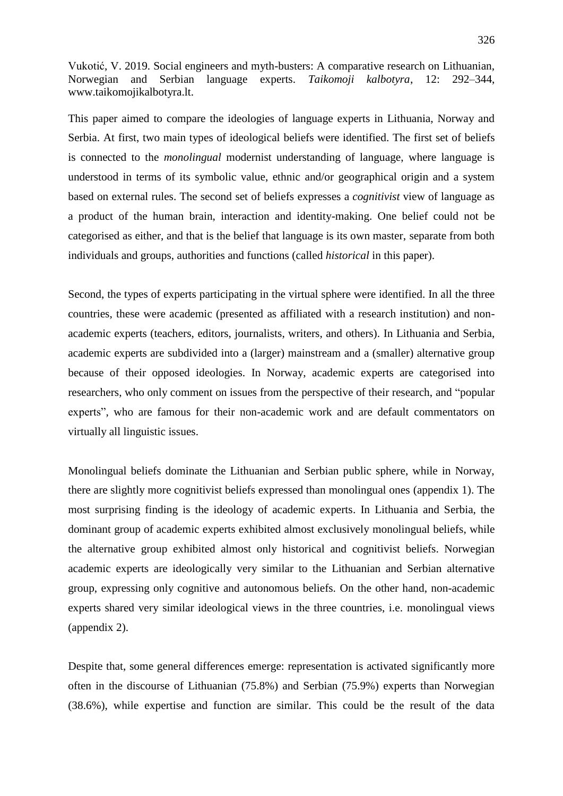This paper aimed to compare the ideologies of language experts in Lithuania, Norway and Serbia. At first, two main types of ideological beliefs were identified. The first set of beliefs is connected to the *monolingual* modernist understanding of language, where language is understood in terms of its symbolic value, ethnic and/or geographical origin and a system based on external rules. The second set of beliefs expresses a *cognitivist* view of language as a product of the human brain, interaction and identity-making. One belief could not be categorised as either, and that is the belief that language is its own master, separate from both individuals and groups, authorities and functions (called *historical* in this paper).

Second, the types of experts participating in the virtual sphere were identified. In all the three countries, these were academic (presented as affiliated with a research institution) and nonacademic experts (teachers, editors, journalists, writers, and others). In Lithuania and Serbia, academic experts are subdivided into a (larger) mainstream and a (smaller) alternative group because of their opposed ideologies. In Norway, academic experts are categorised into researchers, who only comment on issues from the perspective of their research, and "popular experts", who are famous for their non-academic work and are default commentators on virtually all linguistic issues.

Monolingual beliefs dominate the Lithuanian and Serbian public sphere, while in Norway, there are slightly more cognitivist beliefs expressed than monolingual ones (appendix 1). The most surprising finding is the ideology of academic experts. In Lithuania and Serbia, the dominant group of academic experts exhibited almost exclusively monolingual beliefs, while the alternative group exhibited almost only historical and cognitivist beliefs. Norwegian academic experts are ideologically very similar to the Lithuanian and Serbian alternative group, expressing only cognitive and autonomous beliefs. On the other hand, non-academic experts shared very similar ideological views in the three countries, i.e. monolingual views (appendix 2).

Despite that, some general differences emerge: representation is activated significantly more often in the discourse of Lithuanian (75.8%) and Serbian (75.9%) experts than Norwegian (38.6%), while expertise and function are similar. This could be the result of the data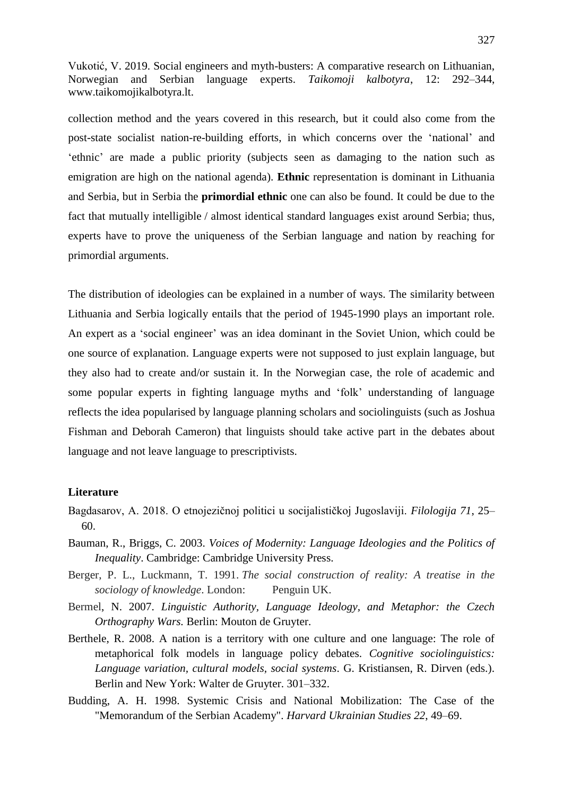collection method and the years covered in this research, but it could also come from the post-state socialist nation-re-building efforts, in which concerns over the "national" and "ethnic" are made a public priority (subjects seen as damaging to the nation such as emigration are high on the national agenda). **Ethnic** representation is dominant in Lithuania and Serbia, but in Serbia the **primordial ethnic** one can also be found. It could be due to the fact that mutually intelligible / almost identical standard languages exist around Serbia; thus, experts have to prove the uniqueness of the Serbian language and nation by reaching for primordial arguments.

The distribution of ideologies can be explained in a number of ways. The similarity between Lithuania and Serbia logically entails that the period of 1945-1990 plays an important role. An expert as a "social engineer" was an idea dominant in the Soviet Union, which could be one source of explanation. Language experts were not supposed to just explain language, but they also had to create and/or sustain it. In the Norwegian case, the role of academic and some popular experts in fighting language myths and "folk" understanding of language reflects the idea popularised by language planning scholars and sociolinguists (such as Joshua Fishman and Deborah Cameron) that linguists should take active part in the debates about language and not leave language to prescriptivists.

#### **Literature**

- Bagdasarov, A. 2018. O etnojezičnoj politici u socijalističkoj Jugoslaviji. *Filologija 71*, 25– 60.
- Bauman, R., Briggs, C. 2003. *Voices of Modernity: Language Ideologies and the Politics of Inequality*. Cambridge: Cambridge University Press.
- Berger, P. L., Luckmann, T. 1991. *The social construction of reality: A treatise in the sociology of knowledge*. London: Penguin UK.
- Bermel, N. 2007. *Linguistic Authority, Language Ideology, and Metaphor: the Czech Orthography Wars.* Berlin: Mouton de Gruyter.
- Berthele, R. 2008. A nation is a territory with one culture and one language: The role of metaphorical folk models in language policy debates. *Cognitive sociolinguistics: Language variation, cultural models, social systems*. G. Kristiansen, R. Dirven (eds.). Berlin and New York: Walter de Gruyter. 301–332.
- Budding, A. H. 1998. Systemic Crisis and National Mobilization: The Case of the "Memorandum of the Serbian Academy". *Harvard Ukrainian Studies 22*, 49–69.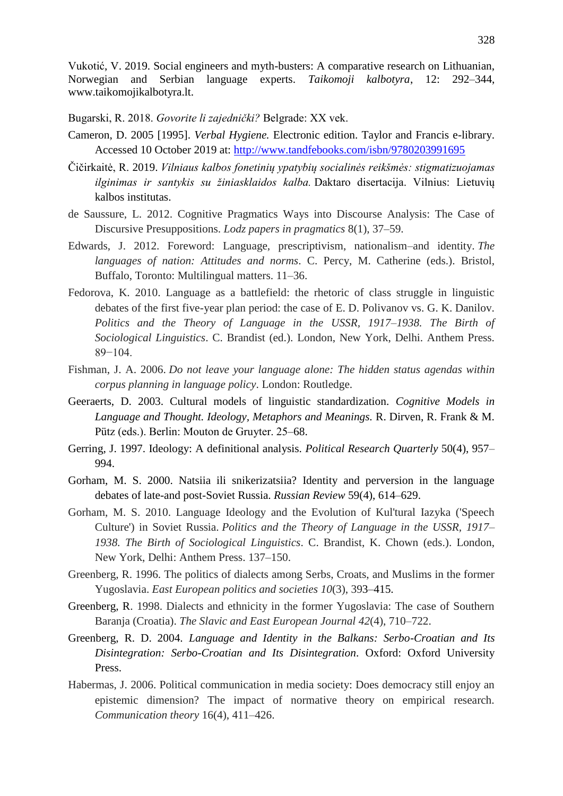Bugarski, R. 2018. *Govorite li zajednički?* Belgrade: XX vek.

- Cameron, D. 2005 [1995]. *Verbal Hygiene.* Electronic edition. Taylor and Francis e-library. Accessed 10 October 2019 at:<http://www.tandfebooks.com/isbn/9780203991695>
- Čičirkaitė, R. 2019. *Vilniaus kalbos fonetinių ypatybių socialinės reikšmės: stigmatizuojamas ilginimas ir santykis su žiniasklaidos kalba.* Daktaro disertacija. Vilnius: Lietuvių kalbos institutas.
- de Saussure, L. 2012. Cognitive Pragmatics Ways into Discourse Analysis: The Case of Discursive Presuppositions. *Lodz papers in pragmatics* 8(1), 37–59.
- Edwards, J. 2012. Foreword: Language, prescriptivism, nationalism–and identity. *The languages of nation: Attitudes and norms*. C. Percy, M. Catherine (eds.). Bristol, Buffalo, Toronto: Multilingual matters. 11–36.
- Fedorova, K. 2010. Language as a battlefield: the rhetoric of class struggle in linguistic debates of the first five-year plan period: the case of E. D. Polivanov vs. G. K. Danilov. Politics and the Theory of Language in the USSR, 1917–1938. The Birth of *Sociological Linguistics*. C. Brandist (ed.). London, New York, Delhi. Anthem Press. 89−104.
- Fishman, J. A. 2006. *Do not leave your language alone: The hidden status agendas within corpus planning in language policy*. London: Routledge.
- Geeraerts, D. 2003. Cultural models of linguistic standardization. *Cognitive Models in Language and Thought. Ideology, Metaphors and Meanings.* R. Dirven, R. Frank & M. Pütz (eds.). Berlin: Mouton de Gruyter. 25–68.
- Gerring, J. 1997. Ideology: A definitional analysis. *Political Research Quarterly* 50(4), 957– 994.
- Gorham, M. S. 2000. Natsiia ili snikerizatsiia? Identity and perversion in the language debates of late-and post-Soviet Russia. *Russian Review* 59(4), 614–629.
- Gorham, M. S. 2010. Language Ideology and the Evolution of Kul'tural Iazyka ('Speech Culture') in Soviet Russia. *Politics and the Theory of Language in the USSR, 1917– 1938. The Birth of Sociological Linguistics*. C. Brandist, K. Chown (eds.). London, New York, Delhi: Anthem Press. 137–150.
- Greenberg, R. 1996. The politics of dialects among Serbs, Croats, and Muslims in the former Yugoslavia. *East European politics and societies 10*(3), 393–415.
- Greenberg, R. 1998. Dialects and ethnicity in the former Yugoslavia: The case of Southern Baranja (Croatia). *The Slavic and East European Journal 42*(4), 710–722.
- Greenberg, R. D. 2004. *Language and Identity in the Balkans: Serbo-Croatian and Its Disintegration: Serbo-Croatian and Its Disintegration*. Oxford: Oxford University Press.
- Habermas, J. 2006. Political communication in media society: Does democracy still enjoy an epistemic dimension? The impact of normative theory on empirical research. *Communication theory* 16(4), 411–426.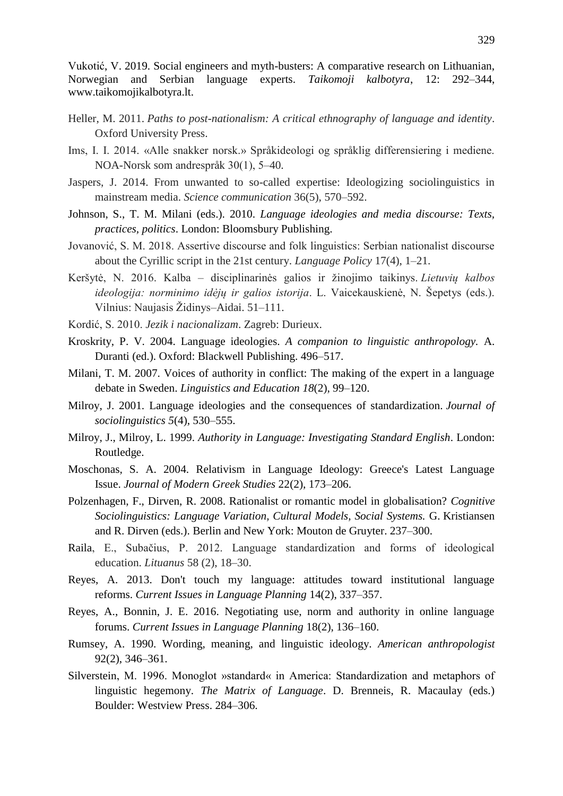- Heller, M. 2011. *Paths to post-nationalism: A critical ethnography of language and identity*. Oxford University Press.
- Ims, I. I. 2014. «Alle snakker norsk.» Språkideologi og språklig differensiering i mediene. NOA-Norsk som andrespråk 30(1), 5–40.
- Jaspers, J. 2014. From unwanted to so-called expertise: Ideologizing sociolinguistics in mainstream media. *Science communication* 36(5), 570–592.
- Johnson, S., T. M. Milani (eds.). 2010. *Language ideologies and media discourse: Texts, practices, politics*. London: Bloomsbury Publishing.
- Jovanović, S. M. 2018. Assertive discourse and folk linguistics: Serbian nationalist discourse about the Cyrillic script in the 21st century. *Language Policy* 17(4), 1–21.
- Keršytė, N. 2016. Kalba disciplinarinės galios ir žinojimo taikinys. *Lietuvių kalbos ideologija: norminimo idėjų ir galios istorija*. L. Vaicekauskienė, N. Šepetys (eds.). Vilnius: Naujasis Židinys–Aidai. 51–111.
- Kordić, S. 2010. *Jezik i nacionalizam*. Zagreb: Durieux.
- Kroskrity, P. V. 2004. Language ideologies. *A companion to linguistic anthropology.* A. Duranti (ed.). Oxford: Blackwell Publishing. 496–517.
- Milani, T. M. 2007. Voices of authority in conflict: The making of the expert in a language debate in Sweden. *Linguistics and Education 18*(2), 99–120.
- Milroy, J. 2001. Language ideologies and the consequences of standardization. *Journal of sociolinguistics 5*(4), 530–555.
- Milroy, J., Milroy, L. 1999. *Authority in Language: Investigating Standard English*. London: Routledge.
- Moschonas, S. A. 2004. Relativism in Language Ideology: Greece's Latest Language Issue. *Journal of Modern Greek Studies* 22(2), 173–206.
- Polzenhagen, F., Dirven, R. 2008. Rationalist or romantic model in globalisation? *Cognitive Sociolinguistics: Language Variation, Cultural Models, Social Systems.* G. Kristiansen and R. Dirven (eds.). Berlin and New York: Mouton de Gruyter. 237–300.
- Raila, E., Subačius, P. 2012. Language standardization and forms of ideological education. *Lituanus* 58 (2), 18–30.
- Reyes, A. 2013. Don't touch my language: attitudes toward institutional language reforms. *Current Issues in Language Planning* 14(2), 337–357.
- Reyes, A., Bonnin, J. E. 2016. Negotiating use, norm and authority in online language forums. *Current Issues in Language Planning* 18(2), 136–160.
- Rumsey, A. 1990. Wording, meaning, and linguistic ideology. *American anthropologist* 92(2), 346–361.
- Silverstein, M. 1996. Monoglot »standard« in America: Standardization and metaphors of linguistic hegemony. *The Matrix of Language*. D. Brenneis, R. Macaulay (eds.) Boulder: Westview Press. 284–306.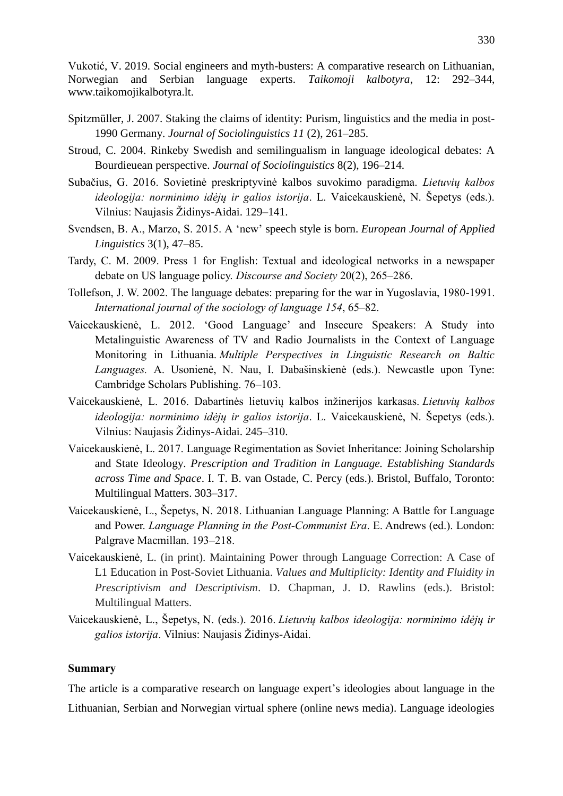- Spitzmüller, J. 2007. Staking the claims of identity: Purism, linguistics and the media in post-1990 Germany. *Journal of Sociolinguistics 11* (2), 261–285.
- Stroud, C. 2004. Rinkeby Swedish and semilingualism in language ideological debates: A Bourdieuean perspective. *Journal of Sociolinguistics* 8(2), 196–214.
- Subačius, G. 2016. Sovietinė preskriptyvinė kalbos suvokimo paradigma. *Lietuvių kalbos ideologija: norminimo idėjų ir galios istorija*. L. Vaicekauskienė, N. Šepetys (eds.). Vilnius: Naujasis Židinys-Aidai. 129–141.
- Svendsen, B. A., Marzo, S. 2015. A "new" speech style is born. *European Journal of Applied Linguistics* 3(1), 47–85.
- Tardy, C. M. 2009. Press 1 for English: Textual and ideological networks in a newspaper debate on US language policy. *Discourse and Society* 20(2), 265–286.
- Tollefson, J. W. 2002. The language debates: preparing for the war in Yugoslavia, 1980-1991. *International journal of the sociology of language 154*, 65–82.
- Vaicekauskienė, L. 2012. "Good Language" and Insecure Speakers: A Study into Metalinguistic Awareness of TV and Radio Journalists in the Context of Language Monitoring in Lithuania. *Multiple Perspectives in Linguistic Research on Baltic Languages.* A. Usonienė, N. Nau, I. Dabašinskienė (eds.). Newcastle upon Tyne: Cambridge Scholars Publishing. 76–103.
- Vaicekauskienė, L. 2016. Dabartinės lietuvių kalbos inžinerijos karkasas. *Lietuvių kalbos ideologija: norminimo idėjų ir galios istorija*. L. Vaicekauskienė, N. Šepetys (eds.). Vilnius: Naujasis Židinys-Aidai. 245–310.
- Vaicekauskienė, L. 2017. Language Regimentation as Soviet Inheritance: Joining Scholarship and State Ideology. *Prescription and Tradition in Language. Establishing Standards across Time and Space*. I. T. B. van Ostade, C. Percy (eds.). Bristol, Buffalo, Toronto: Multilingual Matters. 303–317.
- Vaicekauskienė, L., Šepetys, N. 2018. Lithuanian Language Planning: A Battle for Language and Power. *Language Planning in the Post-Communist Era*. E. Andrews (ed.). London: Palgrave Macmillan. 193–218.
- Vaicekauskienė, L. (in print). Maintaining Power through Language Correction: A Case of L1 Education in Post-Soviet Lithuania. *Values and Multiplicity: Identity and Fluidity in Prescriptivism and Descriptivism*. D. Chapman, J. D. Rawlins (eds.). Bristol: Multilingual Matters.
- Vaicekauskienė, L., Šepetys, N. (eds.). 2016. *Lietuvių kalbos ideologija: norminimo idėjų ir*  galios istorija. Vilnius: Naujasis Židinys-Aidai.

# **Summary**

The article is a comparative research on language expert's ideologies about language in the Lithuanian, Serbian and Norwegian virtual sphere (online news media). Language ideologies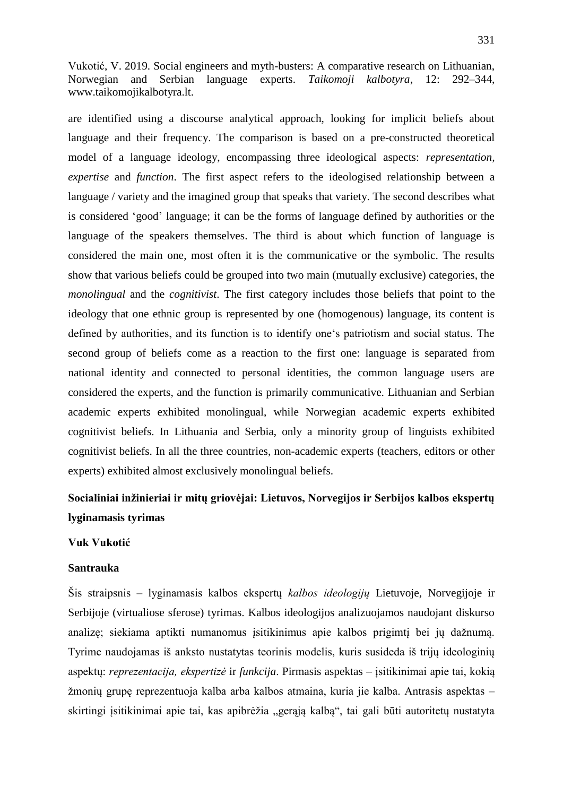are identified using a discourse analytical approach, looking for implicit beliefs about language and their frequency. The comparison is based on a pre-constructed theoretical model of a language ideology, encompassing three ideological aspects: *representation, expertise* and *function*. The first aspect refers to the ideologised relationship between a language / variety and the imagined group that speaks that variety. The second describes what is considered "good" language; it can be the forms of language defined by authorities or the language of the speakers themselves. The third is about which function of language is considered the main one, most often it is the communicative or the symbolic. The results show that various beliefs could be grouped into two main (mutually exclusive) categories, the *monolingual* and the *cognitivist*. The first category includes those beliefs that point to the ideology that one ethnic group is represented by one (homogenous) language, its content is defined by authorities, and its function is to identify one"s patriotism and social status. The second group of beliefs come as a reaction to the first one: language is separated from national identity and connected to personal identities, the common language users are considered the experts, and the function is primarily communicative. Lithuanian and Serbian academic experts exhibited monolingual, while Norwegian academic experts exhibited cognitivist beliefs. In Lithuania and Serbia, only a minority group of linguists exhibited cognitivist beliefs. In all the three countries, non-academic experts (teachers, editors or other experts) exhibited almost exclusively monolingual beliefs.

# **Socialiniai inžinieriai ir mitų griovėjai: Lietuvos, Norvegijos ir Serbijos kalbos ekspertų lyginamasis tyrimas**

## **Vuk Vukotić**

#### **Santrauka**

Šis straipsnis – lyginamasis kalbos ekspertų *kalbos ideologijų* Lietuvoje, Norvegijoje ir Serbijoje (virtualiose sferose) tyrimas. Kalbos ideologijos analizuojamos naudojant diskurso analizę; siekiama aptikti numanomus įsitikinimus apie kalbos prigimtį bei jų dažnumą. Tyrime naudojamas iš anksto nustatytas teorinis modelis, kuris susideda iš trijų ideologinių aspektų: *reprezentacija, ekspertizė* ir *funkcija*. Pirmasis aspektas – įsitikinimai apie tai, kokią ţmonių grupę reprezentuoja kalba arba kalbos atmaina, kuria jie kalba. Antrasis aspektas – skirtingi įsitikinimai apie tai, kas apibrėžia "gerąją kalbą", tai gali būti autoritetų nustatyta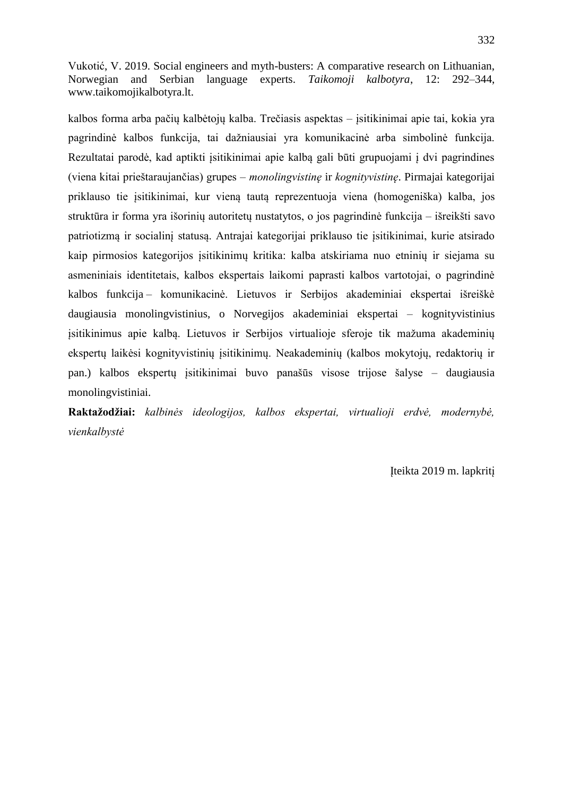kalbos forma arba pačių kalbėtojų kalba. Trečiasis aspektas – įsitikinimai apie tai, kokia yra pagrindinė kalbos funkcija, tai dažniausiai yra komunikacinė arba simbolinė funkcija. Rezultatai parodė, kad aptikti įsitikinimai apie kalbą gali būti grupuojami į dvi pagrindines (viena kitai prieštaraujančias) grupes – *monolingvistinę* ir *kognityvistinę*. Pirmajai kategorijai priklauso tie įsitikinimai, kur vieną tautą reprezentuoja viena (homogeniška) kalba, jos struktūra ir forma yra išorinių autoritetų nustatytos, o jos pagrindinė funkcija – išreikšti savo patriotizmą ir socialinį statusą. Antrajai kategorijai priklauso tie įsitikinimai, kurie atsirado kaip pirmosios kategorijos įsitikinimų kritika: kalba atskiriama nuo etninių ir siejama su asmeniniais identitetais, kalbos ekspertais laikomi paprasti kalbos vartotojai, o pagrindinė kalbos funkcija – komunikacinė. Lietuvos ir Serbijos akademiniai ekspertai išreiškė daugiausia monolingvistinius, o Norvegijos akademiniai ekspertai – kognityvistinius įsitikinimus apie kalbą. Lietuvos ir Serbijos virtualioje sferoje tik mažuma akademinių ekspertų laikėsi kognityvistinių įsitikinimų. Neakademinių (kalbos mokytojų, redaktorių ir pan.) kalbos ekspertų įsitikinimai buvo panašūs visose trijose šalyse – daugiausia monolingvistiniai.

**Raktažodžiai:** *kalbinės ideologijos, kalbos ekspertai, virtualioji erdvė, modernybė, vienkalbystė*

Įteikta 2019 m. lapkritį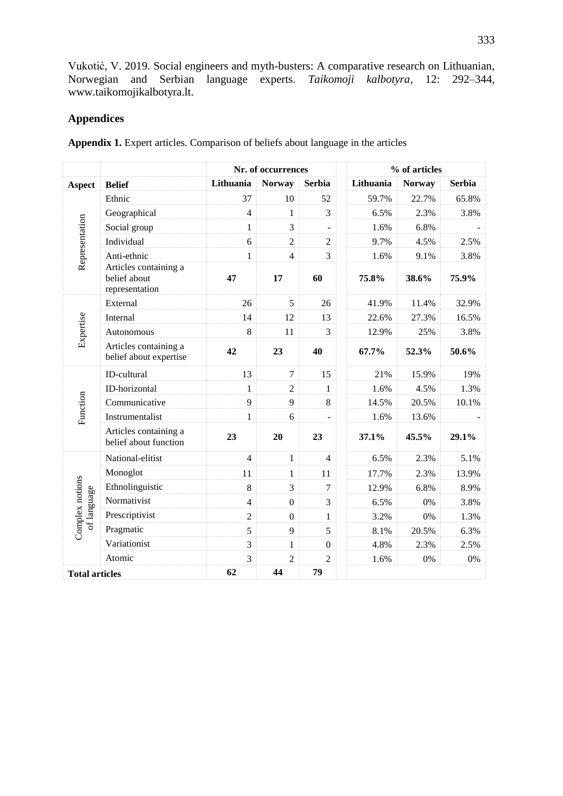# **Appendices**

**Appendix 1.** Expert articles. Comparison of beliefs about language in the articles

|                                |                                                         | Nr. of occurrences |                  |                |           | % of articles |               |  |  |
|--------------------------------|---------------------------------------------------------|--------------------|------------------|----------------|-----------|---------------|---------------|--|--|
| <b>Aspect</b>                  | <b>Belief</b>                                           | Lithuania          | <b>Norway</b>    | <b>Serbia</b>  | Lithuania | <b>Norway</b> | <b>Serbia</b> |  |  |
|                                | Ethnic                                                  | 37                 | 10               | 52             | 59.7%     | 22.7%         | 65.8%         |  |  |
|                                | Geographical                                            | $\overline{4}$     | $\mathbf{1}$     | 3              | 6.5%      | 2.3%          | 3.8%          |  |  |
|                                | Social group                                            | $\mathbf{1}$       | 3                | $\equiv$       | 1.6%      | 6.8%          |               |  |  |
| Representation                 | Individual                                              | 6                  | $\overline{2}$   | $\overline{2}$ | 9.7%      | 4.5%          | 2.5%          |  |  |
|                                | Anti-ethnic                                             | $\mathbf{1}$       | $\overline{4}$   | 3              | 1.6%      | 9.1%          | 3.8%          |  |  |
|                                | Articles containing a<br>belief about<br>representation | 47                 | 17               | 60             | 75.8%     | 38.6%         | 75.9%         |  |  |
|                                | External                                                | 26                 | 5                | 26             | 41.9%     | 11.4%         | 32.9%         |  |  |
|                                | Internal                                                | 14                 | 12               | 13             | 22.6%     | 27.3%         | 16.5%         |  |  |
| Expertise                      | Autonomous                                              | 8                  | 11               | 3              | 12.9%     | 25%           | 3.8%          |  |  |
|                                | Articles containing a<br>belief about expertise         | 42                 | 23               | 40             | 67.7%     | 52.3%         | 50.6%         |  |  |
|                                | ID-cultural                                             | 13                 | $\tau$           | 15             | 21%       | 15.9%         | 19%           |  |  |
|                                | ID-horizontal                                           | $\mathbf{1}$       | $\overline{2}$   | $\mathbf{1}$   | 1.6%      | 4.5%          | 1.3%          |  |  |
|                                | Communicative                                           | 9                  | 9                | 8              | 14.5%     | 20.5%         | 10.1%         |  |  |
| Function                       | Instrumentalist                                         | $\mathbf{1}$       | 6                |                | 1.6%      | 13.6%         |               |  |  |
|                                | Articles containing a<br>belief about function          | 23                 | 20               | 23             | 37.1%     | 45.5%         | 29.1%         |  |  |
|                                | National-elitist                                        | $\overline{4}$     | $\mathbf{1}$     | $\overline{4}$ | 6.5%      | 2.3%          | 5.1%          |  |  |
| Complex notions<br>of language | Monoglot                                                | 11                 | $\mathbf{1}$     | 11             | 17.7%     | 2.3%          | 13.9%         |  |  |
|                                | Ethnolinguistic                                         | 8                  | 3                | $\overline{7}$ | 12.9%     | 6.8%          | 8.9%          |  |  |
|                                | Normativist                                             | $\overline{4}$     | $\boldsymbol{0}$ | $\overline{3}$ | 6.5%      | $0\%$         | 3.8%          |  |  |
|                                | Prescriptivist                                          | $\overline{2}$     | $\boldsymbol{0}$ | $\mathbf{1}$   | 3.2%      | 0%            | 1.3%          |  |  |
|                                | Pragmatic                                               | 5                  | 9                | 5              | 8.1%      | 20.5%         | 6.3%          |  |  |
|                                | Variationist                                            | $\overline{3}$     | $\mathbf{1}$     | $\overline{0}$ | 4.8%      | 2.3%          | 2.5%          |  |  |
|                                | Atomic                                                  | 3                  | $\overline{2}$   | $\overline{2}$ | 1.6%      | 0%            | $0\%$         |  |  |
| <b>Total articles</b>          |                                                         | 62                 | 44               | 79             |           |               |               |  |  |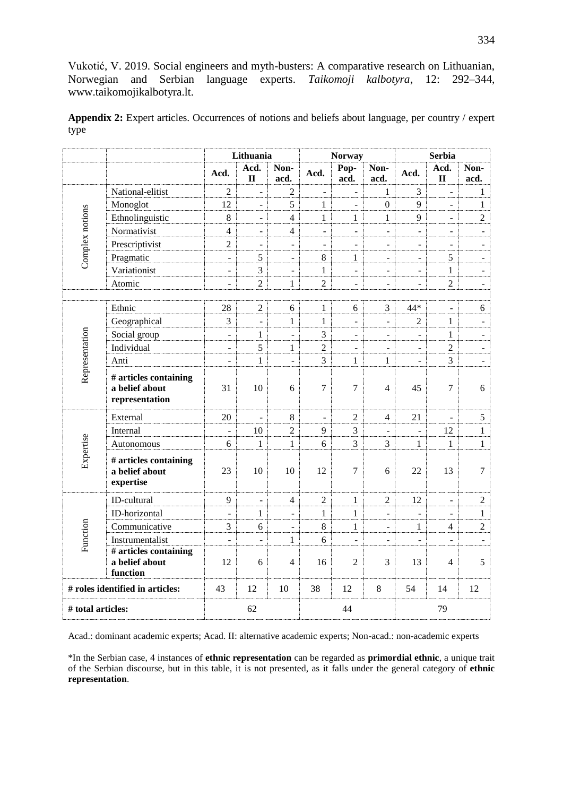**Appendix 2:** Expert articles. Occurrences of notions and beliefs about language, per country / expert type

|                                 |                                                           | Lithuania                |                          | <b>Norway</b>            |                |                          | <b>Serbia</b>            |                          |                          |                          |
|---------------------------------|-----------------------------------------------------------|--------------------------|--------------------------|--------------------------|----------------|--------------------------|--------------------------|--------------------------|--------------------------|--------------------------|
|                                 |                                                           | Acd.                     | Acd.<br>$\mathbf{I}$     | Non-<br>acd.             | Acd.           | Pop-<br>acd.             | Non-<br>acd.             | Acd.                     | Acd.<br>$\mathbf{I}$     | Non-<br>acd.             |
|                                 | National-elitist                                          | $\overline{2}$           | ÷,                       | 2                        | $\overline{a}$ | $\overline{a}$           | 1                        | 3                        | $\overline{\phantom{a}}$ | $\mathbf{1}$             |
|                                 | Monoglot                                                  | 12                       | L.                       | 5                        | $\mathbf{1}$   | $\overline{a}$           | $\theta$                 | 9                        | $\overline{a}$           | $\mathbf{1}$             |
|                                 | Ethnolinguistic                                           | $\,8\,$                  | $\blacksquare$           | $\overline{4}$           | 1              | $\mathbf{1}$             | $\mathbf{1}$             | 9                        | ÷,                       | $\overline{2}$           |
|                                 | Normativist                                               | $\overline{4}$           | $\blacksquare$           | 4                        | ÷,             | $\frac{1}{2}$            | $\blacksquare$           | $\overline{\phantom{a}}$ | $\overline{\phantom{a}}$ | $\blacksquare$           |
| Complex notions                 | Prescriptivist                                            | $\overline{2}$           | $\overline{\phantom{a}}$ | $\blacksquare$           | ÷,             | $\overline{\phantom{0}}$ | $\overline{\phantom{a}}$ | $\blacksquare$           | $\overline{\phantom{a}}$ | $\blacksquare$           |
|                                 | Pragmatic                                                 | $\blacksquare$           | 5                        | $\overline{\phantom{a}}$ | 8              | $\mathbf{1}$             | $\blacksquare$           | $\blacksquare$           | 5                        | $\overline{\phantom{a}}$ |
|                                 | Variationist                                              | $\overline{\phantom{a}}$ | 3                        | $\overline{\phantom{0}}$ | 1              | $\overline{a}$           | $\overline{\phantom{a}}$ | $\blacksquare$           | $\mathbf{1}$             | $\overline{a}$           |
|                                 | Atomic                                                    | $\overline{\phantom{a}}$ | $\overline{2}$           | $\mathbf{1}$             | $\overline{2}$ | $\overline{a}$           | $\blacksquare$           | $\equiv$                 | $\overline{2}$           | $\overline{a}$           |
|                                 |                                                           |                          |                          |                          |                |                          |                          |                          |                          |                          |
|                                 | Ethnic                                                    | 28                       | $\overline{2}$           | 6                        | $\mathbf{1}$   | 6                        | 3                        | 44*                      | $\blacksquare$           | 6                        |
|                                 | Geographical                                              | 3                        | $\overline{a}$           | $\mathbf{1}$             | $\mathbf{1}$   | $\overline{a}$           | $\blacksquare$           | $\overline{2}$           | $\mathbf{1}$             | $\mathbb{L}$             |
|                                 | Social group                                              | $\overline{a}$           | $\mathbf{1}$             | $\overline{a}$           | 3              | $\overline{a}$           | $\overline{a}$           | $\overline{a}$           | $\mathbf{1}$             | $\overline{a}$           |
|                                 | Individual                                                | $\overline{a}$           | 5                        | 1                        | $\overline{2}$ | $\overline{a}$           | $\overline{a}$           | $\equiv$                 | $\overline{2}$           | $\overline{a}$           |
|                                 | Anti                                                      | $\blacksquare$           | $\mathbf{1}$             | $\blacksquare$           | 3              | $\mathbf{1}$             | 1                        | $\Box$                   | 3                        | $\overline{a}$           |
| Representation                  | # articles containing<br>a belief about<br>representation | 31                       | 10                       | 6                        | 7              | 7                        | 4                        | 45                       | $\overline{7}$           | 6                        |
|                                 | External                                                  | 20                       | $\overline{a}$           | $8\,$                    | $\overline{a}$ | $\overline{2}$           | 4                        | 21                       | ÷,                       | 5                        |
|                                 | Internal                                                  |                          | 10                       | $\overline{c}$           | 9              | $\overline{3}$           |                          |                          | 12                       | $\mathbf{1}$             |
|                                 | Autonomous                                                | 6                        | $\mathbf{1}$             | $\mathbf{1}$             | 6              | $\overline{3}$           | 3                        | 1                        | $\mathbf{1}$             | $\mathbf{1}$             |
| Expertise                       | # articles containing<br>a belief about<br>expertise      | 23                       | 10                       | 10                       | 12             | 7                        | 6                        | 22                       | 13                       | $\overline{7}$           |
|                                 | ID-cultural                                               | 9                        | $\overline{a}$           | 4                        | $\mathfrak{2}$ | $\mathbf{1}$             | $\mathfrak{2}$           | 12                       | ÷,                       | $\overline{2}$           |
|                                 | ID-horizontal                                             | $\overline{a}$           | $\mathbf{1}$             | $\overline{a}$           | $\mathbf{1}$   | $\mathbf{1}$             | $\overline{\phantom{a}}$ | $\equiv$                 | ÷.                       | $\mathbf{1}$             |
|                                 | Communicative                                             | 3                        | 6                        | $\blacksquare$           | 8              | $\mathbf{1}$             | $\blacksquare$           | 1                        | $\overline{4}$           | $\overline{2}$           |
| Function                        | Instrumentalist                                           | $\overline{a}$           | ÷,                       | $\mathbf{1}$             | 6              | $\overline{a}$           | $\overline{a}$           | $\blacksquare$           |                          | $\overline{a}$           |
|                                 | # articles containing<br>a belief about<br>function       | 12                       | 6                        | 4                        | 16             | $\overline{2}$           | 3                        | 13                       | $\overline{4}$           | 5                        |
| # roles identified in articles: |                                                           | 43                       | 12                       | 10                       | 38             | 12                       | $\,8\,$                  | 54                       | 14                       | 12                       |
| # total articles:               |                                                           | 62                       |                          |                          | 44             |                          |                          | 79                       |                          |                          |

Acad.: dominant academic experts; Acad. II: alternative academic experts; Non-acad.: non-academic experts

\*In the Serbian case, 4 instances of **ethnic representation** can be regarded as **primordial ethnic**, a unique trait of the Serbian discourse, but in this table, it is not presented, as it falls under the general category of **ethnic representation**.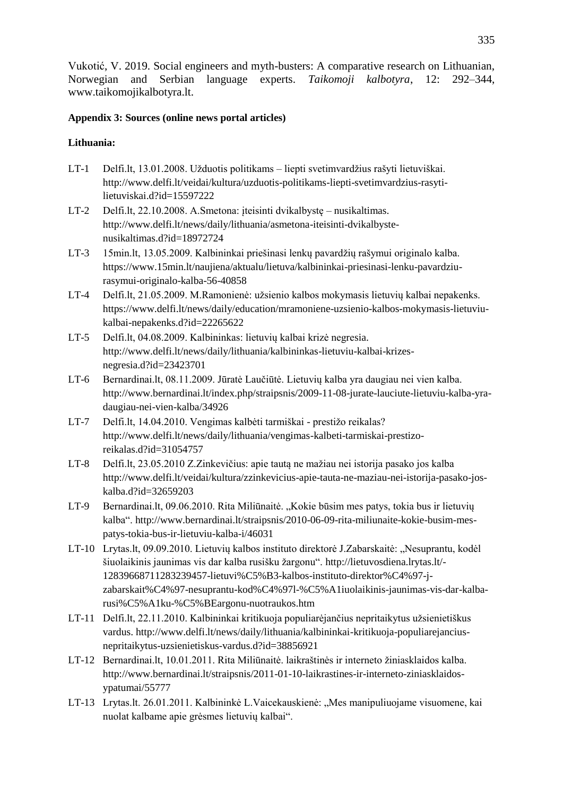# **Appendix 3: Sources (online news portal articles)**

# **Lithuania:**

- LT-1 Delfi.lt, 13.01.2008. Užduotis politikams liepti svetimvardžius rašyti lietuviškai. http://www.delfi.lt/veidai/kultura/uzduotis-politikams-liepti-svetimvardzius-rasytilietuviskai.d?id=15597222
- LT-2 Delfi.lt, 22.10.2008. A.Smetona: įteisinti dvikalbystę nusikaltimas. http://www.delfi.lt/news/daily/lithuania/asmetona-iteisinti-dvikalbystenusikaltimas.d?id=18972724
- LT-3 15min.lt, 13.05.2009. Kalbininkai priešinasi lenkų pavardžių rašymui originalo kalba. [https://www.15min.lt/naujiena/aktualu/lietuva/kalbininkai-priesinasi-lenku-pavardziu](https://www.15min.lt/naujiena/aktualu/lietuva/kalbininkai-priesinasi-lenku-pavardziu-rasymui-originalo-kalba-56-40858)[rasymui-originalo-kalba-56-40858](https://www.15min.lt/naujiena/aktualu/lietuva/kalbininkai-priesinasi-lenku-pavardziu-rasymui-originalo-kalba-56-40858)
- LT-4 Delfi.lt, 21.05.2009. M.Ramonienė: užsienio kalbos mokymasis lietuvių kalbai nepakenks. [https://www.delfi.lt/news/daily/education/mramoniene-uzsienio-kalbos-mokymasis-lietuviu](https://www.delfi.lt/news/daily/education/mramoniene-uzsienio-kalbos-mokymasis-lietuviu-kalbai-nepakenks.d?id=22265622)[kalbai-nepakenks.d?id=22265622](https://www.delfi.lt/news/daily/education/mramoniene-uzsienio-kalbos-mokymasis-lietuviu-kalbai-nepakenks.d?id=22265622)
- LT-5 Delfi.lt, 04.08.2009. Kalbininkas: lietuvių kalbai krizė negresia. [http://www.delfi.lt/news/daily/lithuania/kalbininkas-lietuviu-kalbai-krizes](http://www.delfi.lt/news/daily/lithuania/kalbininkas-lietuviu-kalbai-krizes-negresia.d?id=23423701)[negresia.d?id=23423701](http://www.delfi.lt/news/daily/lithuania/kalbininkas-lietuviu-kalbai-krizes-negresia.d?id=23423701)
- LT-6 Bernardinai.lt, 08.11.2009. Jūratė Laučiūtė. Lietuvių kalba yra daugiau nei vien kalba. [http://www.bernardinai.lt/index.php/straipsnis/2009-11-08-jurate-lauciute-lietuviu-kalba-yra](http://www.bernardinai.lt/index.php/straipsnis/2009-11-08-jurate-lauciute-lietuviu-kalba-yra-daugiau-nei-vien-kalba/34926)[daugiau-nei-vien-kalba/34926](http://www.bernardinai.lt/index.php/straipsnis/2009-11-08-jurate-lauciute-lietuviu-kalba-yra-daugiau-nei-vien-kalba/34926)
- LT-7 Delfi.lt, 14.04.2010. Vengimas kalbėti tarmiškai prestižo reikalas? [http://www.delfi.lt/news/daily/lithuania/vengimas-kalbeti-tarmiskai-prestizo](http://www.delfi.lt/news/daily/lithuania/vengimas-kalbeti-tarmiskai-prestizo-reikalas.d?id=31054757)[reikalas.d?id=31054757](http://www.delfi.lt/news/daily/lithuania/vengimas-kalbeti-tarmiskai-prestizo-reikalas.d?id=31054757)
- LT-8 Delfi.lt, 23.05.2010 Z.Zinkevičius: apie tautą ne mažiau nei istorija pasako jos kalba [http://www.delfi.lt/veidai/kultura/zzinkevicius-apie-tauta-ne-maziau-nei-istorija-pasako-jos](http://www.delfi.lt/veidai/kultura/zzinkevicius-apie-tauta-ne-maziau-nei-istorija-pasako-jos-kalba.d?id=32659203)[kalba.d?id=32659203](http://www.delfi.lt/veidai/kultura/zzinkevicius-apie-tauta-ne-maziau-nei-istorija-pasako-jos-kalba.d?id=32659203)
- LT-9 Bernardinai.lt, 09.06.2010. Rita Miliūnaitė. "Kokie būsim mes patys, tokia bus ir lietuvių kalba". [http://www.bernardinai.lt/straipsnis/2010-06-09-rita-miliunaite-kokie-busim-mes](http://www.bernardinai.lt/straipsnis/2010-06-09-rita-miliunaite-kokie-busim-mes-patys-tokia-bus-ir-lietuviu-kalba-i/46031)[patys-tokia-bus-ir-lietuviu-kalba-i/46031](http://www.bernardinai.lt/straipsnis/2010-06-09-rita-miliunaite-kokie-busim-mes-patys-tokia-bus-ir-lietuviu-kalba-i/46031)
- LT-10 Lrytas.lt, 09.09.2010. Lietuvių kalbos instituto direktorė J.Zabarskaitė: "Nesuprantu, kodėl šiuolaikinis jaunimas vis dar kalba rusišku žargonu". [http://lietuvosdiena.lrytas.lt/-](http://lietuvosdiena.lrytas.lt/-12839668711283239457-lietuvių-kalbos-instituto-direktorė-j-zabarskaitė-nesuprantu-kodėl-šiuolaikinis-jaunimas-vis-dar-kalba-rusišku-žargonu-nuotraukos.htm) [12839668711283239457-lietuvi%C5%B3-kalbos-instituto-direktor%C4%97-j](http://lietuvosdiena.lrytas.lt/-12839668711283239457-lietuvių-kalbos-instituto-direktorė-j-zabarskaitė-nesuprantu-kodėl-šiuolaikinis-jaunimas-vis-dar-kalba-rusišku-žargonu-nuotraukos.htm)[zabarskait%C4%97-nesuprantu-kod%C4%97l-%C5%A1iuolaikinis-jaunimas-vis-dar-kalba](http://lietuvosdiena.lrytas.lt/-12839668711283239457-lietuvių-kalbos-instituto-direktorė-j-zabarskaitė-nesuprantu-kodėl-šiuolaikinis-jaunimas-vis-dar-kalba-rusišku-žargonu-nuotraukos.htm)[rusi%C5%A1ku-%C5%BEargonu-nuotraukos.htm](http://lietuvosdiena.lrytas.lt/-12839668711283239457-lietuvių-kalbos-instituto-direktorė-j-zabarskaitė-nesuprantu-kodėl-šiuolaikinis-jaunimas-vis-dar-kalba-rusišku-žargonu-nuotraukos.htm)
- LT-11 Delfi.lt, 22.11.2010. Kalbininkai kritikuoja populiarėjančius nepritaikytus užsienietiškus vardus. [http://www.delfi.lt/news/daily/lithuania/kalbininkai-kritikuoja-populiarejancius](http://www.delfi.lt/news/daily/lithuania/kalbininkai-kritikuoja-populiarejancius-nepritaikytus-uzsienietiskus-vardus.d?id=38856921)[nepritaikytus-uzsienietiskus-vardus.d?id=38856921](http://www.delfi.lt/news/daily/lithuania/kalbininkai-kritikuoja-populiarejancius-nepritaikytus-uzsienietiskus-vardus.d?id=38856921)
- LT-12 Bernardinai.lt, 10.01.2011. Rita Miliūnaitė. laikraštinės ir interneto žiniasklaidos kalba. [http://www.bernardinai.lt/straipsnis/2011-01-10-laikrastines-ir-interneto-ziniasklaidos](http://www.bernardinai.lt/straipsnis/2011-01-10-laikrastines-ir-interneto-ziniasklaidos-ypatumai/55777)[ypatumai/55777](http://www.bernardinai.lt/straipsnis/2011-01-10-laikrastines-ir-interneto-ziniasklaidos-ypatumai/55777)
- LT-13 Lrytas.lt. 26.01.2011. Kalbininkė L.Vaicekauskienė: "Mes manipuliuojame visuomene, kai nuolat kalbame apie grėsmes lietuvių kalbai".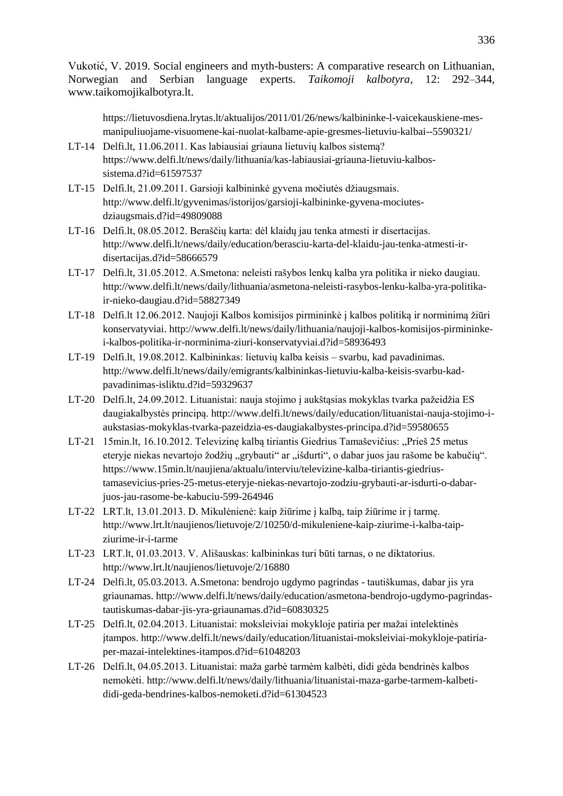[https://lietuvosdiena.lrytas.lt/aktualijos/2011/01/26/news/kalbininke-l-vaicekauskiene-mes](https://lietuvosdiena.lrytas.lt/aktualijos/2011/01/26/news/kalbininke-l-vaicekauskiene-mes-manipuliuojame-visuomene-kai-nuolat-kalbame-apie-gresmes-lietuviu-kalbai--5590321/)[manipuliuojame-visuomene-kai-nuolat-kalbame-apie-gresmes-lietuviu-kalbai--5590321/](https://lietuvosdiena.lrytas.lt/aktualijos/2011/01/26/news/kalbininke-l-vaicekauskiene-mes-manipuliuojame-visuomene-kai-nuolat-kalbame-apie-gresmes-lietuviu-kalbai--5590321/)

- LT-14 Delfi.lt, 11.06.2011. Kas labiausiai griauna lietuvių kalbos sistemą? [https://www.delfi.lt/news/daily/lithuania/kas-labiausiai-griauna-lietuviu-kalbos](https://www.delfi.lt/news/daily/lithuania/kas-labiausiai-griauna-lietuviu-kalbos-sistema.d?id=61597537)[sistema.d?id=61597537](https://www.delfi.lt/news/daily/lithuania/kas-labiausiai-griauna-lietuviu-kalbos-sistema.d?id=61597537)
- LT-15 Delfi.lt, 21.09.2011. Garsioji kalbininkė gyvena močiutės džiaugsmais. [http://www.delfi.lt/gyvenimas/istorijos/garsioji-kalbininke-gyvena-mociutes](http://www.delfi.lt/gyvenimas/istorijos/garsioji-kalbininke-gyvena-mociutes-dziaugsmais.d?id=49809088)[dziaugsmais.d?id=49809088](http://www.delfi.lt/gyvenimas/istorijos/garsioji-kalbininke-gyvena-mociutes-dziaugsmais.d?id=49809088)
- LT-16 Delfi.lt, 08.05.2012. Beraščių karta: dėl klaidų jau tenka atmesti ir disertacijas. [http://www.delfi.lt/news/daily/education/berasciu-karta-del-klaidu-jau-tenka-atmesti-ir](http://www.delfi.lt/news/daily/education/berasciu-karta-del-klaidu-jau-tenka-atmesti-ir-disertacijas.d?id=58666579)[disertacijas.d?id=58666579](http://www.delfi.lt/news/daily/education/berasciu-karta-del-klaidu-jau-tenka-atmesti-ir-disertacijas.d?id=58666579)
- LT-17 Delfi.lt, 31.05.2012. A.Smetona: neleisti rašybos lenkų kalba yra politika ir nieko daugiau. [http://www.delfi.lt/news/daily/lithuania/asmetona-neleisti-rasybos-lenku-kalba-yra-politika](http://www.delfi.lt/news/daily/lithuania/asmetona-neleisti-rasybos-lenku-kalba-yra-politika-ir-nieko-daugiau.d?id=58827349)[ir-nieko-daugiau.d?id=58827349](http://www.delfi.lt/news/daily/lithuania/asmetona-neleisti-rasybos-lenku-kalba-yra-politika-ir-nieko-daugiau.d?id=58827349)
- LT-18 Delfi.lt 12.06.2012. Naujoji Kalbos komisijos pirmininkė į kalbos politiką ir norminimą žiūri konservatyviai. [http://www.delfi.lt/news/daily/lithuania/naujoji-kalbos-komisijos-pirmininke](http://www.delfi.lt/news/daily/lithuania/naujoji-kalbos-komisijos-pirmininke-i-kalbos-politika-ir-norminima-ziuri-konservatyviai.d?id=58936493)[i-kalbos-politika-ir-norminima-ziuri-konservatyviai.d?id=58936493](http://www.delfi.lt/news/daily/lithuania/naujoji-kalbos-komisijos-pirmininke-i-kalbos-politika-ir-norminima-ziuri-konservatyviai.d?id=58936493)
- LT-19 Delfi.lt, 19.08.2012. Kalbininkas: lietuvių kalba keisis svarbu, kad pavadinimas. [http://www.delfi.lt/news/daily/emigrants/kalbininkas-lietuviu-kalba-keisis-svarbu-kad](http://www.delfi.lt/news/daily/emigrants/kalbininkas-lietuviu-kalba-keisis-svarbu-kad-pavadinimas-isliktu.d?id=59329637)[pavadinimas-isliktu.d?id=59329637](http://www.delfi.lt/news/daily/emigrants/kalbininkas-lietuviu-kalba-keisis-svarbu-kad-pavadinimas-isliktu.d?id=59329637)
- LT-20 Delfi.lt, 24.09.2012. Lituanistai: nauja stojimo į aukštąsias mokyklas tvarka pažeidžia ES daugiakalbystės principą. [http://www.delfi.lt/news/daily/education/lituanistai-nauja-stojimo-i](http://www.delfi.lt/news/daily/education/lituanistai-nauja-stojimo-i-aukstasias-mokyklas-tvarka-pazeidzia-es-daugiakalbystes-principa.d?id=59580655)[aukstasias-mokyklas-tvarka-pazeidzia-es-daugiakalbystes-principa.d?id=59580655](http://www.delfi.lt/news/daily/education/lituanistai-nauja-stojimo-i-aukstasias-mokyklas-tvarka-pazeidzia-es-daugiakalbystes-principa.d?id=59580655)
- LT-21 15min.lt, 16.10.2012. Televizinę kalbą tiriantis Giedrius Tamaševičius: "Prieš 25 metus eteryje niekas nevartojo žodžių "grybauti" ar "išdurti", o dabar juos jau rašome be kabučių". [https://www.15min.lt/naujiena/aktualu/interviu/televizine-kalba-tiriantis-giedrius](https://www.15min.lt/naujiena/aktualu/interviu/televizine-kalba-tiriantis-giedrius-tamasevicius-pries-25-metus-eteryje-niekas-nevartojo-zodziu-grybauti-ar-isdurti-o-dabar-juos-jau-rasome-be-kabuciu-599-264946)[tamasevicius-pries-25-metus-eteryje-niekas-nevartojo-zodziu-grybauti-ar-isdurti-o-dabar](https://www.15min.lt/naujiena/aktualu/interviu/televizine-kalba-tiriantis-giedrius-tamasevicius-pries-25-metus-eteryje-niekas-nevartojo-zodziu-grybauti-ar-isdurti-o-dabar-juos-jau-rasome-be-kabuciu-599-264946)[juos-jau-rasome-be-kabuciu-599-264946](https://www.15min.lt/naujiena/aktualu/interviu/televizine-kalba-tiriantis-giedrius-tamasevicius-pries-25-metus-eteryje-niekas-nevartojo-zodziu-grybauti-ar-isdurti-o-dabar-juos-jau-rasome-be-kabuciu-599-264946)
- LT-22 LRT.lt, 13.01.2013. D. Mikulėnienė: kaip žiūrime į kalbą, taip žiūrime ir į tarmę. [http://www.lrt.lt/naujienos/lietuvoje/2/10250/d-mikuleniene-kaip-ziurime-i-kalba-taip](http://www.lrt.lt/naujienos/lietuvoje/2/10250/d-mikuleniene-kaip-ziurime-i-kalba-taip-ziurime-ir-i-tarme)[ziurime-ir-i-tarme](http://www.lrt.lt/naujienos/lietuvoje/2/10250/d-mikuleniene-kaip-ziurime-i-kalba-taip-ziurime-ir-i-tarme)
- LT-23 LRT.lt, 01.03.2013. V. Ališauskas: kalbininkas turi būti tarnas, o ne diktatorius. <http://www.lrt.lt/naujienos/lietuvoje/2/16880>
- LT-24 Delfi.lt, 05.03.2013. A.Smetona: bendrojo ugdymo pagrindas tautiškumas, dabar jis yra griaunamas. [http://www.delfi.lt/news/daily/education/asmetona-bendrojo-ugdymo-pagrindas](http://www.delfi.lt/news/daily/education/asmetona-bendrojo-ugdymo-pagrindas-tautiskumas-dabar-jis-yra-griaunamas.d?id=60830325)[tautiskumas-dabar-jis-yra-griaunamas.d?id=60830325](http://www.delfi.lt/news/daily/education/asmetona-bendrojo-ugdymo-pagrindas-tautiskumas-dabar-jis-yra-griaunamas.d?id=60830325)
- LT-25 Delfi.lt, 02.04.2013. Lituanistai: moksleiviai mokykloje patiria per mažai intelektinės įtampos. [http://www.delfi.lt/news/daily/education/lituanistai-moksleiviai-mokykloje-patiria](http://www.delfi.lt/news/daily/education/lituanistai-moksleiviai-mokykloje-patiria-per-mazai-intelektines-itampos.d?id=61048203)[per-mazai-intelektines-itampos.d?id=61048203](http://www.delfi.lt/news/daily/education/lituanistai-moksleiviai-mokykloje-patiria-per-mazai-intelektines-itampos.d?id=61048203)
- LT-26 Delfi.lt, 04.05.2013. Lituanistai: maža garbė tarmėm kalbėti, didi gėda bendrinės kalbos nemokėti. [http://www.delfi.lt/news/daily/lithuania/lituanistai-maza-garbe-tarmem-kalbeti](http://www.delfi.lt/news/daily/lithuania/lituanistai-maza-garbe-tarmem-kalbeti-didi-geda-bendrines-kalbos-nemoketi.d?id=61304523)[didi-geda-bendrines-kalbos-nemoketi.d?id=61304523](http://www.delfi.lt/news/daily/lithuania/lituanistai-maza-garbe-tarmem-kalbeti-didi-geda-bendrines-kalbos-nemoketi.d?id=61304523)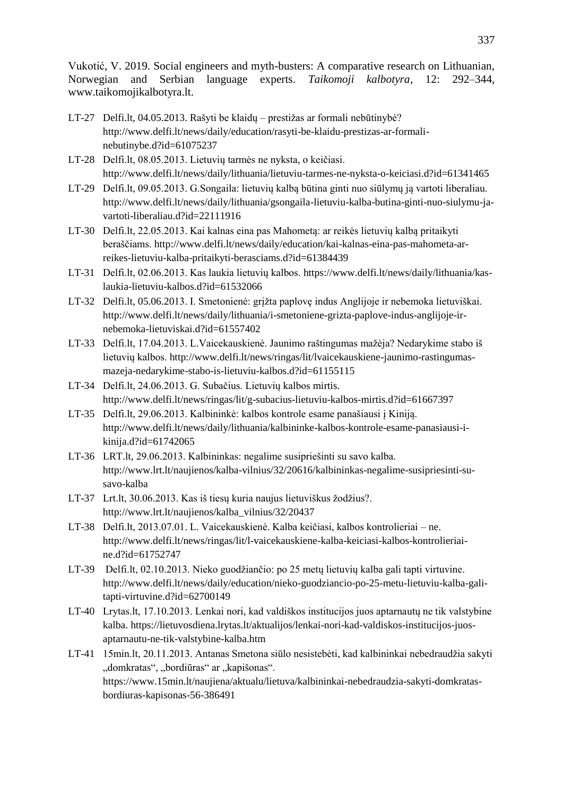- LT-27 Delfi.lt, 04.05.2013. Rašyti be klaidų prestižas ar formali nebūtinybė? [http://www.delfi.lt/news/daily/education/rasyti-be-klaidu-prestizas-ar-formali](http://www.delfi.lt/news/daily/education/rasyti-be-klaidu-prestizas-ar-formali-nebutinybe.d?id=61075237)[nebutinybe.d?id=61075237](http://www.delfi.lt/news/daily/education/rasyti-be-klaidu-prestizas-ar-formali-nebutinybe.d?id=61075237)
- LT-28 Delfi.lt, 08.05.2013. Lietuvių tarmės ne nyksta, o keičiasi. <http://www.delfi.lt/news/daily/lithuania/lietuviu-tarmes-ne-nyksta-o-keiciasi.d?id=61341465>
- LT-29 Delfi.lt, 09.05.2013. G.Songaila: lietuvių kalbą būtina ginti nuo siūlymų ją vartoti liberaliau. [http://www.delfi.lt/news/daily/lithuania/gsongaila-lietuviu-kalba-butina-ginti-nuo-siulymu-ja](http://www.delfi.lt/news/daily/lithuania/gsongaila-lietuviu-kalba-butina-ginti-nuo-siulymu-ja-vartoti-liberaliau.d?id=22111916)[vartoti-liberaliau.d?id=22111916](http://www.delfi.lt/news/daily/lithuania/gsongaila-lietuviu-kalba-butina-ginti-nuo-siulymu-ja-vartoti-liberaliau.d?id=22111916)
- LT-30 Delfi.lt, 22.05.2013. Kai kalnas eina pas Mahometą: ar reikės lietuvių kalbą pritaikyti beraščiams. [http://www.delfi.lt/news/daily/education/kai-kalnas-eina-pas-mahometa-ar](http://www.delfi.lt/news/daily/education/kai-kalnas-eina-pas-mahometa-ar-reikes-lietuviu-kalba-pritaikyti-berasciams.d?id=61384439)[reikes-lietuviu-kalba-pritaikyti-berasciams.d?id=61384439](http://www.delfi.lt/news/daily/education/kai-kalnas-eina-pas-mahometa-ar-reikes-lietuviu-kalba-pritaikyti-berasciams.d?id=61384439)
- LT-31 Delfi.lt, 02.06.2013. Kas laukia lietuvių kalbos. [https://www.delfi.lt/news/daily/lithuania/kas](https://www.delfi.lt/news/daily/lithuania/kas-laukia-lietuviu-kalbos.d?id=61532066)[laukia-lietuviu-kalbos.d?id=61532066](https://www.delfi.lt/news/daily/lithuania/kas-laukia-lietuviu-kalbos.d?id=61532066)
- LT-32 Delfi.lt, 05.06.2013. I. Smetonienė: grįžta paplovę indus Anglijoje ir nebemoka lietuviškai. [http://www.delfi.lt/news/daily/lithuania/i-smetoniene-grizta-paplove-indus-anglijoje-ir](http://www.delfi.lt/news/daily/lithuania/i-smetoniene-grizta-paplove-indus-anglijoje-ir-nebemoka-lietuviskai.d?id=61557402)[nebemoka-lietuviskai.d?id=61557402](http://www.delfi.lt/news/daily/lithuania/i-smetoniene-grizta-paplove-indus-anglijoje-ir-nebemoka-lietuviskai.d?id=61557402)
- LT-33 Delfi.lt, 17.04.2013. L.Vaicekauskienė. Jaunimo raštingumas mažėja? Nedarykime stabo iš lietuvių kalbos. [http://www.delfi.lt/news/ringas/lit/lvaicekauskiene-jaunimo-rastingumas](http://www.delfi.lt/news/ringas/lit/lvaicekauskiene-jaunimo-rastingumas-mazeja-nedarykime-stabo-is-lietuviu-kalbos.d?id=61155115)[mazeja-nedarykime-stabo-is-lietuviu-kalbos.d?id=61155115](http://www.delfi.lt/news/ringas/lit/lvaicekauskiene-jaunimo-rastingumas-mazeja-nedarykime-stabo-is-lietuviu-kalbos.d?id=61155115)
- LT-34 Delfi.lt, 24.06.2013. G. Subačius. Lietuvių kalbos mirtis. <http://www.delfi.lt/news/ringas/lit/g-subacius-lietuviu-kalbos-mirtis.d?id=61667397>
- LT-35 Delfi.lt, 29.06.2013. Kalbininkė: kalbos kontrole esame panašiausi į Kiniją. [http://www.delfi.lt/news/daily/lithuania/kalbininke-kalbos-kontrole-esame-panasiausi-i](http://www.delfi.lt/news/daily/lithuania/kalbininke-kalbos-kontrole-esame-panasiausi-i-kinija.d?id=61742065)[kinija.d?id=61742065](http://www.delfi.lt/news/daily/lithuania/kalbininke-kalbos-kontrole-esame-panasiausi-i-kinija.d?id=61742065)
- LT-36 LRT.lt, 29.06.2013. Kalbininkas: negalime susipriešinti su savo kalba. [http://www.lrt.lt/naujienos/kalba-vilnius/32/20616/kalbininkas-negalime-susipriesinti-su](http://www.lrt.lt/naujienos/kalba-vilnius/32/20616/kalbininkas-negalime-susipriesinti-su-savo-kalba)[savo-kalba](http://www.lrt.lt/naujienos/kalba-vilnius/32/20616/kalbininkas-negalime-susipriesinti-su-savo-kalba)
- LT-37 Lrt.lt, 30.06.2013. Kas iš tiesų kuria naujus lietuviškus žodžius?. [http://www.lrt.lt/naujienos/kalba\\_vilnius/32/20437](http://www.lrt.lt/naujienos/kalba_vilnius/32/20437)
- LT-38 Delfi.lt, 2013.07.01. L. Vaicekauskienė. Kalba keičiasi, kalbos kontrolieriai ne. [http://www.delfi.lt/news/ringas/lit/l-vaicekauskiene-kalba-keiciasi-kalbos-kontrolieriai](http://www.delfi.lt/news/ringas/lit/l-vaicekauskiene-kalba-keiciasi-kalbos-kontrolieriai-ne.d?id=61752747)[ne.d?id=61752747](http://www.delfi.lt/news/ringas/lit/l-vaicekauskiene-kalba-keiciasi-kalbos-kontrolieriai-ne.d?id=61752747)
- LT-39 Delfi.lt, 02.10.2013. Nieko guodžiančio: po 25 metų lietuvių kalba gali tapti virtuvine. [http://www.delfi.lt/news/daily/education/nieko-guodziancio-po-25-metu-lietuviu-kalba-gali](http://www.delfi.lt/news/daily/education/nieko-guodziancio-po-25-metu-lietuviu-kalba-gali-tapti-virtuvine.d?id=62700149)[tapti-virtuvine.d?id=62700149](http://www.delfi.lt/news/daily/education/nieko-guodziancio-po-25-metu-lietuviu-kalba-gali-tapti-virtuvine.d?id=62700149)
- LT-40 Lrytas.lt, 17.10.2013. Lenkai nori, kad valdiškos institucijos juos aptarnautų ne tik valstybine kalba. [https://lietuvosdiena.lrytas.lt/aktualijos/lenkai-nori-kad-valdiskos-institucijos-juos](https://lietuvosdiena.lrytas.lt/aktualijos/lenkai-nori-kad-valdiskos-institucijos-juos-aptarnautu-ne-tik-valstybine-kalba.htm)[aptarnautu-ne-tik-valstybine-kalba.htm](https://lietuvosdiena.lrytas.lt/aktualijos/lenkai-nori-kad-valdiskos-institucijos-juos-aptarnautu-ne-tik-valstybine-kalba.htm)
- LT-41 15min.lt, 20.11.2013. Antanas Smetona siūlo nesistebėti, kad kalbininkai nebedraudžia sakyti "domkratas", "bordiūras" ar "kapišonas". [https://www.15min.lt/naujiena/aktualu/lietuva/kalbininkai-nebedraudzia-sakyti-domkratas](https://www.15min.lt/naujiena/aktualu/lietuva/kalbininkai-nebedraudzia-sakyti-domkratas-bordiuras-kapisonas-56-386491)[bordiuras-kapisonas-56-386491](https://www.15min.lt/naujiena/aktualu/lietuva/kalbininkai-nebedraudzia-sakyti-domkratas-bordiuras-kapisonas-56-386491)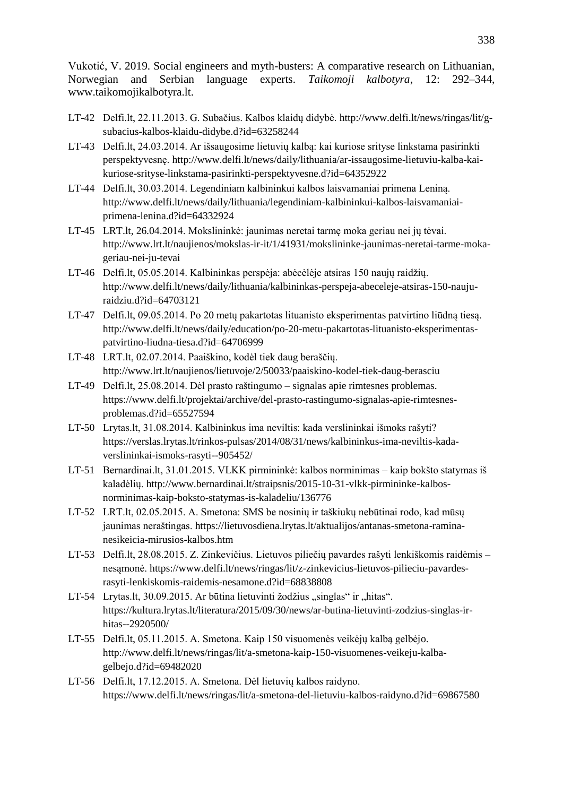- LT-42 Delfi.lt, 22.11.2013. G. Subačius. Kalbos klaidų didybė. [http://www.delfi.lt/news/ringas/lit/g](http://www.delfi.lt/news/ringas/lit/g-subacius-kalbos-klaidu-didybe.d?id=63258244)[subacius-kalbos-klaidu-didybe.d?id=63258244](http://www.delfi.lt/news/ringas/lit/g-subacius-kalbos-klaidu-didybe.d?id=63258244)
- LT-43 Delfi.lt, 24.03.2014. Ar išsaugosime lietuvių kalbą: kai kuriose srityse linkstama pasirinkti perspektyvesnę. [http://www.delfi.lt/news/daily/lithuania/ar-issaugosime-lietuviu-kalba-kai](http://www.delfi.lt/news/daily/lithuania/ar-issaugosime-lietuviu-kalba-kai-kuriose-srityse-linkstama-pasirinkti-perspektyvesne.d?id=64352922)[kuriose-srityse-linkstama-pasirinkti-perspektyvesne.d?id=64352922](http://www.delfi.lt/news/daily/lithuania/ar-issaugosime-lietuviu-kalba-kai-kuriose-srityse-linkstama-pasirinkti-perspektyvesne.d?id=64352922)
- LT-44 Delfi.lt, 30.03.2014. Legendiniam kalbininkui kalbos laisvamaniai primena Leniną. [http://www.delfi.lt/news/daily/lithuania/legendiniam-kalbininkui-kalbos-laisvamaniai](http://www.delfi.lt/news/daily/lithuania/legendiniam-kalbininkui-kalbos-laisvamaniai-primena-lenina.d?id=64332924)[primena-lenina.d?id=64332924](http://www.delfi.lt/news/daily/lithuania/legendiniam-kalbininkui-kalbos-laisvamaniai-primena-lenina.d?id=64332924)
- LT-45 LRT.lt, 26.04.2014. Mokslininkė: jaunimas neretai tarmę moka geriau nei jų tėvai. [http://www.lrt.lt/naujienos/mokslas-ir-it/1/41931/mokslininke-jaunimas-neretai-tarme-moka](http://www.lrt.lt/naujienos/mokslas-ir-it/1/41931/mokslininke-jaunimas-neretai-tarme-moka-geriau-nei-ju-tevai)[geriau-nei-ju-tevai](http://www.lrt.lt/naujienos/mokslas-ir-it/1/41931/mokslininke-jaunimas-neretai-tarme-moka-geriau-nei-ju-tevai)
- LT-46 Delfi.lt, 05.05.2014. Kalbininkas perspėja: abėcėlėje atsiras 150 naujų raidžių. [http://www.delfi.lt/news/daily/lithuania/kalbininkas-perspeja-abeceleje-atsiras-150-nauju](http://www.delfi.lt/news/daily/lithuania/kalbininkas-perspeja-abeceleje-atsiras-150-nauju-raidziu.d?id=64703121)[raidziu.d?id=64703121](http://www.delfi.lt/news/daily/lithuania/kalbininkas-perspeja-abeceleje-atsiras-150-nauju-raidziu.d?id=64703121)
- LT-47 Delfi.lt, 09.05.2014. Po 20 metų pakartotas lituanisto eksperimentas patvirtino liūdną tiesą. [http://www.delfi.lt/news/daily/education/po-20-metu-pakartotas-lituanisto-eksperimentas](http://www.delfi.lt/news/daily/education/po-20-metu-pakartotas-lituanisto-eksperimentas-patvirtino-liudna-tiesa.d?id=64706999)[patvirtino-liudna-tiesa.d?id=64706999](http://www.delfi.lt/news/daily/education/po-20-metu-pakartotas-lituanisto-eksperimentas-patvirtino-liudna-tiesa.d?id=64706999)
- LT-48 LRT.lt, 02.07.2014. Paaiškino, kodėl tiek daug beraščių. <http://www.lrt.lt/naujienos/lietuvoje/2/50033/paaiskino-kodel-tiek-daug-berasciu>
- LT-49 Delfi.lt, 25.08.2014. Dėl prasto raštingumo signalas apie rimtesnes problemas. [https://www.delfi.lt/projektai/archive/del-prasto-rastingumo-signalas-apie-rimtesnes](https://www.delfi.lt/projektai/archive/del-prasto-rastingumo-signalas-apie-rimtesnes-problemas.d?id=65527594)[problemas.d?id=65527594](https://www.delfi.lt/projektai/archive/del-prasto-rastingumo-signalas-apie-rimtesnes-problemas.d?id=65527594)
- LT-50 Lrytas.lt, 31.08.2014. Kalbininkus ima neviltis: kada verslininkai išmoks rašyti? [https://verslas.lrytas.lt/rinkos-pulsas/2014/08/31/news/kalbininkus-ima-neviltis-kada](https://verslas.lrytas.lt/rinkos-pulsas/2014/08/31/news/kalbininkus-ima-neviltis-kada-verslininkai-ismoks-rasyti--905452/)[verslininkai-ismoks-rasyti--905452/](https://verslas.lrytas.lt/rinkos-pulsas/2014/08/31/news/kalbininkus-ima-neviltis-kada-verslininkai-ismoks-rasyti--905452/)
- LT-51 Bernardinai.lt, 31.01.2015. VLKK pirmininkė: kalbos norminimas kaip bokšto statymas iš kaladėlių[. http://www.bernardinai.lt/straipsnis/2015-10-31-vlkk-pirmininke-kalbos](http://www.bernardinai.lt/straipsnis/2015-10-31-vlkk-pirmininke-kalbos-norminimas-kaip-boksto-statymas-is-kaladeliu/136776)[norminimas-kaip-boksto-statymas-is-kaladeliu/136776](http://www.bernardinai.lt/straipsnis/2015-10-31-vlkk-pirmininke-kalbos-norminimas-kaip-boksto-statymas-is-kaladeliu/136776)
- LT-52 LRT.lt, 02.05.2015. A. Smetona: SMS be nosinių ir taškiukų nebūtinai rodo, kad mūsų jaunimas neraštingas. [https://lietuvosdiena.lrytas.lt/aktualijos/antanas-smetona-ramina](https://lietuvosdiena.lrytas.lt/aktualijos/antanas-smetona-ramina-nesikeicia-mirusios-kalbos.htm)[nesikeicia-mirusios-kalbos.htm](https://lietuvosdiena.lrytas.lt/aktualijos/antanas-smetona-ramina-nesikeicia-mirusios-kalbos.htm)
- LT-53 Delfi.lt, 28.08.2015. Z. Zinkevičius. Lietuvos piliečių pavardes rašyti lenkiškomis raidėmis nesąmonė. [https://www.delfi.lt/news/ringas/lit/z-zinkevicius-lietuvos-pilieciu-pavardes](https://www.delfi.lt/news/ringas/lit/z-zinkevicius-lietuvos-pilieciu-pavardes-rasyti-lenkiskomis-raidemis-nesamone.d?id=68838808)[rasyti-lenkiskomis-raidemis-nesamone.d?id=68838808](https://www.delfi.lt/news/ringas/lit/z-zinkevicius-lietuvos-pilieciu-pavardes-rasyti-lenkiskomis-raidemis-nesamone.d?id=68838808)
- LT-54 Lrytas.lt, 30.09.2015. Ar būtina lietuvinti žodžius "singlas" ir "hitas". [https://kultura.lrytas.lt/literatura/2015/09/30/news/ar-butina-lietuvinti-zodzius-singlas-ir](https://kultura.lrytas.lt/literatura/2015/09/30/news/ar-butina-lietuvinti-zodzius-singlas-ir-hitas--2920500/)[hitas--2920500/](https://kultura.lrytas.lt/literatura/2015/09/30/news/ar-butina-lietuvinti-zodzius-singlas-ir-hitas--2920500/)
- LT-55 Delfi.lt, 05.11.2015. A. Smetona. Kaip 150 visuomenės veikėjų kalbą gelbėjo. [http://www.delfi.lt/news/ringas/lit/a-smetona-kaip-150-visuomenes-veikeju-kalba](http://www.delfi.lt/news/ringas/lit/a-smetona-kaip-150-visuomenes-veikeju-kalba-gelbejo.d?id=69482020)[gelbejo.d?id=69482020](http://www.delfi.lt/news/ringas/lit/a-smetona-kaip-150-visuomenes-veikeju-kalba-gelbejo.d?id=69482020)
- LT-56 Delfi.lt, 17.12.2015. A. Smetona. Dėl lietuvių kalbos raidyno. <https://www.delfi.lt/news/ringas/lit/a-smetona-del-lietuviu-kalbos-raidyno.d?id=69867580>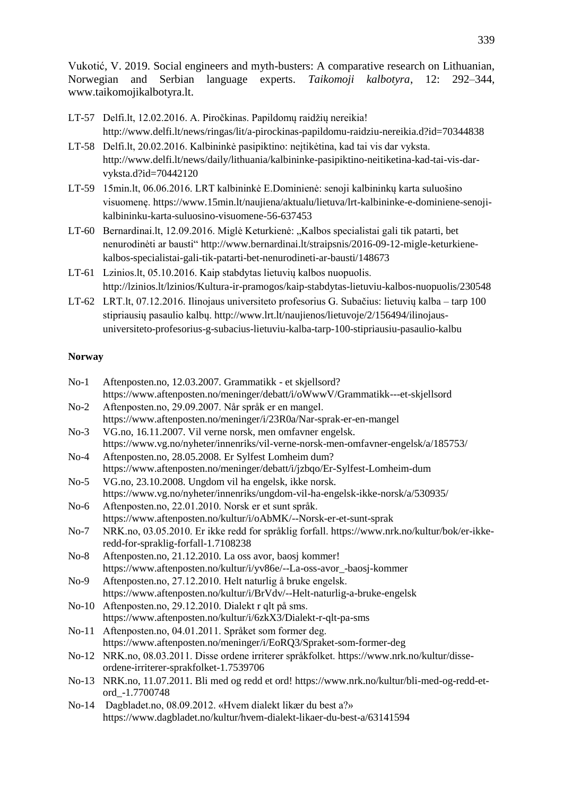- LT-57 Delfi.lt, 12.02.2016. A. Piročkinas. Papildomų raidžių nereikia! <http://www.delfi.lt/news/ringas/lit/a-pirockinas-papildomu-raidziu-nereikia.d?id=70344838>
- LT-58 Delfi.lt, 20.02.2016. Kalbininkė pasipiktino: neįtikėtina, kad tai vis dar vyksta. [http://www.delfi.lt/news/daily/lithuania/kalbininke-pasipiktino-neitiketina-kad-tai-vis-dar](http://www.delfi.lt/news/daily/lithuania/kalbininke-pasipiktino-neitiketina-kad-tai-vis-dar-vyksta.d?id=70442120)[vyksta.d?id=70442120](http://www.delfi.lt/news/daily/lithuania/kalbininke-pasipiktino-neitiketina-kad-tai-vis-dar-vyksta.d?id=70442120)
- LT-59 15min.lt, 06.06.2016. LRT kalbininkė E.Dominienė: senoji kalbininkų karta suluošino visuomenę. [https://www.15min.lt/naujiena/aktualu/lietuva/lrt-kalbininke-e-dominiene-senoji](https://www.15min.lt/naujiena/aktualu/lietuva/lrt-kalbininke-e-dominiene-senoji-kalbininku-karta-suluosino-visuomene-56-637453)[kalbininku-karta-suluosino-visuomene-56-637453](https://www.15min.lt/naujiena/aktualu/lietuva/lrt-kalbininke-e-dominiene-senoji-kalbininku-karta-suluosino-visuomene-56-637453)
- LT-60 Bernardinai.lt, 12.09.2016. Miglė Keturkienė: "Kalbos specialistai gali tik patarti, bet nenurodinėti ar bausti" [http://www.bernardinai.lt/straipsnis/2016-09-12-migle-keturkiene](http://www.bernardinai.lt/straipsnis/2016-09-12-migle-keturkiene-kalbos-specialistai-gali-tik-patarti-bet-nenurodineti-ar-bausti/148673)[kalbos-specialistai-gali-tik-patarti-bet-nenurodineti-ar-bausti/148673](http://www.bernardinai.lt/straipsnis/2016-09-12-migle-keturkiene-kalbos-specialistai-gali-tik-patarti-bet-nenurodineti-ar-bausti/148673)
- LT-61 Lzinios.lt, 05.10.2016. Kaip stabdytas lietuvių kalbos nuopuolis. <http://lzinios.lt/lzinios/Kultura-ir-pramogos/kaip-stabdytas-lietuviu-kalbos-nuopuolis/230548>
- LT-62 LRT.lt, 07.12.2016. Ilinojaus universiteto profesorius G. Subačius: lietuvių kalba tarp 100 stipriausių pasaulio kalbų. [http://www.lrt.lt/naujienos/lietuvoje/2/156494/ilinojaus](http://www.lrt.lt/naujienos/lietuvoje/2/156494/ilinojaus-universiteto-profesorius-g-subacius-lietuviu-kalba-tarp-100-stipriausiu-pasaulio-kalbu)[universiteto-profesorius-g-subacius-lietuviu-kalba-tarp-100-stipriausiu-pasaulio-kalbu](http://www.lrt.lt/naujienos/lietuvoje/2/156494/ilinojaus-universiteto-profesorius-g-subacius-lietuviu-kalba-tarp-100-stipriausiu-pasaulio-kalbu)

# **Norway**

| $No-1$  | Aftenposten.no, 12.03.2007. Grammatikk - et skjellsord?                                       |
|---------|-----------------------------------------------------------------------------------------------|
|         | https://www.aftenposten.no/meninger/debatt/i/oWwwV/Grammatikk---et-skjellsord                 |
| $No-2$  | Aftenposten.no, 29.09.2007. Når språk er en mangel.                                           |
|         | https://www.aftenposten.no/meninger/i/23R0a/Nar-sprak-er-en-mangel                            |
| $No-3$  | VG.no, 16.11.2007. Vil verne norsk, men omfavner engelsk.                                     |
|         | https://www.vg.no/nyheter/innenriks/vil-verne-norsk-men-omfavner-engelsk/a/185753/            |
| $No-4$  | Aftenposten.no, 28.05.2008. Er Sylfest Lomheim dum?                                           |
|         | https://www.aftenposten.no/meninger/debatt/i/jzbqo/Er-Sylfest-Lomheim-dum                     |
| $No-5$  | VG.no, 23.10.2008. Ungdom vil ha engelsk, ikke norsk.                                         |
|         | https://www.vg.no/nyheter/innenriks/ungdom-vil-ha-engelsk-ikke-norsk/a/530935/                |
| $No-6$  | Aftenposten.no, 22.01.2010. Norsk er et sunt språk.                                           |
|         | https://www.aftenposten.no/kultur/i/oAbMK/--Norsk-er-et-sunt-sprak                            |
| $No-7$  | NRK.no, 03.05.2010. Er ikke redd for språklig forfall. https://www.nrk.no/kultur/bok/er-ikke- |
|         | redd-for-spraklig-forfall-1.7108238                                                           |
| $No-8$  | Aftenposten.no, 21.12.2010. La oss avor, baosj kommer!                                        |
|         | https://www.aftenposten.no/kultur/i/yv86e/--La-oss-avor_-baosj-kommer                         |
| $No-9$  | Aftenposten.no, 27.12.2010. Helt naturlig å bruke engelsk.                                    |
|         | https://www.aftenposten.no/kultur/i/BrVdv/--Helt-naturlig-a-bruke-engelsk                     |
|         | No-10 Aftenposten.no, 29.12.2010. Dialekt r qlt på sms.                                       |
|         | https://www.aftenposten.no/kultur/i/6zkX3/Dialekt-r-qlt-pa-sms                                |
| $No-11$ | Aftenposten.no, 04.01.2011. Språket som former deg.                                           |
|         | https://www.aftenposten.no/meninger/i/EoRQ3/Spraket-som-former-deg                            |
| $No-12$ | NRK.no, 08.03.2011. Disse ordene irriterer språkfolket. https://www.nrk.no/kultur/disse-      |
|         | ordene-irriterer-sprakfolket-1.7539706                                                        |
| $No-13$ | NRK.no, 11.07.2011. Bli med og redd et ord! https://www.nrk.no/kultur/bli-med-og-redd-et-     |
|         | ord_-1.7700748                                                                                |
| $No-14$ | Dagbladet.no, 08.09.2012. «Hvem dialekt likær du best a?»                                     |
|         | https://www.dagbladet.no/kultur/hvem-dialekt-likaer-du-best-a/63141594                        |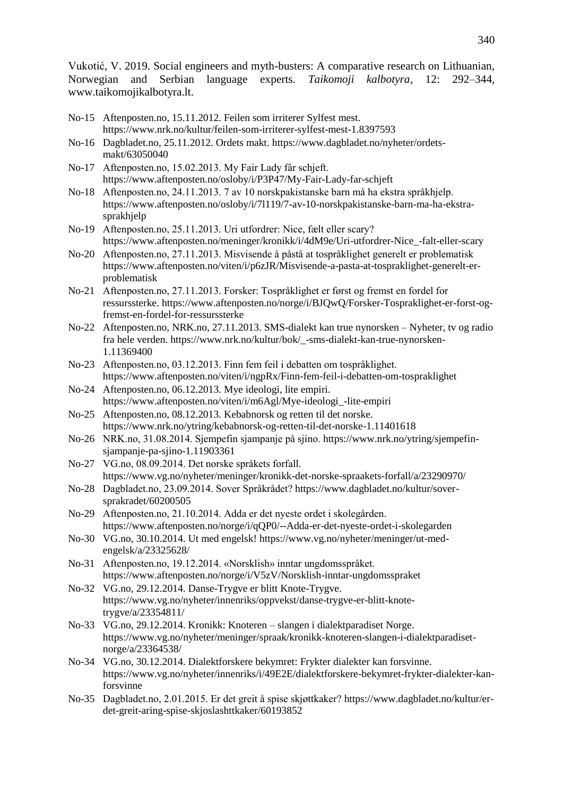- No-15 Aftenposten.no, 15.11.2012. Feilen som irriterer Sylfest mest. <https://www.nrk.no/kultur/feilen-som-irriterer-sylfest-mest-1.8397593>
- No-16 Dagbladet.no, 25.11.2012. Ordets makt. [https://www.dagbladet.no/nyheter/ordets](https://www.dagbladet.no/nyheter/ordets-makt/63050040)[makt/63050040](https://www.dagbladet.no/nyheter/ordets-makt/63050040)
- No-17 Aftenposten.no, 15.02.2013. My Fair Lady får schjeft. <https://www.aftenposten.no/osloby/i/P3P47/My-Fair-Lady-far-schjeft>
- No-18 Aftenposten.no, 24.11.2013. 7 av 10 norskpakistanske barn må ha ekstra språkhjelp. [https://www.aftenposten.no/osloby/i/7l119/7-av-10-norskpakistanske-barn-ma-ha-ekstra](https://www.aftenposten.no/osloby/i/7l119/7-av-10-norskpakistanske-barn-ma-ha-ekstra-sprakhjelp)[sprakhjelp](https://www.aftenposten.no/osloby/i/7l119/7-av-10-norskpakistanske-barn-ma-ha-ekstra-sprakhjelp)
- No-19 Aftenposten.no, 25.11.2013. Uri utfordrer: Nice, fælt eller scary? [https://www.aftenposten.no/meninger/kronikk/i/4dM9e/Uri-utfordrer-Nice\\_-falt-eller-scary](https://www.aftenposten.no/meninger/kronikk/i/4dM9e/Uri-utfordrer-Nice_-falt-eller-scary)
- No-20 Aftenposten.no, 27.11.2013. Misvisende å påstå at tospråklighet generelt er problematisk [https://www.aftenposten.no/viten/i/p6zJR/Misvisende-a-pasta-at-tospraklighet-generelt-er](https://www.aftenposten.no/viten/i/p6zJR/Misvisende-a-pasta-at-tospraklighet-generelt-er-problematisk)[problematisk](https://www.aftenposten.no/viten/i/p6zJR/Misvisende-a-pasta-at-tospraklighet-generelt-er-problematisk)
- No-21 Aftenposten.no, 27.11.2013. Forsker: Tospråklighet er først og fremst en fordel for ressurssterke. [https://www.aftenposten.no/norge/i/BJQwQ/Forsker-Tospraklighet-er-forst-og](https://www.aftenposten.no/norge/i/BJQwQ/Forsker-Tospraklighet-er-forst-og-fremst-en-fordel-for-ressurssterke)[fremst-en-fordel-for-ressurssterke](https://www.aftenposten.no/norge/i/BJQwQ/Forsker-Tospraklighet-er-forst-og-fremst-en-fordel-for-ressurssterke)
- No-22 Aftenposten.no, NRK.no, 27.11.2013. SMS-dialekt kan true nynorsken Nyheter, tv og radio fra hele verden. [https://www.nrk.no/kultur/bok/\\_-sms-dialekt-kan-true-nynorsken-](https://www.nrk.no/kultur/bok/_-sms-dialekt-kan-true-nynorsken-1.11369400)[1.11369400](https://www.nrk.no/kultur/bok/_-sms-dialekt-kan-true-nynorsken-1.11369400)
- No-23 Aftenposten.no, 03.12.2013. Finn fem feil i debatten om tospråklighet. <https://www.aftenposten.no/viten/i/ngpRx/Finn-fem-feil-i-debatten-om-tospraklighet>
- No-24 Aftenposten.no, 06.12.2013. Mye ideologi, lite empiri. [https://www.aftenposten.no/viten/i/m6Agl/Mye-ideologi\\_-lite-empiri](https://www.aftenposten.no/viten/i/m6Agl/Mye-ideologi_-lite-empiri)
- No-25 Aftenposten.no, 08.12.2013. Kebabnorsk og retten til det norske. <https://www.nrk.no/ytring/kebabnorsk-og-retten-til-det-norske-1.11401618>
- No-26 NRK.no, 31.08.2014. Sjempefin sjampanje på sjino[. https://www.nrk.no/ytring/sjempefin](https://www.nrk.no/ytring/sjempefin-sjampanje-pa-sjino-1.11903361)[sjampanje-pa-sjino-1.11903361](https://www.nrk.no/ytring/sjempefin-sjampanje-pa-sjino-1.11903361)
- No-27 VG.no, 08.09.2014. Det norske språkets forfall. https://www.vg.no/nyheter/meninger/kronikk-det-norske-spraakets-forfall/a/23290970/
- No-28 Dagbladet.no, 23.09.2014. Sover Språkrådet? [https://www.dagbladet.no/kultur/sover](https://www.dagbladet.no/kultur/sover-sprakradet/60200505)[sprakradet/60200505](https://www.dagbladet.no/kultur/sover-sprakradet/60200505)
- No-29 Aftenposten.no, 21.10.2014. Adda er det nyeste ordet i skolegården. <https://www.aftenposten.no/norge/i/qQP0/--Adda-er-det-nyeste-ordet-i-skolegarden>
- No-30 VG.no, 30.10.2014. Ut med engelsk! [https://www.vg.no/nyheter/meninger/ut-med](https://www.vg.no/nyheter/meninger/ut-med-engelsk/a/23325628/)[engelsk/a/23325628/](https://www.vg.no/nyheter/meninger/ut-med-engelsk/a/23325628/)
- No-31 Aftenposten.no, 19.12.2014. «Norsklish» inntar ungdomsspråket. <https://www.aftenposten.no/norge/i/V5zV/Norsklish-inntar-ungdomsspraket>
- No-32 VG.no, 29.12.2014. Danse-Trygve er blitt Knote-Trygve. [https://www.vg.no/nyheter/innenriks/oppvekst/danse-trygve-er-blitt-knote](https://www.vg.no/nyheter/innenriks/oppvekst/danse-trygve-er-blitt-knote-trygve/a/23354811/)[trygve/a/23354811/](https://www.vg.no/nyheter/innenriks/oppvekst/danse-trygve-er-blitt-knote-trygve/a/23354811/)
- No-33 VG.no, 29.12.2014. Kronikk: Knoteren slangen i dialektparadiset Norge. [https://www.vg.no/nyheter/meninger/spraak/kronikk-knoteren-slangen-i-dialektparadiset](https://www.vg.no/nyheter/meninger/spraak/kronikk-knoteren-slangen-i-dialektparadiset-norge/a/23364538/)[norge/a/23364538/](https://www.vg.no/nyheter/meninger/spraak/kronikk-knoteren-slangen-i-dialektparadiset-norge/a/23364538/)
- No-34 VG.no, 30.12.2014. Dialektforskere bekymret: Frykter dialekter kan forsvinne. [https://www.vg.no/nyheter/innenriks/i/49E2E/dialektforskere-bekymret-frykter-dialekter-kan](https://www.vg.no/nyheter/innenriks/i/49E2E/dialektforskere-bekymret-frykter-dialekter-kan-forsvinne)[forsvinne](https://www.vg.no/nyheter/innenriks/i/49E2E/dialektforskere-bekymret-frykter-dialekter-kan-forsvinne)
- No-35 Dagbladet.no, 2.01.2015. Er det greit å spise skjøttkaker? [https://www.dagbladet.no/kultur/er](https://www.dagbladet.no/kultur/er-det-greit-aring-spise-skjoslashttkaker/60193852)[det-greit-aring-spise-skjoslashttkaker/60193852](https://www.dagbladet.no/kultur/er-det-greit-aring-spise-skjoslashttkaker/60193852)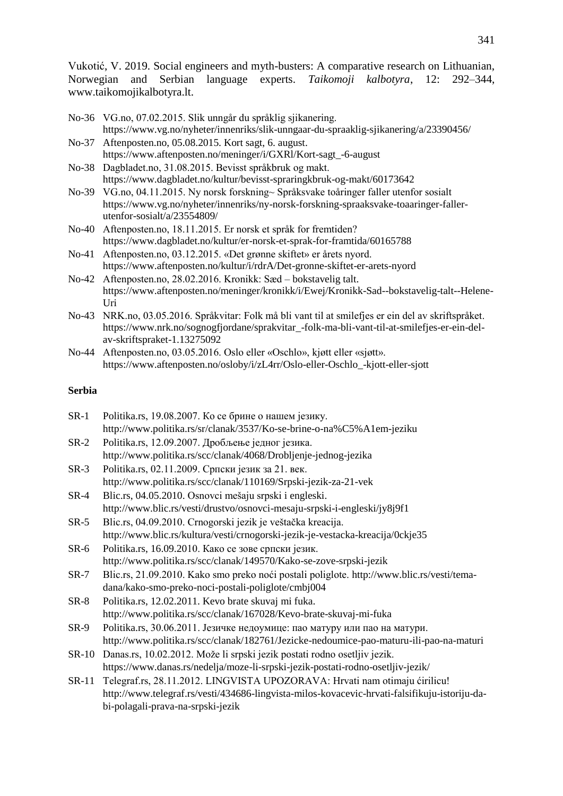- No-36 VG.no, 07.02.2015. Slik unngår du språklig sjikanering. <https://www.vg.no/nyheter/innenriks/slik-unngaar-du-spraaklig-sjikanering/a/23390456/>
- No-37 Aftenposten.no, 05.08.2015. Kort sagt, 6. august. [https://www.aftenposten.no/meninger/i/GXRl/Kort-sagt\\_-6-august](https://www.aftenposten.no/meninger/i/GXRl/Kort-sagt_-6-august)
- No-38 Dagbladet.no, 31.08.2015. Bevisst språkbruk og makt. <https://www.dagbladet.no/kultur/bevisst-spraringkbruk-og-makt/60173642>
- No-39 VG.no, 04.11.2015. Ny norsk forskning~ Språksvake toåringer faller utenfor sosialt [https://www.vg.no/nyheter/innenriks/ny-norsk-forskning-spraaksvake-toaaringer-faller](https://www.vg.no/nyheter/innenriks/ny-norsk-forskning-spraaksvake-toaaringer-faller-utenfor-sosialt/a/23554809/)[utenfor-sosialt/a/23554809/](https://www.vg.no/nyheter/innenriks/ny-norsk-forskning-spraaksvake-toaaringer-faller-utenfor-sosialt/a/23554809/)
- No-40 Aftenposten.no, 18.11.2015. Er norsk et språk for fremtiden? <https://www.dagbladet.no/kultur/er-norsk-et-sprak-for-framtida/60165788>
- No-41 Aftenposten.no, 03.12.2015. «Det grønne skiftet» er årets nyord. <https://www.aftenposten.no/kultur/i/rdrA/Det-gronne-skiftet-er-arets-nyord>
- No-42 Aftenposten.no, 28.02.2016. Kronikk: Sæd bokstavelig talt. [https://www.aftenposten.no/meninger/kronikk/i/Ewej/Kronikk-Sad--bokstavelig-talt--Helene-](https://www.aftenposten.no/meninger/kronikk/i/Ewej/Kronikk-Sad--bokstavelig-talt--Helene-Uri)[Uri](https://www.aftenposten.no/meninger/kronikk/i/Ewej/Kronikk-Sad--bokstavelig-talt--Helene-Uri)
- No-43 NRK.no, 03.05.2016. Språkvitar: Folk må bli vant til at smilefjes er ein del av skriftspråket. [https://www.nrk.no/sognogfjordane/sprakvitar\\_-folk-ma-bli-vant-til-at-smilefjes-er-ein-del](https://www.nrk.no/sognogfjordane/sprakvitar_-folk-ma-bli-vant-til-at-smilefjes-er-ein-del-av-skriftspraket-1.13275092)[av-skriftspraket-1.13275092](https://www.nrk.no/sognogfjordane/sprakvitar_-folk-ma-bli-vant-til-at-smilefjes-er-ein-del-av-skriftspraket-1.13275092)
- No-44 Aftenposten.no, 03.05.2016. Oslo eller «Oschlo», kjøtt eller «sjøtt». [https://www.aftenposten.no/osloby/i/zL4rr/Oslo-eller-Oschlo\\_-kjott-eller-sjott](https://www.aftenposten.no/osloby/i/zL4rr/Oslo-eller-Oschlo_-kjott-eller-sjott)

# **Serbia**

| $SR-1$       | Politika.rs, 19.08.2007. Ко се брине о нашем језику.                                          |
|--------------|-----------------------------------------------------------------------------------------------|
|              | http://www.politika.rs/sr/clanak/3537/Ko-se-brine-o-na%C5%A1em-jeziku                         |
| $SR-2$       | Politika.rs, 12.09.2007. Дробљење једног језика.                                              |
|              | http://www.politika.rs/scc/clanak/4068/Drobljenje-jednog-jezika                               |
| $SR-3$       | Politika.rs, 02.11.2009. Српски језик за 21. век.                                             |
|              | http://www.politika.rs/scc/clanak/110169/Srpski-jezik-za-21-vek                               |
| $SR-4$       | Blic.rs, 04.05.2010. Osnovci mešaju srpski i engleski.                                        |
|              | http://www.blic.rs/vesti/drustvo/osnovci-mesaju-srpski-i-engleski/jy8j9f1                     |
| $SR-5$       | Blic.rs, 04.09.2010. Crnogorski jezik je veštačka kreacija.                                   |
|              | http://www.blic.rs/kultura/vesti/crnogorski-jezik-je-vestacka-kreacija/0ckje35                |
| SR-6         | Politika.rs, 16.09.2010. Како се зове српски језик.                                           |
|              | http://www.politika.rs/scc/clanak/149570/Kako-se-zove-srpski-jezik                            |
| $SR-7$       | Blic.rs, 21.09.2010. Kako smo preko noći postali poliglote. http://www.blic.rs/vesti/tema-    |
|              | dana/kako-smo-preko-noci-postali-poliglote/cmbj004                                            |
| $SR-8$       | Politika.rs, 12.02.2011. Kevo brate skuvaj mi fuka.                                           |
|              | http://www.politika.rs/scc/clanak/167028/Kevo-brate-skuvaj-mi-fuka                            |
| $SR-9$       | Politika.rs, 30.06.2011. Језичке недоумице: пао матуру или пао на матури.                     |
|              | http://www.politika.rs/scc/clanak/182761/Jezicke-nedoumice-pao-maturu-ili-pao-na-maturi       |
| <b>SR-10</b> | Danas.rs, 10.02.2012. Može li srpski jezik postati rodno osetljiv jezik.                      |
|              | https://www.danas.rs/nedelja/moze-li-srpski-jezik-postati-rodno-osetljiv-jezik/               |
| $SR-11$      | Telegraf.rs, 28.11.2012. LINGVISTA UPOZORAVA: Hrvati nam otimaju ćirilicu!                    |
|              | http://www.telegraf.rs/vesti/434686-lingvista-milos-kovacevic-hrvati-falsifikuju-istoriju-da- |
|              | bi-polagali-prava-na-srpski-jezik                                                             |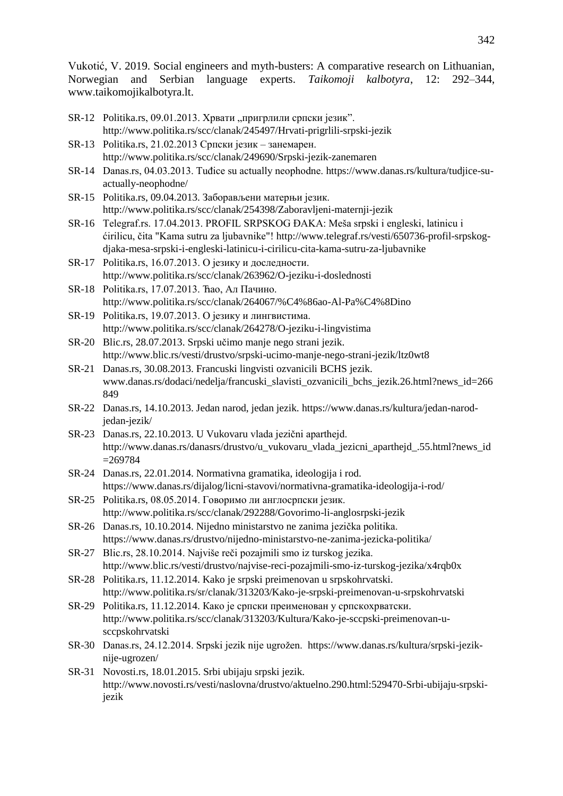- SR-12 Politika.rs, 09.01.2013. Хрвати "пригрлили српски језик". http://www.politika.rs/scc/clanak/245497/Hrvati-prigrlili-srpski-jezik
- SR-13 Politika.rs, 21.02.2013 Српски језик занемарен. http://www.politika.rs/scc/clanak/249690/Srpski-jezik-zanemaren
- SR-14 Danas.rs, 04.03.2013. Tuđice su actually neophodne[. https://www.danas.rs/kultura/tudjice-su](https://www.danas.rs/kultura/tudjice-su-actually-neophodne/)[actually-neophodne/](https://www.danas.rs/kultura/tudjice-su-actually-neophodne/)
- SR-15 Politika.rs, 09.04.2013. Заборављени матерњи језик. http://www.politika.rs/scc/clanak/254398/Zaboravljeni-maternji-jezik
- SR-16 Telegraf rs. 17.04.2013. PROFIL SRPSKOG ĐAKA: Meša srpski i engleski, latinicu i ćirilicu, čita "Kama sutru za ljubavnike"! [http://www.telegraf.rs/vesti/650736-profil-srpskog](http://www.telegraf.rs/vesti/650736-profil-srpskog-djaka-mesa-srpski-i-engleski-latinicu-i-cirilicu-cita-kama-sutru-za-ljubavnike)[djaka-mesa-srpski-i-engleski-latinicu-i-cirilicu-cita-kama-sutru-za-ljubavnike](http://www.telegraf.rs/vesti/650736-profil-srpskog-djaka-mesa-srpski-i-engleski-latinicu-i-cirilicu-cita-kama-sutru-za-ljubavnike)
- SR-17 Politika.rs, 16.07.2013. О језику и доследности. <http://www.politika.rs/scc/clanak/263962/O-jeziku-i-doslednosti>
- SR-18 Politika.rs, 17.07.2013. Ћао, Ал Пачино. http://www.politika.rs/scc/clanak/264067/%C4%86ao-Al-Pa%C4%8Dino
- SR-19 Politika.rs, 19.07.2013. О језику и лингвистима. http://www.politika.rs/scc/clanak/264278/O-jeziku-i-lingvistima
- SR-20 Blic.rs, 28.07.2013. Srpski učimo manje nego strani jezik. <http://www.blic.rs/vesti/drustvo/srpski-ucimo-manje-nego-strani-jezik/ltz0wt8>
- SR-21 Danas.rs, 30.08.2013. Francuski lingvisti ozvanicili BCHS jezik. [www.danas.rs/dodaci/nedelja/francuski\\_slavisti\\_ozvanicili\\_bchs\\_jezik.26.html?news\\_id=266](http://www.danas.rs/dodaci/nedelja/francuski_slavisti_ozvanicili_bchs_jezik.26.html?news_id=266849) [849](http://www.danas.rs/dodaci/nedelja/francuski_slavisti_ozvanicili_bchs_jezik.26.html?news_id=266849)
- SR-22 Danas.rs, 14.10.2013. Jedan narod, jedan jezik. [https://www.danas.rs/kultura/jedan-narod](https://www.danas.rs/kultura/jedan-narod-jedan-jezik/)[jedan-jezik/](https://www.danas.rs/kultura/jedan-narod-jedan-jezik/)
- SR-23 Danas.rs, 22.10.2013. U Vukovaru vlada jezični aparthejd. [http://www.danas.rs/danasrs/drustvo/u\\_vukovaru\\_vlada\\_jezicni\\_aparthejd\\_.55.html?news\\_id](http://www.danas.rs/danasrs/drustvo/u_vukovaru_vlada_jezicni_aparthejd_.55.html?news_id=269784)  $=269784$
- SR-24 Danas.rs, 22.01.2014. Normativna gramatika, ideologija i rod. <https://www.danas.rs/dijalog/licni-stavovi/normativna-gramatika-ideologija-i-rod/>
- SR-25 Politika.rs, 08.05.2014. Говоримо ли англосрпски језик. <http://www.politika.rs/scc/clanak/292288/Govorimo-li-anglosrpski-jezik>
- SR-26 Danas.rs, 10.10.2014. Nijedno ministarstvo ne zanima jezička politika. <https://www.danas.rs/drustvo/nijedno-ministarstvo-ne-zanima-jezicka-politika/>
- SR-27 Blic.rs, 28.10.2014. Najviše reči pozajmili smo iz turskog jezika. <http://www.blic.rs/vesti/drustvo/najvise-reci-pozajmili-smo-iz-turskog-jezika/x4rqb0x>
- SR-28 Politika.rs, 11.12.2014. Kako je srpski preimenovan u srpskohrvatski. http://www.politika.rs/sr/clanak/313203/Kako-je-srpski-preimenovan-u-srpskohrvatski
- SR-29 Politika.rs, 11.12.2014. Како је српски преименован у српскохрватски. [http://www.politika.rs/scc/clanak/313203/Kultura/Kako-je-sccpski-preimenovan-u](http://www.politika.rs/scc/clanak/313203/Kultura/Kako-je-sccpski-preimenovan-u-sccpskohrvatski)[sccpskohrvatski](http://www.politika.rs/scc/clanak/313203/Kultura/Kako-je-sccpski-preimenovan-u-sccpskohrvatski)
- SR-30 Danas.rs, 24.12.2014. Srpski jezik nije ugrožen. [https://www.danas.rs/kultura/srpski-jezik](https://www.danas.rs/kultura/srpski-jezik-nije-ugrozen/)[nije-ugrozen/](https://www.danas.rs/kultura/srpski-jezik-nije-ugrozen/)
- SR-31 Novosti.rs, 18.01.2015. Srbi ubijaju srpski jezik. [http://www.novosti.rs/vesti/naslovna/drustvo/aktuelno.290.html:529470-Srbi-ubijaju-srpski](http://www.novosti.rs/vesti/naslovna/drustvo/aktuelno.290.html:529470-Srbi-ubijaju-srpski-jezik)[jezik](http://www.novosti.rs/vesti/naslovna/drustvo/aktuelno.290.html:529470-Srbi-ubijaju-srpski-jezik)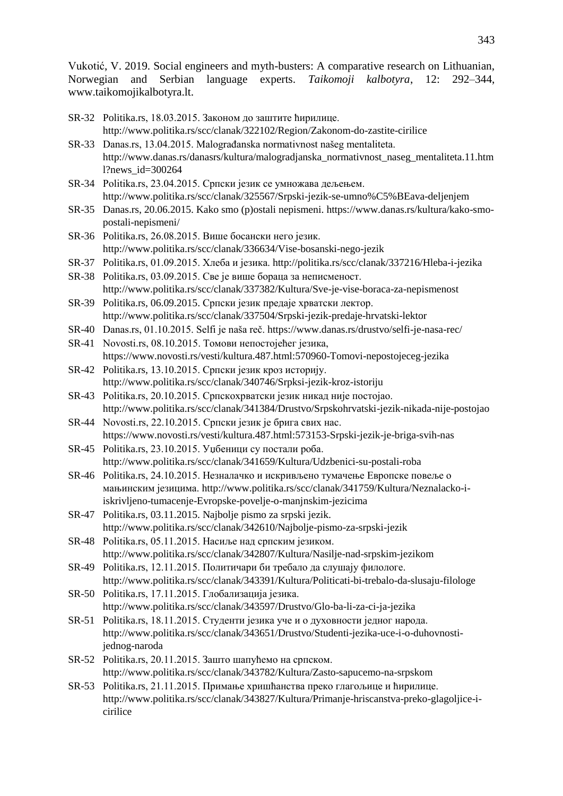- SR-32 Politika.rs, 18.03.2015. Законом до заштите ћирилице. <http://www.politika.rs/scc/clanak/322102/Region/Zakonom-do-zastite-cirilice>
- SR-33 Danas.rs, 13.04.2015. Malograđanska normativnost našeg mentaliteta. [http://www.danas.rs/danasrs/kultura/malogradjanska\\_normativnost\\_naseg\\_mentaliteta.11.htm](http://www.danas.rs/danasrs/kultura/malogradjanska_normativnost_naseg_mentaliteta.11.html?news_id=300264) [l?news\\_id=300264](http://www.danas.rs/danasrs/kultura/malogradjanska_normativnost_naseg_mentaliteta.11.html?news_id=300264)
- SR-34 Politika.rs, 23.04.2015. Српски језик се умножава дељењем. http://www.politika.rs/scc/clanak/325567/Srpski-jezik-se-umno%C5%BEava-deljenjem
- SR-35 Danas.rs, 20.06.2015. Kako smo (p)ostali nepismeni. [https://www.danas.rs/kultura/kako-smo](https://www.danas.rs/kultura/kako-smo-postali-nepismeni/)[postali-nepismeni/](https://www.danas.rs/kultura/kako-smo-postali-nepismeni/)
- SR-36 Politika.rs, 26.08.2015. Више босански него језик. http://www.politika.rs/scc/clanak/336634/Vise-bosanski-nego-jezik
- SR-37 Politika.rs, 01.09.2015. Хлеба и језика. http://politika.rs/scc/clanak/337216/Hleba-i-jezika
- SR-38 Politika.rs, 03.09.2015. Све је више бораца за неписменост. <http://www.politika.rs/scc/clanak/337382/Kultura/Sve-je-vise-boraca-za-nepismenost>
- SR-39 Politika.rs, 06.09.2015. Српски језик предаје хрватски лектор. <http://www.politika.rs/scc/clanak/337504/Srpski-jezik-predaje-hrvatski-lektor>
- SR-40 Danas.rs, 01.10.2015. Selfi je naša reč.<https://www.danas.rs/drustvo/selfi-je-nasa-rec/>
- SR-41 Novosti.rs, 08.10.2015. Томови непостојећег језика, https://www.novosti.rs/vesti/kultura.487.html:570960-Tomovi-nepostojeceg-jezika
- SR-42 Politika.rs, 13.10.2015. Српски језик кроз историју. http://www.politika.rs/scc/clanak/340746/Srpksi-jezik-kroz-istoriju
- SR-43 Politika.rs, 20.10.2015. Српскохрватски језик никад није постојао. http://www.politika.rs/scc/clanak/341384/Drustvo/Srpskohrvatski-jezik-nikada-nije-postojao
- SR-44 Novosti.rs, 22.10.2015. Српски језик је брига свих нас. https://www.novosti.rs/vesti/kultura.487.html:573153-Srpski-jezik-je-briga-svih-nas
- SR-45 Politika.rs, 23.10.2015. Уџбеници су постали роба. http://www.politika.rs/scc/clanak/341659/Kultura/Udzbenici-su-postali-roba
- SR-46 Politika.rs, 24.10.2015. Незналачко и искривљено тумачење Европске повеље о мањинским језицима. http://www.politika.rs/scc/clanak/341759/Kultura/Neznalacko-iiskrivljeno-tumacenje-Evropske-povelje-o-manjnskim-jezicima
- SR-47 Politika.rs, 03.11.2015. Najbolje pismo za srpski jezik. <http://www.politika.rs/scc/clanak/342610/Najbolje-pismo-za-srpski-jezik>
- SR-48 Politika.rs, 05.11.2015. Насиље над српским језиком. http://www.politika.rs/scc/clanak/342807/Kultura/Nasilje-nad-srpskim-jezikom
- SR-49 Politika.rs, 12.11.2015. Политичари би требало да слушају филологе. http://www.politika.rs/scc/clanak/343391/Kultura/Politicati-bi-trebalo-da-slusaju-filologe
- SR-50 Politika.rs, 17.11.2015. Глобализација језика. <http://www.politika.rs/scc/clanak/343597/Drustvo/Glo-ba-li-za-ci-ja-jezika>
- SR-51 Politika.rs, 18.11.2015. Студенти језика уче и о духовности једног народа. http://www.politika.rs/scc/clanak/343651/Drustvo/Studenti-jezika-uce-i-o-duhovnostijednog-naroda
- SR-52 Politika.rs, 20.11.2015. Зашто шапућемо на српском. http://www.politika.rs/scc/clanak/343782/Kultura/Zasto-sapucemo-na-srpskom
- SR-53 Politika.rs, 21.11.2015. Примање хришћанства преко глагољице и ћирилице. http://www.politika.rs/scc/clanak/343827/Kultura/Primanje-hriscanstva-preko-glagoljice-icirilice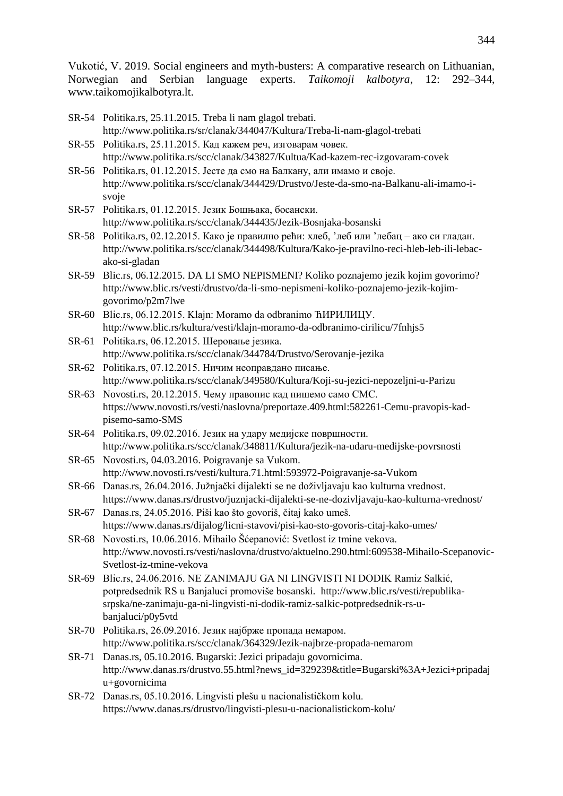- SR-54 Politika.rs, 25.11.2015. Treba li nam glagol trebati. <http://www.politika.rs/sr/clanak/344047/Kultura/Treba-li-nam-glagol-trebati>
- SR-55 Politika.rs, 25.11.2015. Кад кажем реч, изговарам човек. http://www.politika.rs/scc/clanak/343827/Kultua/Kad-kazem-rec-izgovaram-covek
- SR-56 Politika.rs, 01.12.2015. Јесте да смо на Балкану, али имамо и своје. http://www.politika.rs/scc/clanak/344429/Drustvo/Jeste-da-smo-na-Balkanu-ali-imamo-isvoje
- SR-57 Politika.rs, 01.12.2015. Језик Бошњака, босански. http://www.politika.rs/scc/clanak/344435/Jezik-Bosnjaka-bosanski
- SR-58 Politika.rs, 02.12.2015. Како је правилно рећи: хлеб, "леб или "лебац ако си гладан. http://www.politika.rs/scc/clanak/344498/Kultura/Kako-je-pravilno-reci-hleb-leb-ili-lebacako-si-gladan
- SR-59 Blic.rs, 06.12.2015. DA LI SMO NEPISMENI? Koliko poznajemo jezik kojim govorimo? [http://www.blic.rs/vesti/drustvo/da-li-smo-nepismeni-koliko-poznajemo-jezik-kojim](http://www.blic.rs/vesti/drustvo/da-li-smo-nepismeni-koliko-poznajemo-jezik-kojim-govorimo/p2m7lwe)[govorimo/p2m7lwe](http://www.blic.rs/vesti/drustvo/da-li-smo-nepismeni-koliko-poznajemo-jezik-kojim-govorimo/p2m7lwe)
- SR-60 Blic.rs, 06.12.2015. Klajn: Moramo da odbranimo ЋИРИЛИЦУ. <http://www.blic.rs/kultura/vesti/klajn-moramo-da-odbranimo-cirilicu/7fnhjs5>
- SR-61 Politika.rs, 06.12.2015. Шеровање језика. http://www.politika.rs/scc/clanak/344784/Drustvo/Serovanje-jezika
- SR-62 Politika.rs, 07.12.2015. Ничим неоправдано писање. http://www.politika.rs/scc/clanak/349580/Kultura/Koji-su-jezici-nepozeljni-u-Parizu
- SR-63 Novosti.rs, 20.12.2015. Чему правопис кад пишемо само СМС. https://www.novosti.rs/vesti/naslovna/preportaze.409.html:582261-Cemu-pravopis-kadpisemo-samo-SMS
- SR-64 Politika.rs, 09.02.2016. Језик на удару медијске површности. http://www.politika.rs/scc/clanak/348811/Kultura/jezik-na-udaru-medijske-povrsnosti
- SR-65 Novosti.rs, 04.03.2016. Poigravanje sa Vukom. <http://www.novosti.rs/vesti/kultura.71.html:593972-Poigravanje-sa-Vukom>
- SR-66 Danas.rs, 26.04.2016. Južnjački dijalekti se ne doživljavaju kao kulturna vrednost. <https://www.danas.rs/drustvo/juznjacki-dijalekti-se-ne-dozivljavaju-kao-kulturna-vrednost/>
- SR-67 Danas.rs, 24.05.2016. Piši kao što govoriš, čitaj kako umeš. <https://www.danas.rs/dijalog/licni-stavovi/pisi-kao-sto-govoris-citaj-kako-umes/>
- SR-68 Novosti.rs, 10.06.2016. Mihailo Šćepanović: Svetlost iz tmine vekova. [http://www.novosti.rs/vesti/naslovna/drustvo/aktuelno.290.html:609538-Mihailo-Scepanovic-](http://www.novosti.rs/vesti/naslovna/drustvo/aktuelno.290.html:609538-Mihailo-Scepanovic-Svetlost-iz-tmine-vekova)[Svetlost-iz-tmine-vekova](http://www.novosti.rs/vesti/naslovna/drustvo/aktuelno.290.html:609538-Mihailo-Scepanovic-Svetlost-iz-tmine-vekova)
- SR-69 Blic.rs, 24.06.2016. NE ZANIMAJU GA NI LINGVISTI NI DODIK Ramiz Salkić, potpredsednik RS u Banjaluci promoviše bosanski. [http://www.blic.rs/vesti/republika](http://www.blic.rs/vesti/republika-srpska/ne-zanimaju-ga-ni-lingvisti-ni-dodik-ramiz-salkic-potpredsednik-rs-u-banjaluci/p0y5vtd)[srpska/ne-zanimaju-ga-ni-lingvisti-ni-dodik-ramiz-salkic-potpredsednik-rs-u](http://www.blic.rs/vesti/republika-srpska/ne-zanimaju-ga-ni-lingvisti-ni-dodik-ramiz-salkic-potpredsednik-rs-u-banjaluci/p0y5vtd)[banjaluci/p0y5vtd](http://www.blic.rs/vesti/republika-srpska/ne-zanimaju-ga-ni-lingvisti-ni-dodik-ramiz-salkic-potpredsednik-rs-u-banjaluci/p0y5vtd)
- SR-70 Politika.rs, 26.09.2016. Језик најбрже пропада немаром. http://www.politika.rs/scc/clanak/364329/Jezik-najbrze-propada-nemarom
- SR-71 Danas.rs, 05.10.2016. Bugarski: Jezici pripadaju govornicima. [http://www.danas.rs/drustvo.55.html?news\\_id=329239&title=Bugarski%3A+Jezici+pripadaj](http://www.danas.rs/drustvo.55.html?news_id=329239&title=Bugarski%3A+Jezici+pripadaju+govornicima) [u+govornicima](http://www.danas.rs/drustvo.55.html?news_id=329239&title=Bugarski%3A+Jezici+pripadaju+govornicima)
- SR-72 Danas.rs, 05.10.2016. Lingvisti plešu u nacionalističkom kolu. <https://www.danas.rs/drustvo/lingvisti-plesu-u-nacionalistickom-kolu/>